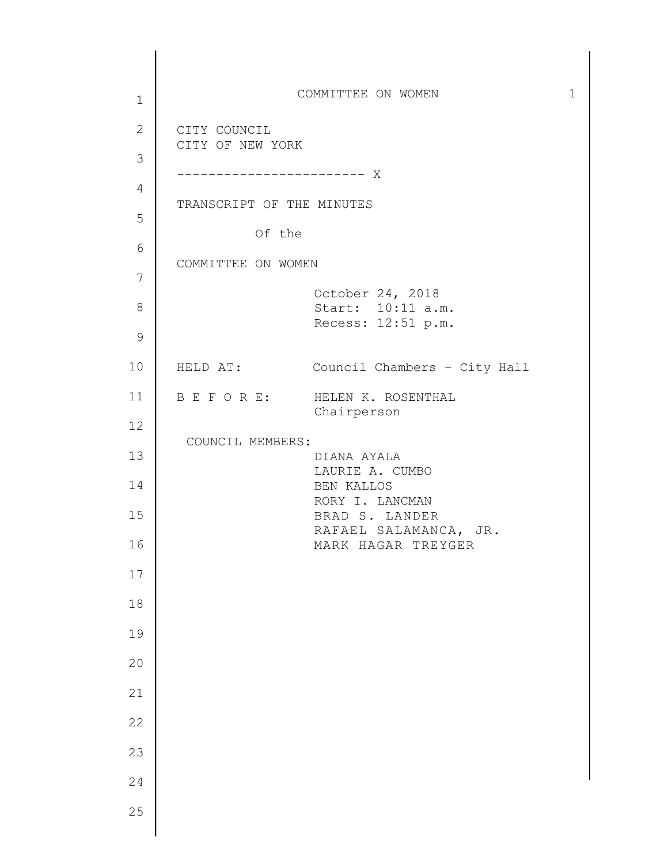1 2 3 4 5 6 7 8 9 10 11 12 13 14 15 16 17 18 19 20 21 22 23 24 25 COMMITTEE ON WOMEN 1 CITY COUNCIL CITY OF NEW YORK ------------------------ X TRANSCRIPT OF THE MINUTES Of the COMMITTEE ON WOMEN October 24, 2018 Start: 10:11 a.m. Recess: 12:51 p.m. HELD AT: Council Chambers – City Hall B E F O R E: HELEN K. ROSENTHAL Chairperson COUNCIL MEMBERS: DIANA AYALA LAURIE A. CUMBO BEN KALLOS RORY I. LANCMAN BRAD S. LANDER RAFAEL SALAMANCA, JR. MARK HAGAR TREYGER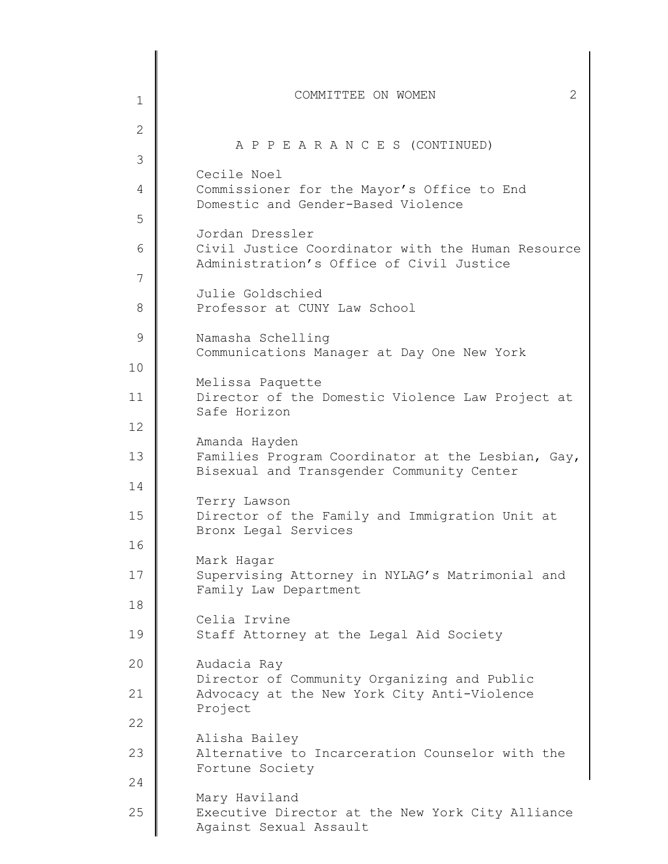| $\mathbf 1$   | 2<br>COMMITTEE ON WOMEN                                                                                          |
|---------------|------------------------------------------------------------------------------------------------------------------|
| $\mathbf{2}$  |                                                                                                                  |
| 3             | A P P E A R A N C E S (CONTINUED)                                                                                |
| 4             | Cecile Noel<br>Commissioner for the Mayor's Office to End                                                        |
| 5             | Domestic and Gender-Based Violence                                                                               |
| 6             | Jordan Dressler<br>Civil Justice Coordinator with the Human Resource<br>Administration's Office of Civil Justice |
| 7             | Julie Goldschied                                                                                                 |
| 8             | Professor at CUNY Law School                                                                                     |
| $\mathcal{G}$ | Namasha Schelling<br>Communications Manager at Day One New York                                                  |
| 10            | Melissa Paquette                                                                                                 |
| 11            | Director of the Domestic Violence Law Project at<br>Safe Horizon                                                 |
| 12            | Amanda Hayden                                                                                                    |
| 13            | Families Program Coordinator at the Lesbian, Gay,<br>Bisexual and Transgender Community Center                   |
| 14            | Terry Lawson                                                                                                     |
| 15            | Director of the Family and Immigration Unit at<br>Bronx Legal Services                                           |
| 16            | Mark Hagar                                                                                                       |
| 17            | Supervising Attorney in NYLAG's Matrimonial and<br>Family Law Department                                         |
| 18            | Celia Irvine                                                                                                     |
| 19            | Staff Attorney at the Legal Aid Society                                                                          |
| 20            | Audacia Ray<br>Director of Community Organizing and Public                                                       |
| 21            | Advocacy at the New York City Anti-Violence<br>Project                                                           |
| 22            | Alisha Bailey                                                                                                    |
| 23            | Alternative to Incarceration Counselor with the<br>Fortune Society                                               |
| 24            |                                                                                                                  |
| 25            | Mary Haviland<br>Executive Director at the New York City Alliance<br>Against Sexual Assault                      |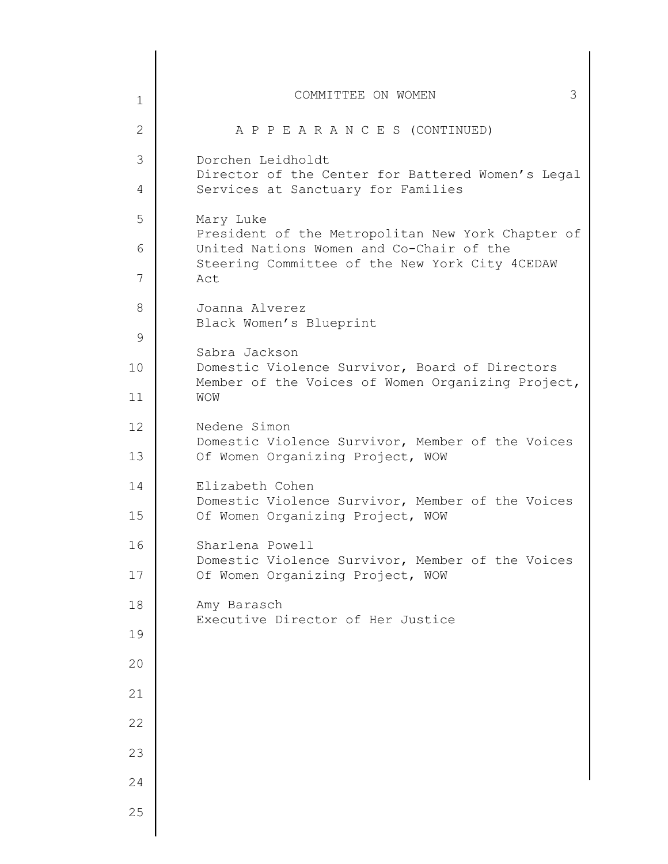| $\mathbf 1$  | 3<br>COMMITTEE ON WOMEN                                                                                                                         |
|--------------|-------------------------------------------------------------------------------------------------------------------------------------------------|
| $\mathbf{2}$ | A P P E A R A N C E S (CONTINUED)                                                                                                               |
| 3            | Dorchen Leidholdt                                                                                                                               |
| 4            | Director of the Center for Battered Women's Legal<br>Services at Sanctuary for Families                                                         |
| 5            | Mary Luke                                                                                                                                       |
| 6            | President of the Metropolitan New York Chapter of<br>United Nations Women and Co-Chair of the<br>Steering Committee of the New York City 4CEDAW |
| 7            | Act                                                                                                                                             |
| 8            | Joanna Alverez<br>Black Women's Blueprint                                                                                                       |
| 9            |                                                                                                                                                 |
| 10           | Sabra Jackson<br>Domestic Violence Survivor, Board of Directors<br>Member of the Voices of Women Organizing Project,                            |
| 11           | WOW                                                                                                                                             |
| 12           | Nedene Simon<br>Domestic Violence Survivor, Member of the Voices                                                                                |
| 13           | Of Women Organizing Project, WOW                                                                                                                |
| 14           | Elizabeth Cohen<br>Domestic Violence Survivor, Member of the Voices                                                                             |
| 15           | Of Women Organizing Project, WOW                                                                                                                |
| 16           | Sharlena Powell<br>Domestic Violence Survivor, Member of the Voices                                                                             |
| 17           | Of Women Organizing Project, WOW                                                                                                                |
| 18           | Amy Barasch<br>Executive Director of Her Justice                                                                                                |
| 19           |                                                                                                                                                 |
| 20           |                                                                                                                                                 |
| 21           |                                                                                                                                                 |
| 22           |                                                                                                                                                 |
| 23           |                                                                                                                                                 |
| 24           |                                                                                                                                                 |
| 25           |                                                                                                                                                 |
|              |                                                                                                                                                 |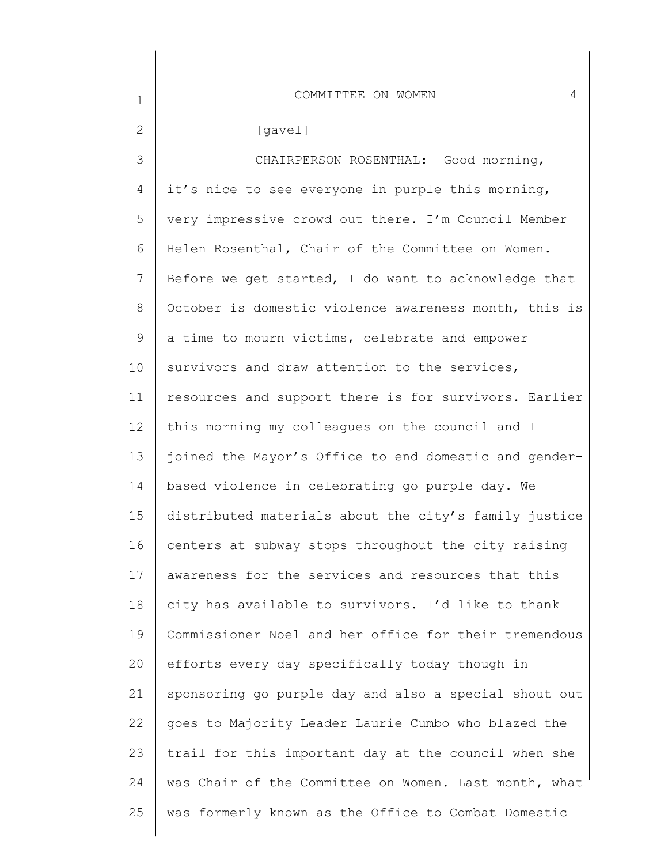| $\mathbf 1$    | COMMITTEE ON WOMEN<br>4                               |
|----------------|-------------------------------------------------------|
| $\mathbf{2}$   | [gavel]                                               |
| 3              | CHAIRPERSON ROSENTHAL: Good morning,                  |
| 4              | it's nice to see everyone in purple this morning,     |
| 5              | very impressive crowd out there. I'm Council Member   |
| 6              | Helen Rosenthal, Chair of the Committee on Women.     |
| $\overline{7}$ | Before we get started, I do want to acknowledge that  |
| 8              | October is domestic violence awareness month, this is |
| 9              | a time to mourn victims, celebrate and empower        |
| 10             | survivors and draw attention to the services,         |
| 11             | resources and support there is for survivors. Earlier |
| 12             | this morning my colleagues on the council and I       |
| 13             | joined the Mayor's Office to end domestic and gender- |
| 14             | based violence in celebrating go purple day. We       |
| 15             | distributed materials about the city's family justice |
| 16             | centers at subway stops throughout the city raising   |
| 17             | awareness for the services and resources that this    |
| 18             | city has available to survivors. I'd like to thank    |
| 19             | Commissioner Noel and her office for their tremendous |
| 20             | efforts every day specifically today though in        |
| 21             | sponsoring go purple day and also a special shout out |
| 22             | goes to Majority Leader Laurie Cumbo who blazed the   |
| 23             | trail for this important day at the council when she  |
| 24             | was Chair of the Committee on Women. Last month, what |
| 25             | was formerly known as the Office to Combat Domestic   |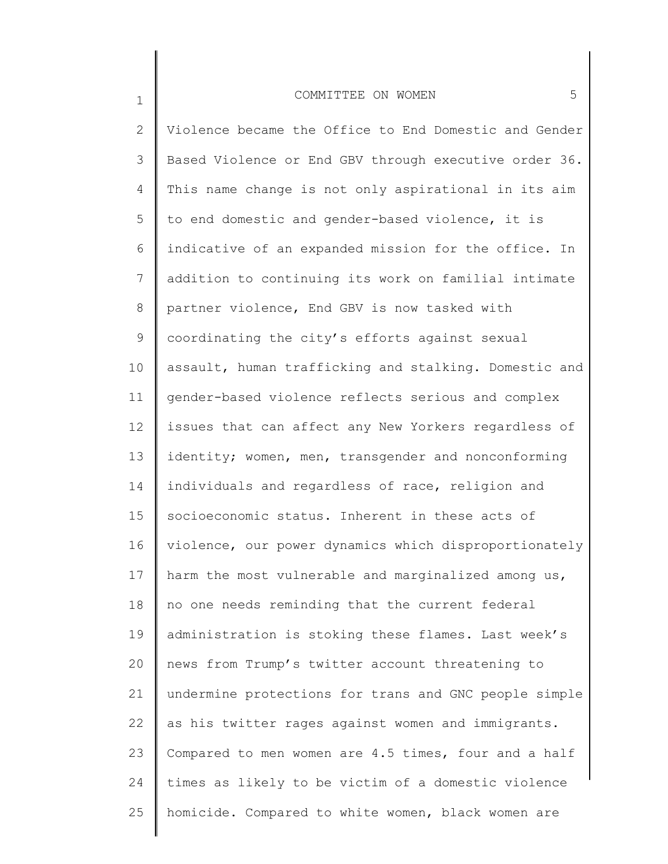1

2 3 4 5 6 7 8 9 10 11 12 13 14 15 16 17 18 19 20 21 22 23 24 25 Violence became the Office to End Domestic and Gender Based Violence or End GBV through executive order 36. This name change is not only aspirational in its aim to end domestic and gender-based violence, it is indicative of an expanded mission for the office. In addition to continuing its work on familial intimate partner violence, End GBV is now tasked with coordinating the city's efforts against sexual assault, human trafficking and stalking. Domestic and gender-based violence reflects serious and complex issues that can affect any New Yorkers regardless of identity; women, men, transgender and nonconforming individuals and regardless of race, religion and socioeconomic status. Inherent in these acts of violence, our power dynamics which disproportionately harm the most vulnerable and marginalized among us, no one needs reminding that the current federal administration is stoking these flames. Last week's news from Trump's twitter account threatening to undermine protections for trans and GNC people simple as his twitter rages against women and immigrants. Compared to men women are 4.5 times, four and a half times as likely to be victim of a domestic violence homicide. Compared to white women, black women are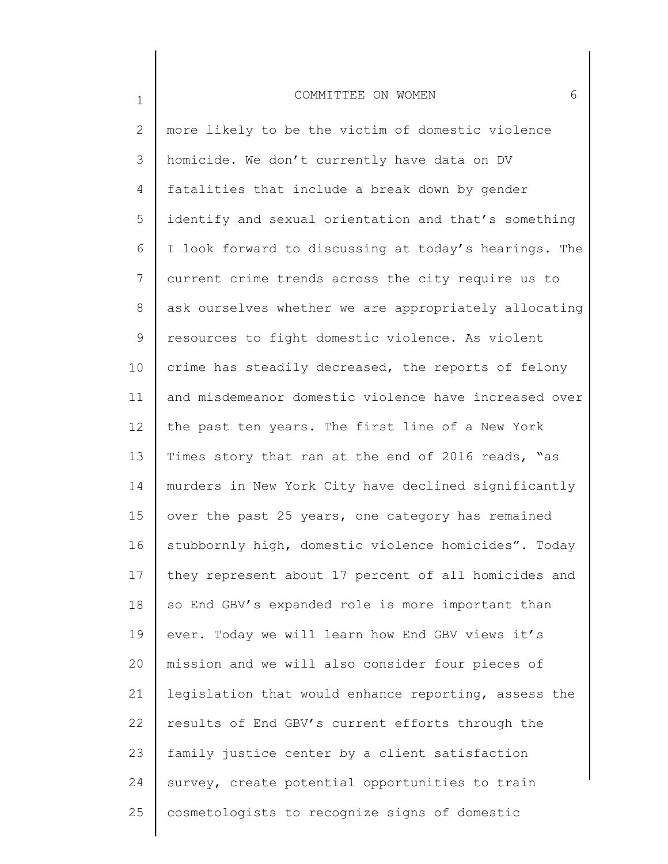1

2 3 4 5 6 7 8 9 10 11 12 13 14 15 16 17 18 19 20 21 22 23 24 25 more likely to be the victim of domestic violence homicide. We don't currently have data on DV fatalities that include a break down by gender identify and sexual orientation and that's something I look forward to discussing at today's hearings. The current crime trends across the city require us to ask ourselves whether we are appropriately allocating resources to fight domestic violence. As violent crime has steadily decreased, the reports of felony and misdemeanor domestic violence have increased over the past ten years. The first line of a New York Times story that ran at the end of 2016 reads, "as murders in New York City have declined significantly over the past 25 years, one category has remained stubbornly high, domestic violence homicides". Today they represent about 17 percent of all homicides and so End GBV's expanded role is more important than ever. Today we will learn how End GBV views it's mission and we will also consider four pieces of legislation that would enhance reporting, assess the results of End GBV's current efforts through the family justice center by a client satisfaction survey, create potential opportunities to train cosmetologists to recognize signs of domestic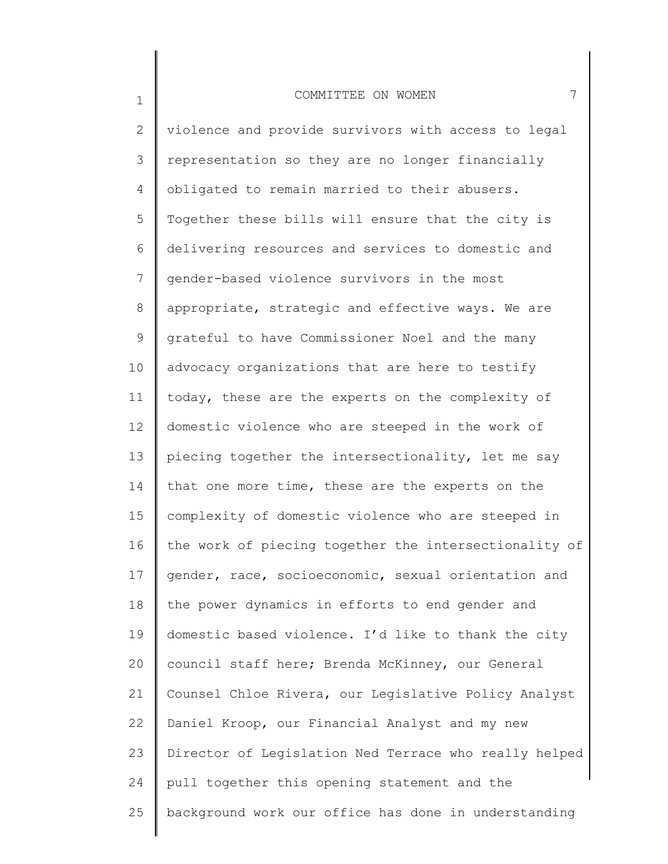1

2 3 4 5 6 7 8 9 10 11 12 13 14 15 16 17 18 19 20 21 22 23 24 25 violence and provide survivors with access to legal representation so they are no longer financially obligated to remain married to their abusers. Together these bills will ensure that the city is delivering resources and services to domestic and gender-based violence survivors in the most appropriate, strategic and effective ways. We are grateful to have Commissioner Noel and the many advocacy organizations that are here to testify today, these are the experts on the complexity of domestic violence who are steeped in the work of piecing together the intersectionality, let me say that one more time, these are the experts on the complexity of domestic violence who are steeped in the work of piecing together the intersectionality of gender, race, socioeconomic, sexual orientation and the power dynamics in efforts to end gender and domestic based violence. I'd like to thank the city council staff here; Brenda McKinney, our General Counsel Chloe Rivera, our Legislative Policy Analyst Daniel Kroop, our Financial Analyst and my new Director of Legislation Ned Terrace who really helped pull together this opening statement and the background work our office has done in understanding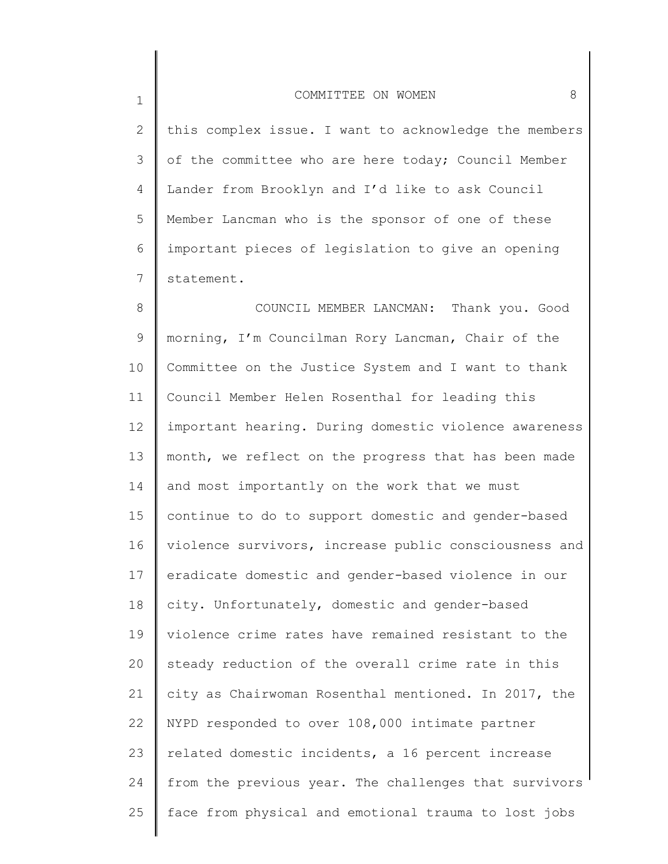1

2 3 4 5 6 7 this complex issue. I want to acknowledge the members of the committee who are here today; Council Member Lander from Brooklyn and I'd like to ask Council Member Lancman who is the sponsor of one of these important pieces of legislation to give an opening statement.

8 9 10 11 12 13 14 15 16 17 18 19 20 21 22 23 24 25 COUNCIL MEMBER LANCMAN: Thank you. Good morning, I'm Councilman Rory Lancman, Chair of the Committee on the Justice System and I want to thank Council Member Helen Rosenthal for leading this important hearing. During domestic violence awareness month, we reflect on the progress that has been made and most importantly on the work that we must continue to do to support domestic and gender-based violence survivors, increase public consciousness and eradicate domestic and gender-based violence in our city. Unfortunately, domestic and gender-based violence crime rates have remained resistant to the steady reduction of the overall crime rate in this city as Chairwoman Rosenthal mentioned. In 2017, the NYPD responded to over 108,000 intimate partner related domestic incidents, a 16 percent increase from the previous year. The challenges that survivors face from physical and emotional trauma to lost jobs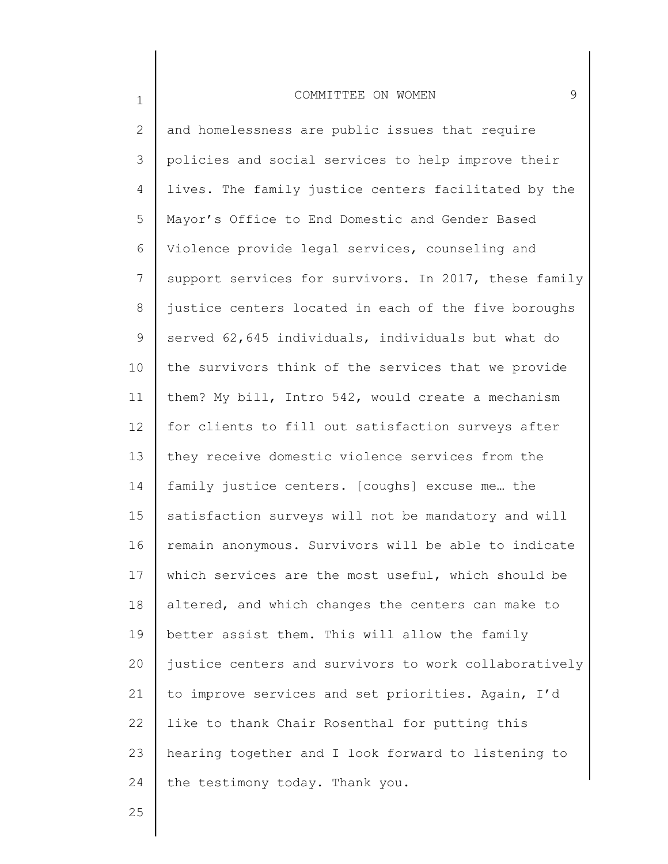2 3 4 5 6 7 8 9 10 11 12 13 14 15 16 17 18 19 20 21 22 23 24 and homelessness are public issues that require policies and social services to help improve their lives. The family justice centers facilitated by the Mayor's Office to End Domestic and Gender Based Violence provide legal services, counseling and support services for survivors. In 2017, these family justice centers located in each of the five boroughs served 62,645 individuals, individuals but what do the survivors think of the services that we provide them? My bill, Intro 542, would create a mechanism for clients to fill out satisfaction surveys after they receive domestic violence services from the family justice centers. [coughs] excuse me… the satisfaction surveys will not be mandatory and will remain anonymous. Survivors will be able to indicate which services are the most useful, which should be altered, and which changes the centers can make to better assist them. This will allow the family justice centers and survivors to work collaboratively to improve services and set priorities. Again, I'd like to thank Chair Rosenthal for putting this hearing together and I look forward to listening to the testimony today. Thank you.

25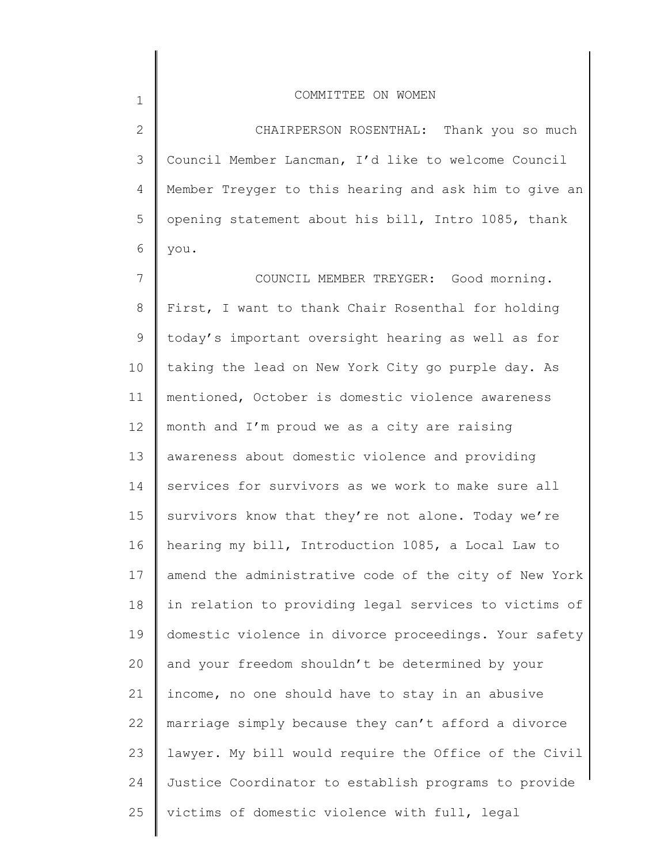2 3 4 5 6 CHAIRPERSON ROSENTHAL: Thank you so much Council Member Lancman, I'd like to welcome Council Member Treyger to this hearing and ask him to give an opening statement about his bill, Intro 1085, thank you.

7 8 9 10 11 12 13 14 15 16 17 18 19 20 21 22 23 24 25 COUNCIL MEMBER TREYGER: Good morning. First, I want to thank Chair Rosenthal for holding today's important oversight hearing as well as for taking the lead on New York City go purple day. As mentioned, October is domestic violence awareness month and I'm proud we as a city are raising awareness about domestic violence and providing services for survivors as we work to make sure all survivors know that they're not alone. Today we're hearing my bill, Introduction 1085, a Local Law to amend the administrative code of the city of New York in relation to providing legal services to victims of domestic violence in divorce proceedings. Your safety and your freedom shouldn't be determined by your income, no one should have to stay in an abusive marriage simply because they can't afford a divorce lawyer. My bill would require the Office of the Civil Justice Coordinator to establish programs to provide victims of domestic violence with full, legal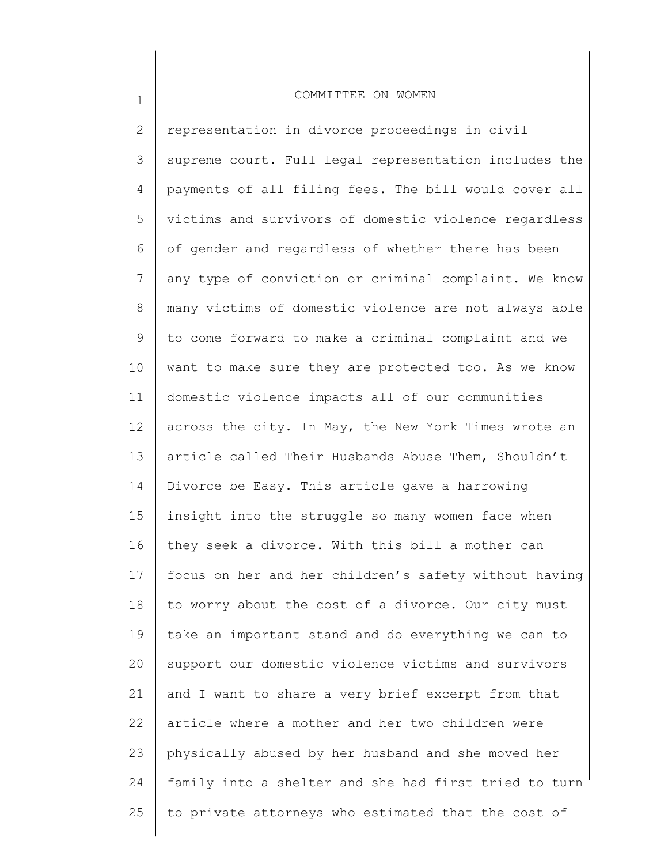1

2 3 4 5 6 7 8 9 10 11 12 13 14 15 16 17 18 19 20 21 22 23 24 25 representation in divorce proceedings in civil supreme court. Full legal representation includes the payments of all filing fees. The bill would cover all victims and survivors of domestic violence regardless of gender and regardless of whether there has been any type of conviction or criminal complaint. We know many victims of domestic violence are not always able to come forward to make a criminal complaint and we want to make sure they are protected too. As we know domestic violence impacts all of our communities across the city. In May, the New York Times wrote an article called Their Husbands Abuse Them, Shouldn't Divorce be Easy. This article gave a harrowing insight into the struggle so many women face when they seek a divorce. With this bill a mother can focus on her and her children's safety without having to worry about the cost of a divorce. Our city must take an important stand and do everything we can to support our domestic violence victims and survivors and I want to share a very brief excerpt from that article where a mother and her two children were physically abused by her husband and she moved her family into a shelter and she had first tried to turn to private attorneys who estimated that the cost of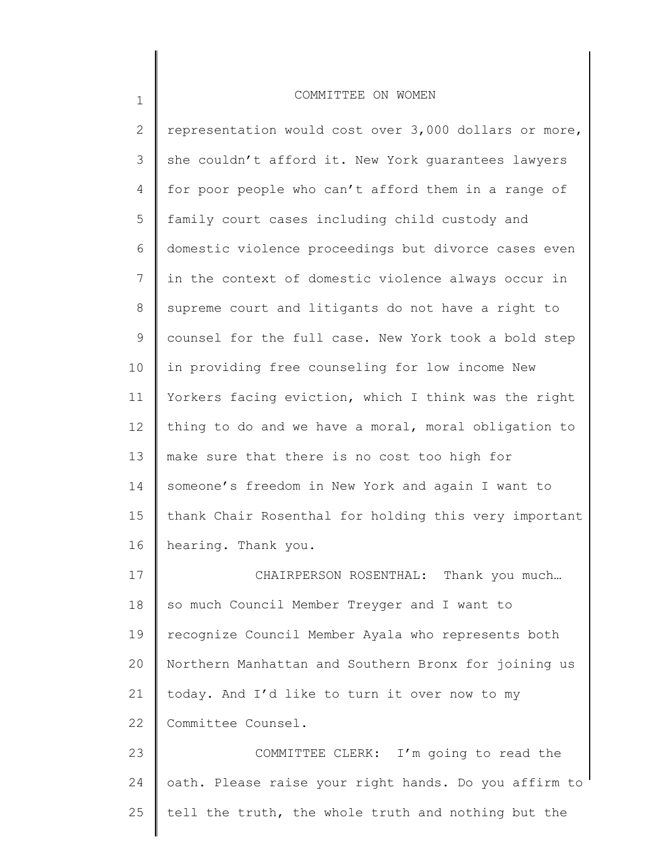2 3 4 5 6 7 8 9 10 11 12 13 14 15 16 17 18 19 20 21 representation would cost over  $3,000$  dollars or more, she couldn't afford it. New York guarantees lawyers for poor people who can't afford them in a range of family court cases including child custody and domestic violence proceedings but divorce cases even in the context of domestic violence always occur in supreme court and litigants do not have a right to counsel for the full case. New York took a bold step in providing free counseling for low income New Yorkers facing eviction, which I think was the right thing to do and we have a moral, moral obligation to make sure that there is no cost too high for someone's freedom in New York and again I want to thank Chair Rosenthal for holding this very important hearing. Thank you. CHAIRPERSON ROSENTHAL: Thank you much… so much Council Member Treyger and I want to recognize Council Member Ayala who represents both Northern Manhattan and Southern Bronx for joining us today. And I'd like to turn it over now to my

22 Committee Counsel.

1

23 24 25 COMMITTEE CLERK: I'm going to read the oath. Please raise your right hands. Do you affirm to tell the truth, the whole truth and nothing but the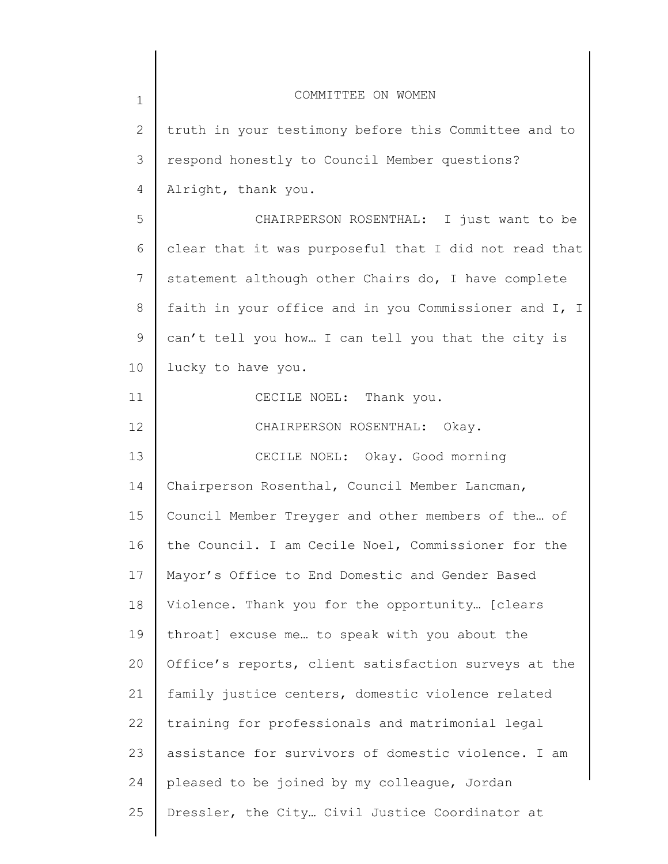| $\mathbf 1$ | COMMITTEE ON WOMEN                                    |
|-------------|-------------------------------------------------------|
| 2           | truth in your testimony before this Committee and to  |
| 3           | respond honestly to Council Member questions?         |
| 4           | Alright, thank you.                                   |
| 5           | CHAIRPERSON ROSENTHAL: I just want to be              |
| 6           | clear that it was purposeful that I did not read that |
| 7           | statement although other Chairs do, I have complete   |
| $8\,$       | faith in your office and in you Commissioner and I, I |
| 9           | can't tell you how I can tell you that the city is    |
| 10          | lucky to have you.                                    |
| 11          | CECILE NOEL: Thank you.                               |
| 12          | CHAIRPERSON ROSENTHAL: Okay.                          |
| 13          | CECILE NOEL: Okay. Good morning                       |
| 14          | Chairperson Rosenthal, Council Member Lancman,        |
| 15          | Council Member Treyger and other members of the of    |
| 16          | the Council. I am Cecile Noel, Commissioner for the   |
| 17          | Mayor's Office to End Domestic and Gender Based       |
| 18          | Violence. Thank you for the opportunity [clears       |
| 19          | throat] excuse me to speak with you about the         |
| 20          | Office's reports, client satisfaction surveys at the  |
| 21          | family justice centers, domestic violence related     |
| 22          | training for professionals and matrimonial legal      |
| 23          | assistance for survivors of domestic violence. I am   |
| 24          | pleased to be joined by my colleague, Jordan          |
| 25          | Dressler, the City Civil Justice Coordinator at       |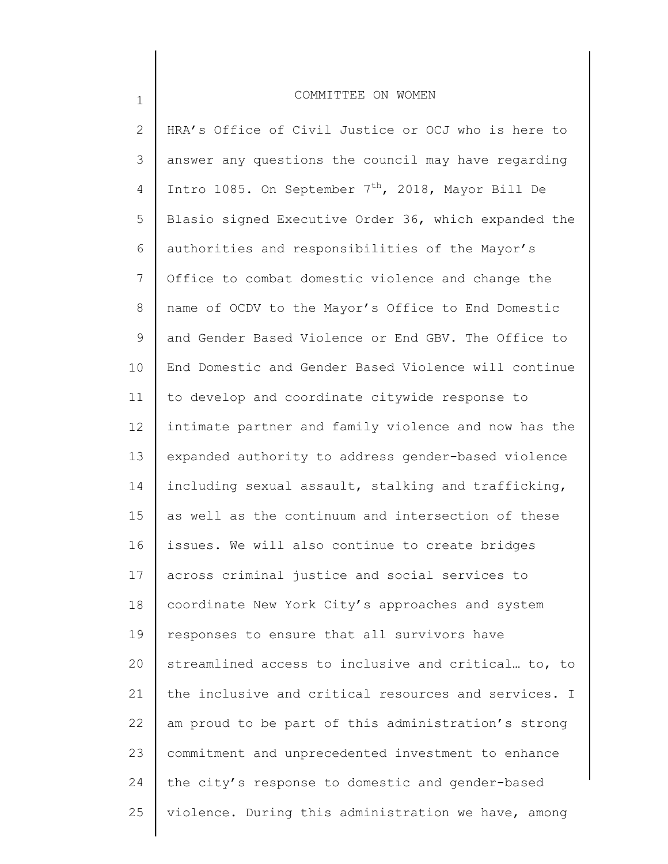1

2 3 4 5 6 7 8 9 10 11 12 13 14 15 16 17 18 19 20 21 22 23 24 25 HRA's Office of Civil Justice or OCJ who is here to answer any questions the council may have regarding Intro 1085. On September  $7<sup>th</sup>$ , 2018, Mayor Bill De Blasio signed Executive Order 36, which expanded the authorities and responsibilities of the Mayor's Office to combat domestic violence and change the name of OCDV to the Mayor's Office to End Domestic and Gender Based Violence or End GBV. The Office to End Domestic and Gender Based Violence will continue to develop and coordinate citywide response to intimate partner and family violence and now has the expanded authority to address gender-based violence including sexual assault, stalking and trafficking, as well as the continuum and intersection of these issues. We will also continue to create bridges across criminal justice and social services to coordinate New York City's approaches and system responses to ensure that all survivors have streamlined access to inclusive and critical… to, to the inclusive and critical resources and services. I am proud to be part of this administration's strong commitment and unprecedented investment to enhance the city's response to domestic and gender-based violence. During this administration we have, among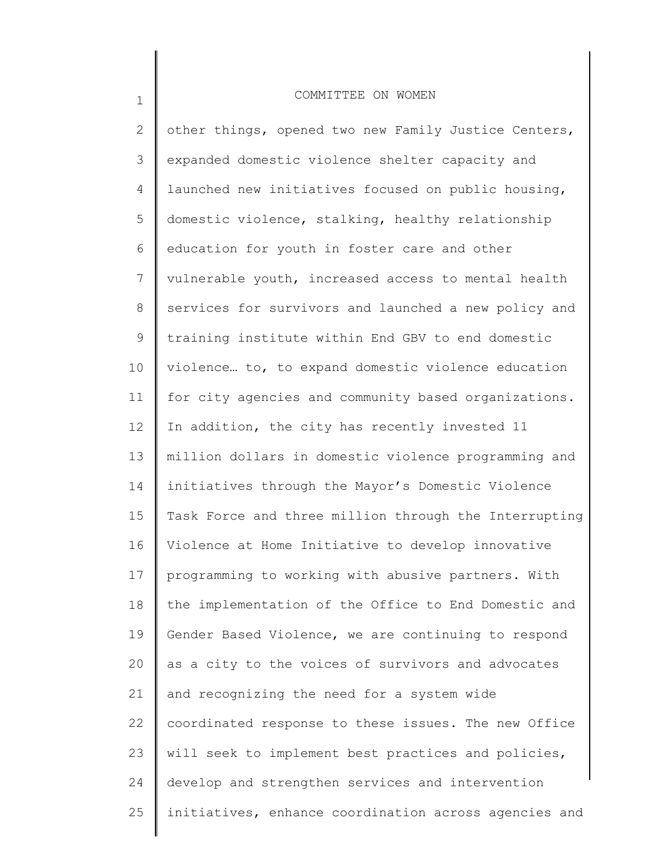1

2 3 4 5 6 7 8 9 10 11 12 13 14 15 16 17 18 19 20 21 22 23 24 25 other things, opened two new Family Justice Centers, expanded domestic violence shelter capacity and launched new initiatives focused on public housing, domestic violence, stalking, healthy relationship education for youth in foster care and other vulnerable youth, increased access to mental health services for survivors and launched a new policy and training institute within End GBV to end domestic violence… to, to expand domestic violence education for city agencies and community based organizations. In addition, the city has recently invested 11 million dollars in domestic violence programming and initiatives through the Mayor's Domestic Violence Task Force and three million through the Interrupting Violence at Home Initiative to develop innovative programming to working with abusive partners. With the implementation of the Office to End Domestic and Gender Based Violence, we are continuing to respond as a city to the voices of survivors and advocates and recognizing the need for a system wide coordinated response to these issues. The new Office will seek to implement best practices and policies, develop and strengthen services and intervention initiatives, enhance coordination across agencies and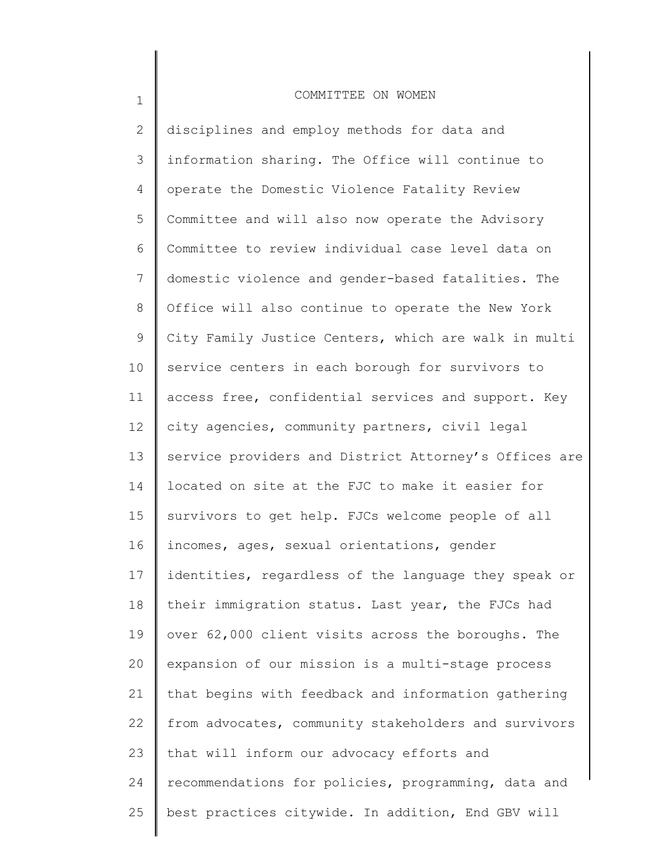1

2 3 4 5 6 7 8 9 10 11 12 13 14 15 16 17 18 19 20 21 22 23 24 25 disciplines and employ methods for data and information sharing. The Office will continue to operate the Domestic Violence Fatality Review Committee and will also now operate the Advisory Committee to review individual case level data on domestic violence and gender-based fatalities. The Office will also continue to operate the New York City Family Justice Centers, which are walk in multi service centers in each borough for survivors to access free, confidential services and support. Key city agencies, community partners, civil legal service providers and District Attorney's Offices are located on site at the FJC to make it easier for survivors to get help. FJCs welcome people of all incomes, ages, sexual orientations, gender identities, regardless of the language they speak or their immigration status. Last year, the FJCs had over 62,000 client visits across the boroughs. The expansion of our mission is a multi-stage process that begins with feedback and information gathering from advocates, community stakeholders and survivors that will inform our advocacy efforts and recommendations for policies, programming, data and best practices citywide. In addition, End GBV will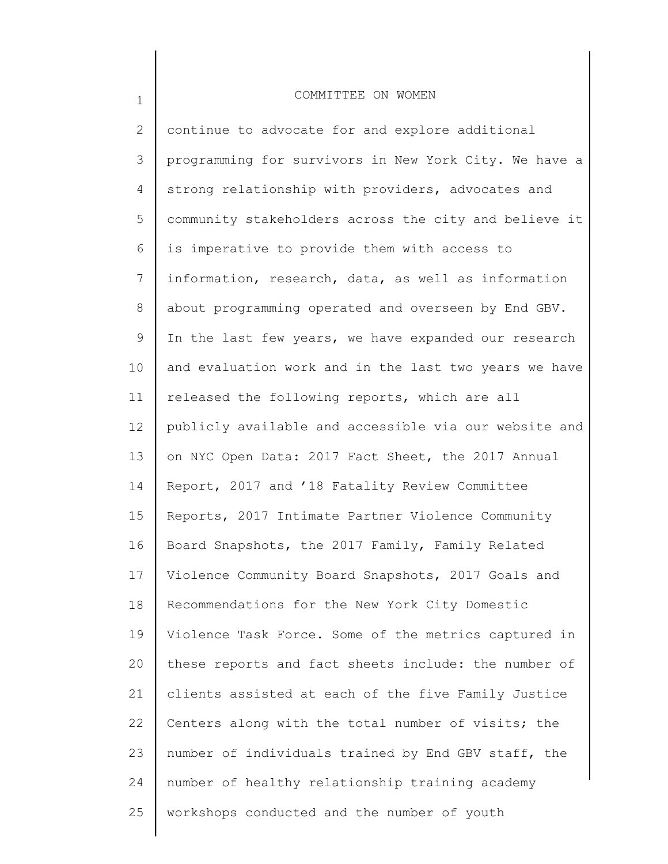1

2 3 4 5 6 7 8 9 10 11 12 13 14 15 16 17 18 19 20 21 22 23 24 25 continue to advocate for and explore additional programming for survivors in New York City. We have a strong relationship with providers, advocates and community stakeholders across the city and believe it is imperative to provide them with access to information, research, data, as well as information about programming operated and overseen by End GBV. In the last few years, we have expanded our research and evaluation work and in the last two years we have released the following reports, which are all publicly available and accessible via our website and on NYC Open Data: 2017 Fact Sheet, the 2017 Annual Report, 2017 and '18 Fatality Review Committee Reports, 2017 Intimate Partner Violence Community Board Snapshots, the 2017 Family, Family Related Violence Community Board Snapshots, 2017 Goals and Recommendations for the New York City Domestic Violence Task Force. Some of the metrics captured in these reports and fact sheets include: the number of clients assisted at each of the five Family Justice Centers along with the total number of visits; the number of individuals trained by End GBV staff, the number of healthy relationship training academy workshops conducted and the number of youth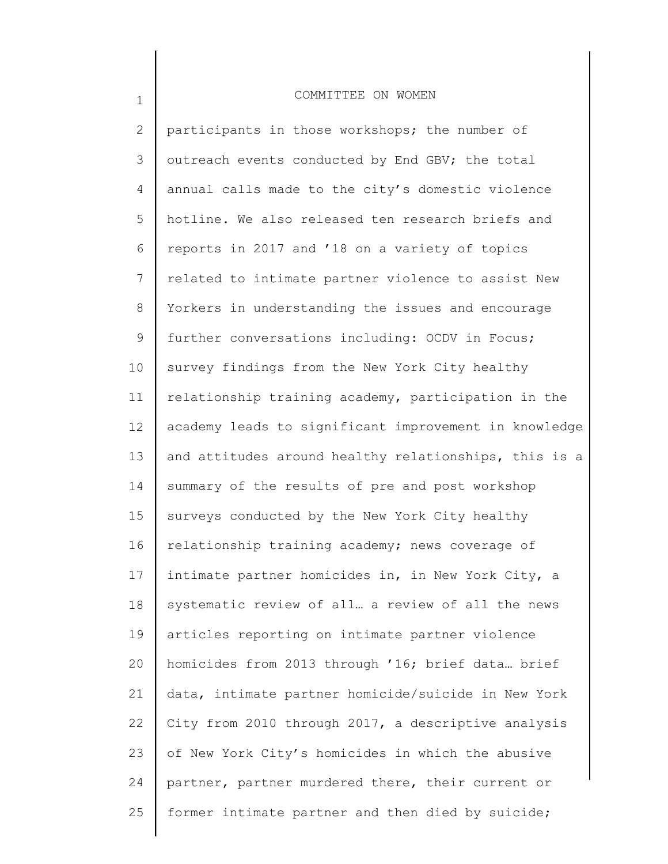1

2 3 4 5 6 7 8 9 10 11 12 13 14 15 16 17 18 19 20 21 22 23 24 25 participants in those workshops; the number of outreach events conducted by End GBV; the total annual calls made to the city's domestic violence hotline. We also released ten research briefs and reports in 2017 and '18 on a variety of topics related to intimate partner violence to assist New Yorkers in understanding the issues and encourage further conversations including: OCDV in Focus; survey findings from the New York City healthy relationship training academy, participation in the academy leads to significant improvement in knowledge and attitudes around healthy relationships, this is a summary of the results of pre and post workshop surveys conducted by the New York City healthy relationship training academy; news coverage of intimate partner homicides in, in New York City, a systematic review of all… a review of all the news articles reporting on intimate partner violence homicides from 2013 through '16; brief data… brief data, intimate partner homicide/suicide in New York City from 2010 through 2017, a descriptive analysis of New York City's homicides in which the abusive partner, partner murdered there, their current or former intimate partner and then died by suicide;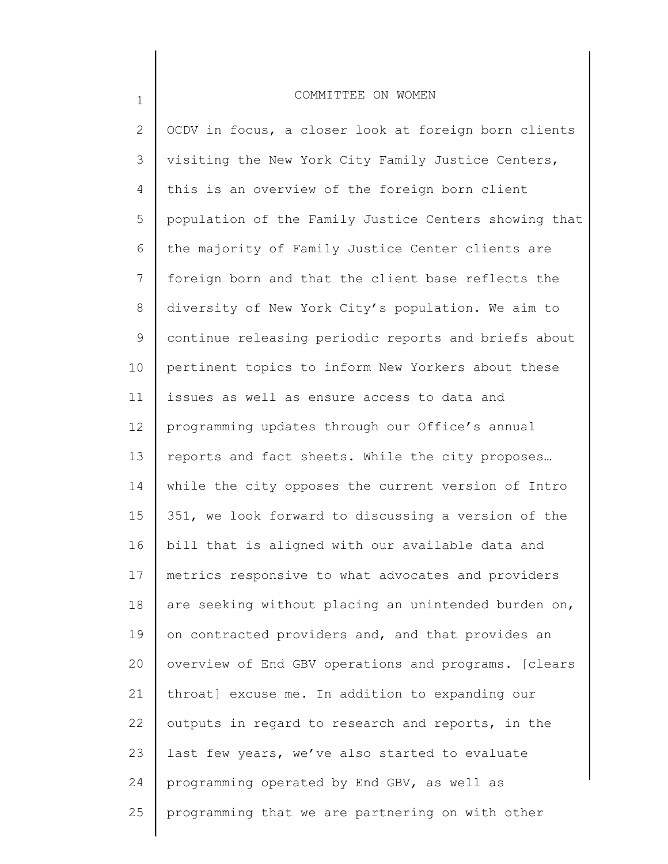1

2 3 4 5 6 7 8 9 10 11 12 13 14 15 16 17 18 19 20 21 22 23 24 25 OCDV in focus, a closer look at foreign born clients visiting the New York City Family Justice Centers, this is an overview of the foreign born client population of the Family Justice Centers showing that the majority of Family Justice Center clients are foreign born and that the client base reflects the diversity of New York City's population. We aim to continue releasing periodic reports and briefs about pertinent topics to inform New Yorkers about these issues as well as ensure access to data and programming updates through our Office's annual reports and fact sheets. While the city proposes… while the city opposes the current version of Intro 351, we look forward to discussing a version of the bill that is aligned with our available data and metrics responsive to what advocates and providers are seeking without placing an unintended burden on, on contracted providers and, and that provides an overview of End GBV operations and programs. [clears throat] excuse me. In addition to expanding our outputs in regard to research and reports, in the last few years, we've also started to evaluate programming operated by End GBV, as well as programming that we are partnering on with other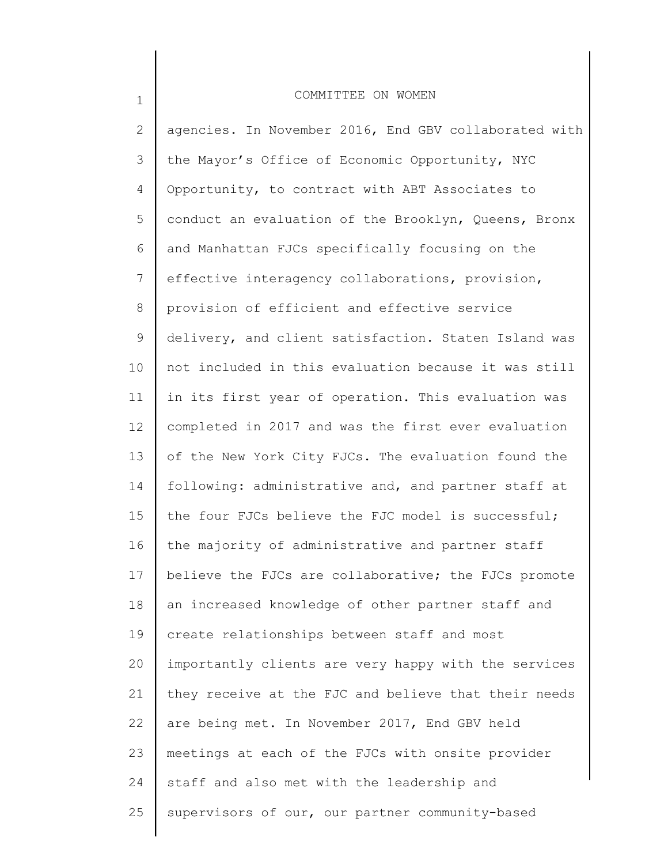2 3 4 5 6 7 8 9 10 11 12 13 14 15 16 17 18 19 20 21 22 23 24 25 agencies. In November 2016, End GBV collaborated with the Mayor's Office of Economic Opportunity, NYC Opportunity, to contract with ABT Associates to conduct an evaluation of the Brooklyn, Queens, Bronx and Manhattan FJCs specifically focusing on the effective interagency collaborations, provision, provision of efficient and effective service delivery, and client satisfaction. Staten Island was not included in this evaluation because it was still in its first year of operation. This evaluation was completed in 2017 and was the first ever evaluation of the New York City FJCs. The evaluation found the following: administrative and, and partner staff at the four FJCs believe the FJC model is successful; the majority of administrative and partner staff believe the FJCs are collaborative; the FJCs promote an increased knowledge of other partner staff and create relationships between staff and most importantly clients are very happy with the services they receive at the FJC and believe that their needs are being met. In November 2017, End GBV held meetings at each of the FJCs with onsite provider staff and also met with the leadership and supervisors of our, our partner community-based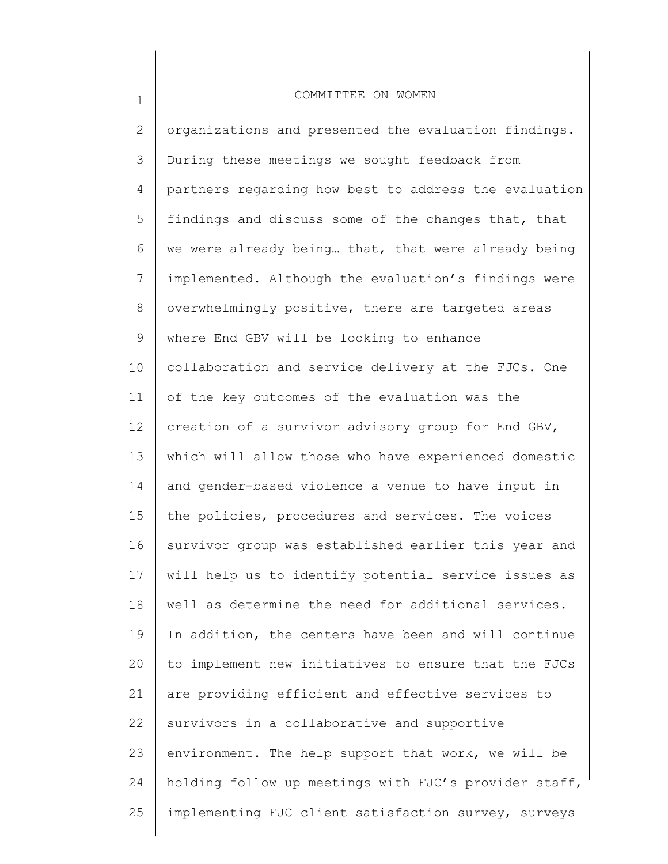1

2 3 4 5 6 7 8 9 10 11 12 13 14 15 16 17 18 19 20 21 22 23 24 25 organizations and presented the evaluation findings. During these meetings we sought feedback from partners regarding how best to address the evaluation findings and discuss some of the changes that, that we were already being… that, that were already being implemented. Although the evaluation's findings were overwhelmingly positive, there are targeted areas where End GBV will be looking to enhance collaboration and service delivery at the FJCs. One of the key outcomes of the evaluation was the creation of a survivor advisory group for End GBV, which will allow those who have experienced domestic and gender-based violence a venue to have input in the policies, procedures and services. The voices survivor group was established earlier this year and will help us to identify potential service issues as well as determine the need for additional services. In addition, the centers have been and will continue to implement new initiatives to ensure that the FJCs are providing efficient and effective services to survivors in a collaborative and supportive environment. The help support that work, we will be holding follow up meetings with FJC's provider staff, implementing FJC client satisfaction survey, surveys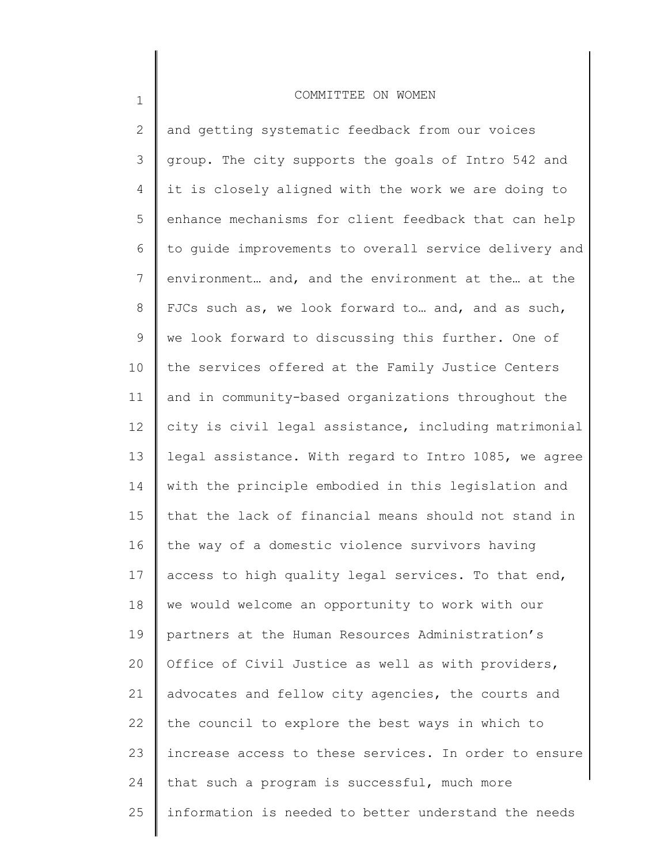1

2 3 4 5 6 7 8 9 10 11 12 13 14 15 16 17 18 19 20 21 22 23 24 25 and getting systematic feedback from our voices group. The city supports the goals of Intro 542 and it is closely aligned with the work we are doing to enhance mechanisms for client feedback that can help to guide improvements to overall service delivery and environment… and, and the environment at the… at the FJCs such as, we look forward to… and, and as such, we look forward to discussing this further. One of the services offered at the Family Justice Centers and in community-based organizations throughout the city is civil legal assistance, including matrimonial legal assistance. With regard to Intro 1085, we agree with the principle embodied in this legislation and that the lack of financial means should not stand in the way of a domestic violence survivors having access to high quality legal services. To that end, we would welcome an opportunity to work with our partners at the Human Resources Administration's Office of Civil Justice as well as with providers, advocates and fellow city agencies, the courts and the council to explore the best ways in which to increase access to these services. In order to ensure that such a program is successful, much more information is needed to better understand the needs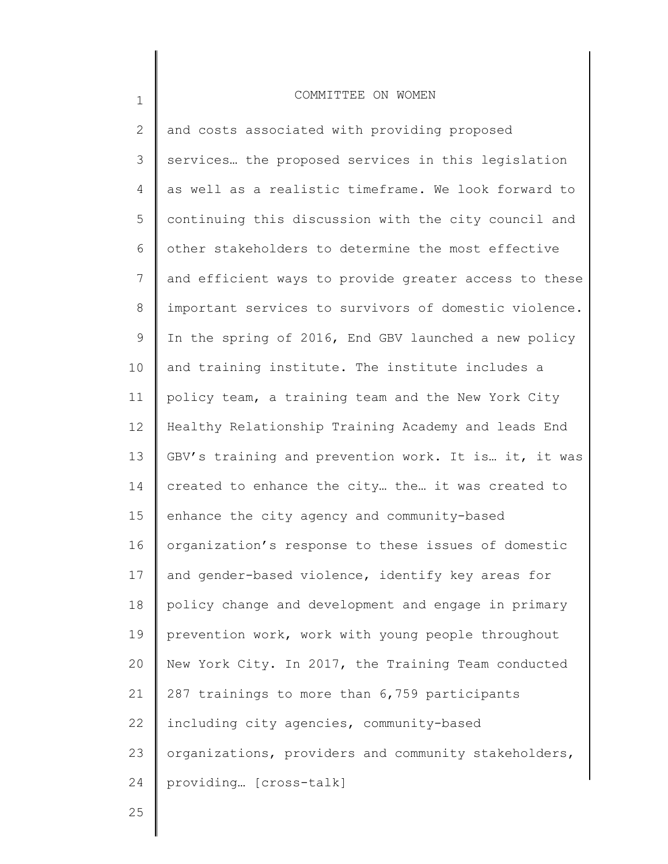2 3 4 5 6 7 8 9 10 11 12 13 14 15 16 17 18 19 20 21 22 23 24 and costs associated with providing proposed services… the proposed services in this legislation as well as a realistic timeframe. We look forward to continuing this discussion with the city council and other stakeholders to determine the most effective and efficient ways to provide greater access to these important services to survivors of domestic violence. In the spring of 2016, End GBV launched a new policy and training institute. The institute includes a policy team, a training team and the New York City Healthy Relationship Training Academy and leads End GBV's training and prevention work. It is… it, it was created to enhance the city… the… it was created to enhance the city agency and community-based organization's response to these issues of domestic and gender-based violence, identify key areas for policy change and development and engage in primary prevention work, work with young people throughout New York City. In 2017, the Training Team conducted 287 trainings to more than 6,759 participants including city agencies, community-based organizations, providers and community stakeholders, providing… [cross-talk]

25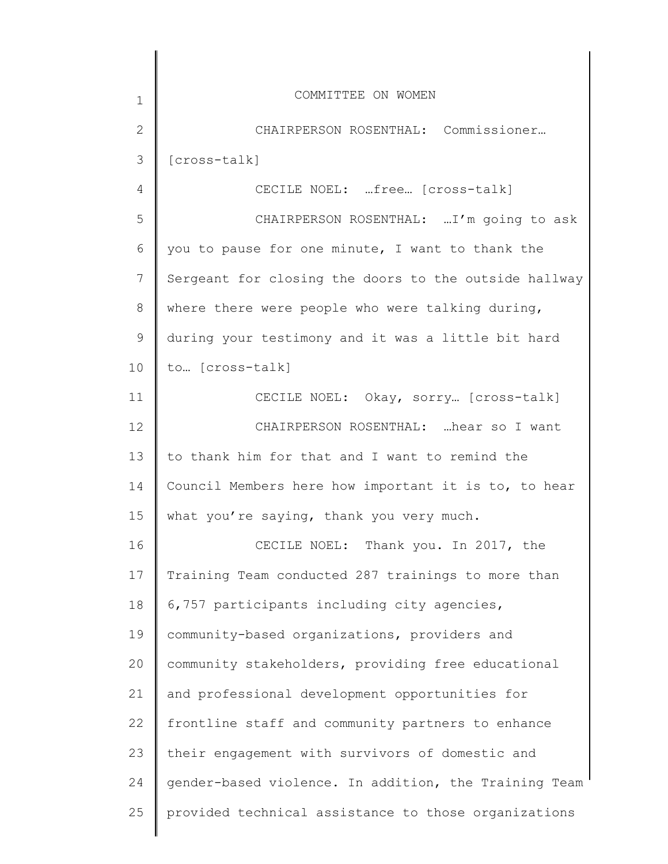| 1             | COMMITTEE ON WOMEN                                    |
|---------------|-------------------------------------------------------|
| $\mathbf{2}$  | CHAIRPERSON ROSENTHAL: Commissioner                   |
| 3             | [cross-talk]                                          |
| 4             | CECILE NOEL: free [cross-talk]                        |
| 5             | CHAIRPERSON ROSENTHAL:  I'm going to ask              |
| 6             | you to pause for one minute, I want to thank the      |
| 7             | Sergeant for closing the doors to the outside hallway |
| 8             | where there were people who were talking during,      |
| $\mathcal{G}$ | during your testimony and it was a little bit hard    |
| 10            | to [cross-talk]                                       |
| 11            | CECILE NOEL: Okay, sorry [cross-talk]                 |
| 12            | CHAIRPERSON ROSENTHAL:  hear so I want                |
| 13            | to thank him for that and I want to remind the        |
| 14            | Council Members here how important it is to, to hear  |
| 15            | what you're saying, thank you very much.              |
| 16            | CECILE NOEL: Thank you. In 2017, the                  |
| 17            | Training Team conducted 287 trainings to more than    |
| 18            | 6,757 participants including city agencies,           |
| 19            | community-based organizations, providers and          |
| 20            | community stakeholders, providing free educational    |
| 21            | and professional development opportunities for        |
| 22            | frontline staff and community partners to enhance     |
| 23            | their engagement with survivors of domestic and       |
| 24            | gender-based violence. In addition, the Training Team |
| 25            | provided technical assistance to those organizations  |
|               |                                                       |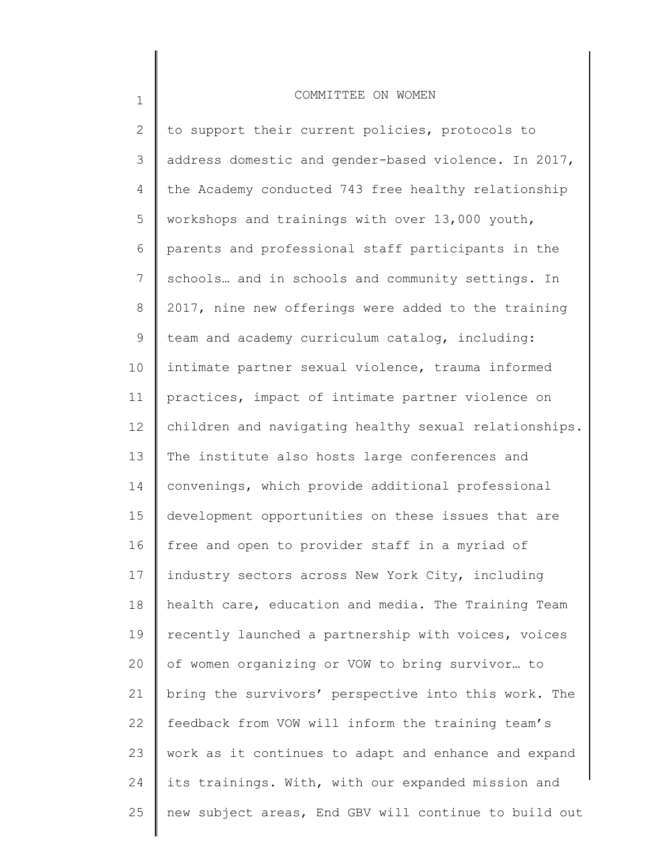1

2 3 4 5 6 7 8 9 10 11 12 13 14 15 16 17 18 19 20 21 22 23 24 25 to support their current policies, protocols to address domestic and gender-based violence. In 2017, the Academy conducted 743 free healthy relationship workshops and trainings with over 13,000 youth, parents and professional staff participants in the schools… and in schools and community settings. In 2017, nine new offerings were added to the training team and academy curriculum catalog, including: intimate partner sexual violence, trauma informed practices, impact of intimate partner violence on children and navigating healthy sexual relationships. The institute also hosts large conferences and convenings, which provide additional professional development opportunities on these issues that are free and open to provider staff in a myriad of industry sectors across New York City, including health care, education and media. The Training Team recently launched a partnership with voices, voices of women organizing or VOW to bring survivor… to bring the survivors' perspective into this work. The feedback from VOW will inform the training team's work as it continues to adapt and enhance and expand its trainings. With, with our expanded mission and new subject areas, End GBV will continue to build out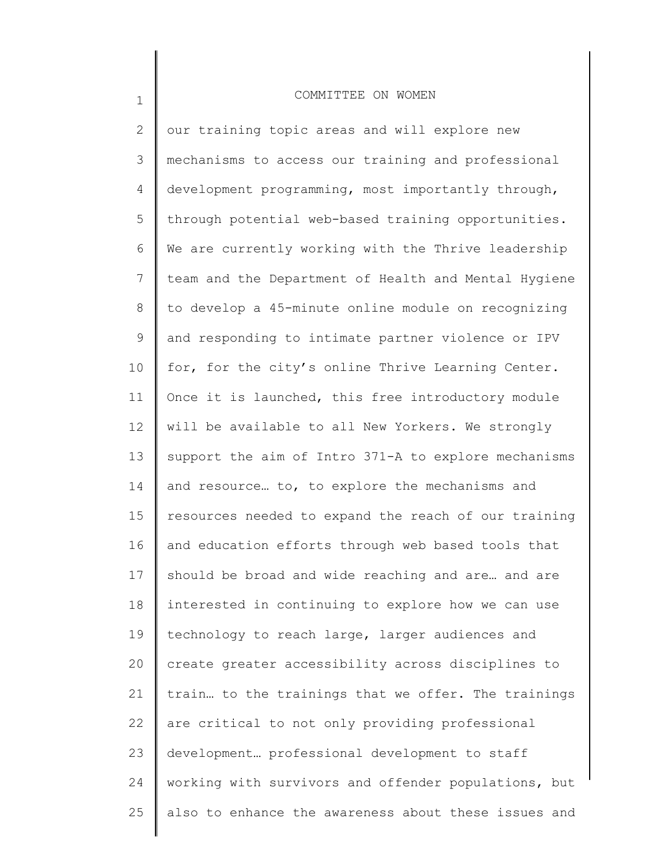1

2 3 4 5 6 7 8 9 10 11 12 13 14 15 16 17 18 19 20 21 22 23 24 25 our training topic areas and will explore new mechanisms to access our training and professional development programming, most importantly through, through potential web-based training opportunities. We are currently working with the Thrive leadership team and the Department of Health and Mental Hygiene to develop a 45-minute online module on recognizing and responding to intimate partner violence or IPV for, for the city's online Thrive Learning Center. Once it is launched, this free introductory module will be available to all New Yorkers. We strongly support the aim of Intro 371-A to explore mechanisms and resource… to, to explore the mechanisms and resources needed to expand the reach of our training and education efforts through web based tools that should be broad and wide reaching and are… and are interested in continuing to explore how we can use technology to reach large, larger audiences and create greater accessibility across disciplines to train… to the trainings that we offer. The trainings are critical to not only providing professional development… professional development to staff working with survivors and offender populations, but also to enhance the awareness about these issues and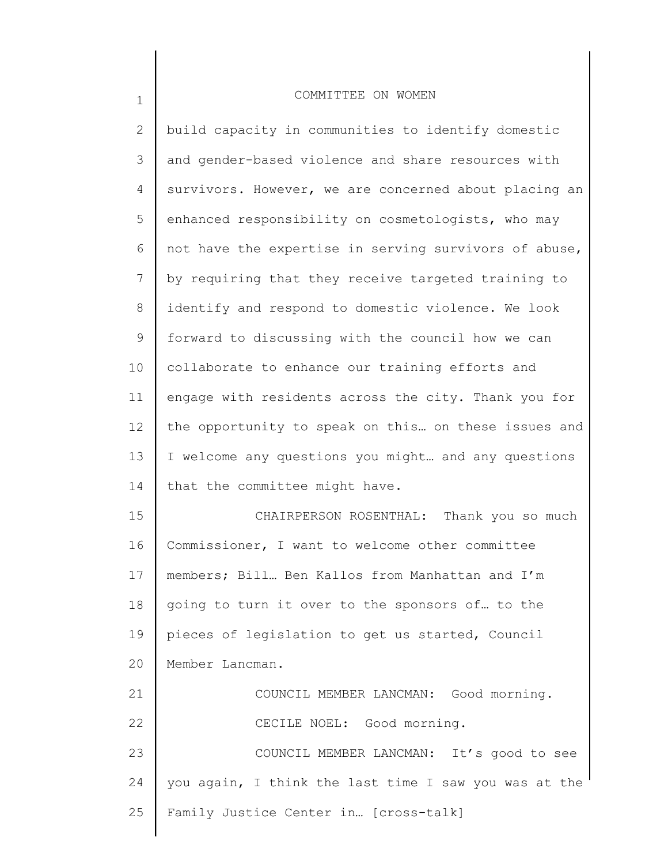| $\overline{2}$  | build capacity in communities to identify domestic    |
|-----------------|-------------------------------------------------------|
| 3               | and gender-based violence and share resources with    |
| 4               | survivors. However, we are concerned about placing an |
| 5               | enhanced responsibility on cosmetologists, who may    |
| 6               | not have the expertise in serving survivors of abuse, |
| 7               | by requiring that they receive targeted training to   |
| $8\,$           | identify and respond to domestic violence. We look    |
| $\mathsf 9$     | forward to discussing with the council how we can     |
| 10 <sub>o</sub> | collaborate to enhance our training efforts and       |
| 11              | engage with residents across the city. Thank you for  |
| 12              | the opportunity to speak on this on these issues and  |
| 13              | I welcome any questions you might and any questions   |
| 14              | that the committee might have.                        |
| 15              | CHAIRPERSON ROSENTHAL: Thank you so much              |
| 16              | Commissioner, I want to welcome other committee       |
| 17              | members; Bill Ben Kallos from Manhattan and I'm       |
| 18              | going to turn it over to the sponsors of to the       |
| 19              | pieces of legislation to get us started, Council      |
| 20              | Member Lancman.                                       |
| 21              | COUNCIL MEMBER LANCMAN: Good morning.                 |
| 22              | CECILE NOEL: Good morning.                            |
| 23              | COUNCIL MEMBER LANCMAN: It's good to see              |
| 24              | you again, I think the last time I saw you was at the |
| 25              | Family Justice Center in [cross-talk]                 |
|                 |                                                       |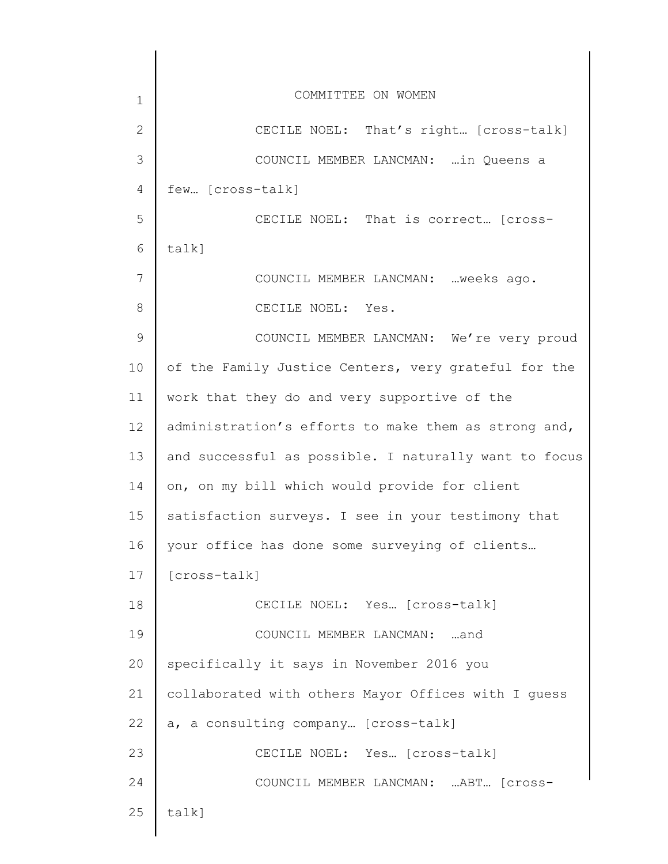| 1            | COMMITTEE ON WOMEN                                    |
|--------------|-------------------------------------------------------|
| $\mathbf{2}$ | CECILE NOEL: That's right [cross-talk]                |
| 3            | COUNCIL MEMBER LANCMAN:  in Queens a                  |
| 4            | few [cross-talk]                                      |
| 5            | CECILE NOEL: That is correct [cross-                  |
| 6            | talk]                                                 |
| 7            | COUNCIL MEMBER LANCMAN:  weeks ago.                   |
| 8            | CECILE NOEL: Yes.                                     |
| 9            | COUNCIL MEMBER LANCMAN: We're very proud              |
| 10           | of the Family Justice Centers, very grateful for the  |
| 11           | work that they do and very supportive of the          |
| 12           | administration's efforts to make them as strong and,  |
| 13           | and successful as possible. I naturally want to focus |
| 14           | on, on my bill which would provide for client         |
| 15           | satisfaction surveys. I see in your testimony that    |
| 16           | your office has done some surveying of clients        |
| 17           | [cross-talk]                                          |
| 18           | CECILE NOEL: Yes [cross-talk]                         |
| 19           | COUNCIL MEMBER LANCMAN: and                           |
| 20           | specifically it says in November 2016 you             |
| 21           | collaborated with others Mayor Offices with I guess   |
| 22           | a, a consulting company [cross-talk]                  |
| 23           | CECILE NOEL: Yes [cross-talk]                         |
| 24           | COUNCIL MEMBER LANCMAN: ABT [Cross-                   |
| 25           | talk]                                                 |
|              |                                                       |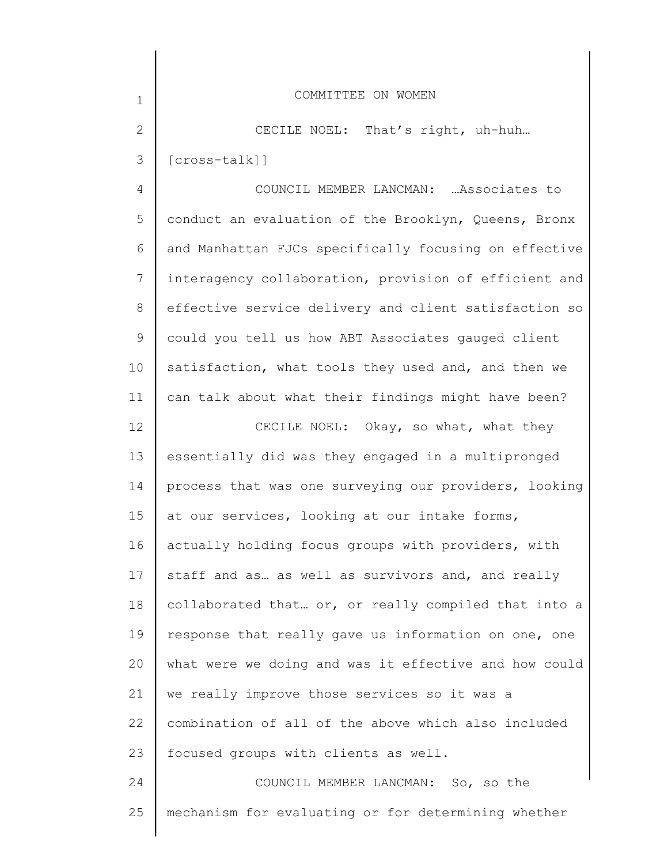| $\mathbf 1$    | COMMITTEE ON WOMEN                                    |
|----------------|-------------------------------------------------------|
| $\overline{2}$ | CECILE NOEL: That's right, uh-huh                     |
| 3              | $[cross-talk]]$                                       |
| $\overline{4}$ | COUNCIL MEMBER LANCMAN:  Associates to                |
| 5              | conduct an evaluation of the Brooklyn, Queens, Bronx  |
| 6              | and Manhattan FJCs specifically focusing on effective |
| $7\phantom{.}$ | interagency collaboration, provision of efficient and |
| $8\,$          | effective service delivery and client satisfaction so |
| $\mathsf 9$    | could you tell us how ABT Associates gauged client    |
| 10             | satisfaction, what tools they used and, and then we   |
| 11             | can talk about what their findings might have been?   |
| 12             | CECILE NOEL: Okay, so what, what they                 |
| 13             | essentially did was they engaged in a multipronged    |
| 14             | process that was one surveying our providers, looking |
| 15             | at our services, looking at our intake forms,         |
| 16             | actually holding focus groups with providers, with    |
| 17             | staff and as as well as survivors and, and really     |
| 18             | collaborated that or, or really compiled that into a  |
| 19             | response that really gave us information on one, one  |
| 20             | what were we doing and was it effective and how could |
| 21             | we really improve those services so it was a          |
| 22             | combination of all of the above which also included   |
| 23             | focused groups with clients as well.                  |
| 24             | COUNCIL MEMBER LANCMAN: So, so the                    |

mechanism for evaluating or for determining whether

25

║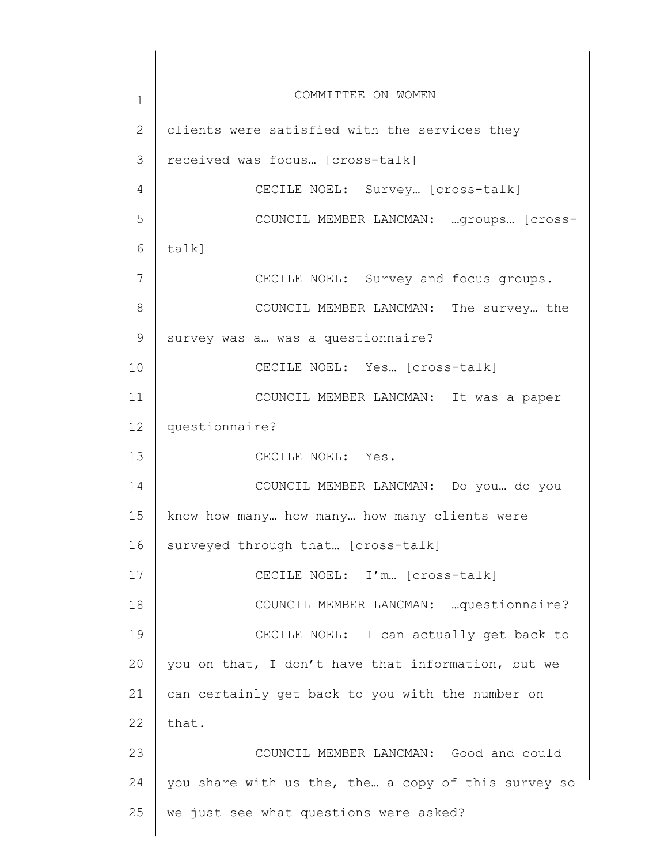1 2 3 4 5 6 7 8 9 10 11 12 13 14 15 16 17 18 19 20 21 22 23 24 25 COMMITTEE ON WOMEN clients were satisfied with the services they received was focus… [cross-talk] CECILE NOEL: Survey… [cross-talk] COUNCIL MEMBER LANCMAN: …groups… [crosstalk] CECILE NOEL: Survey and focus groups. COUNCIL MEMBER LANCMAN: The survey… the survey was a… was a questionnaire? CECILE NOEL: Yes… [cross-talk] COUNCIL MEMBER LANCMAN: It was a paper questionnaire? CECILE NOEL: Yes. COUNCIL MEMBER LANCMAN: Do you… do you know how many… how many… how many clients were surveyed through that… [cross-talk] CECILE NOEL: I'm… [cross-talk] COUNCIL MEMBER LANCMAN: …questionnaire? CECILE NOEL: I can actually get back to you on that, I don't have that information, but we can certainly get back to you with the number on that. COUNCIL MEMBER LANCMAN: Good and could you share with us the, the… a copy of this survey so we just see what questions were asked?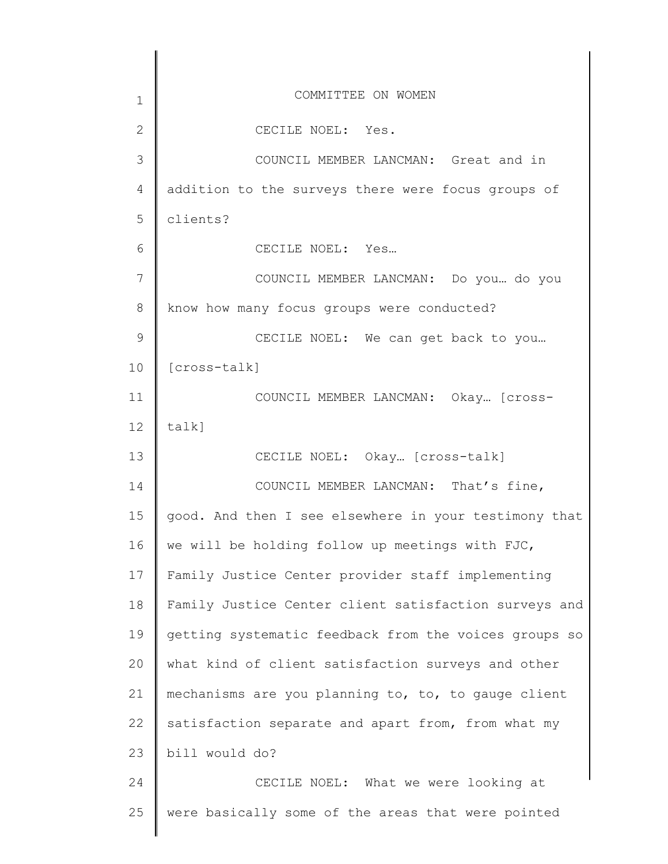| $\mathbf 1$    | COMMITTEE ON WOMEN                                    |
|----------------|-------------------------------------------------------|
| $\overline{2}$ | CECILE NOEL: Yes.                                     |
| 3              | COUNCIL MEMBER LANCMAN: Great and in                  |
| 4              | addition to the surveys there were focus groups of    |
| 5              | clients?                                              |
| 6              | CECILE NOEL: Yes                                      |
| 7              | COUNCIL MEMBER LANCMAN: Do you  do you                |
| 8              | know how many focus groups were conducted?            |
| $\mathcal{G}$  | CECILE NOEL: We can get back to you                   |
| 10             | [cross-talk]                                          |
| 11             | COUNCIL MEMBER LANCMAN: Okay [Cross-                  |
| 12             | talk]                                                 |
| 13             | CECILE NOEL: Okay [Cross-talk]                        |
| 14             | COUNCIL MEMBER LANCMAN: That's fine,                  |
| 15             | good. And then I see elsewhere in your testimony that |
| 16             | we will be holding follow up meetings with FJC,       |
| 17             | Family Justice Center provider staff implementing     |
| 18             | Family Justice Center client satisfaction surveys and |
| 19             | getting systematic feedback from the voices groups so |
| 20             | what kind of client satisfaction surveys and other    |
| 21             | mechanisms are you planning to, to, to gauge client   |
| 22             | satisfaction separate and apart from, from what my    |
| 23             | bill would do?                                        |
| 24             | CECILE NOEL: What we were looking at                  |
| 25             | were basically some of the areas that were pointed    |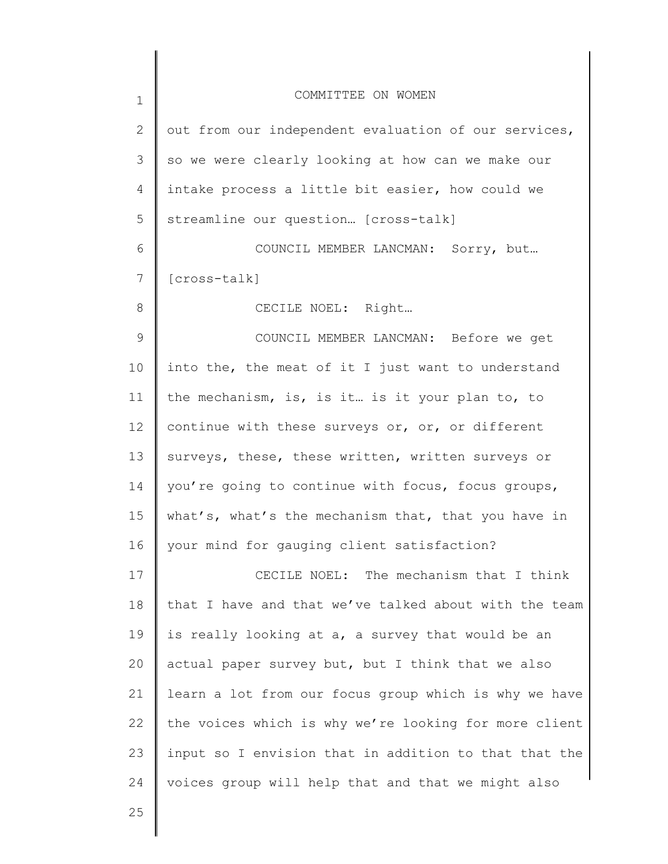| $\mathbf 1$  | COMMITTEE ON WOMEN                                    |
|--------------|-------------------------------------------------------|
| $\mathbf{2}$ | out from our independent evaluation of our services,  |
| 3            | so we were clearly looking at how can we make our     |
| 4            | intake process a little bit easier, how could we      |
| 5            | streamline our question [cross-talk]                  |
| 6            | COUNCIL MEMBER LANCMAN: Sorry, but                    |
| 7            | [cross-talk]                                          |
| 8            | CECILE NOEL: Right                                    |
| 9            | COUNCIL MEMBER LANCMAN: Before we get                 |
| 10           | into the, the meat of it I just want to understand    |
| 11           | the mechanism, is, is it is it your plan to, to       |
| 12           | continue with these surveys or, or, or different      |
| 13           | surveys, these, these written, written surveys or     |
| 14           | you're going to continue with focus, focus groups,    |
| 15           | what's, what's the mechanism that, that you have in   |
| 16           | your mind for gauging client satisfaction?            |
| 17           | CECILE NOEL: The mechanism that I think               |
| 18           | that I have and that we've talked about with the team |
| 19           | is really looking at a, a survey that would be an     |
| 20           | actual paper survey but, but I think that we also     |
| 21           | learn a lot from our focus group which is why we have |
| 22           | the voices which is why we're looking for more client |
| 23           | input so I envision that in addition to that that the |
| 24           | voices group will help that and that we might also    |
| 25           |                                                       |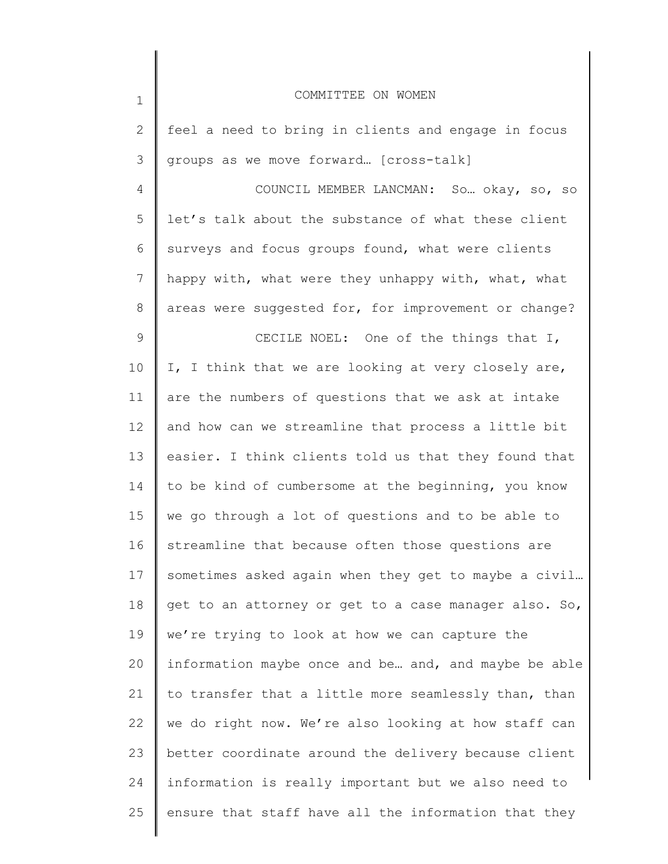| $1\,$           | COMMITTEE ON WOMEN                                    |
|-----------------|-------------------------------------------------------|
| 2               | feel a need to bring in clients and engage in focus   |
| 3               | groups as we move forward [cross-talk]                |
| 4               | COUNCIL MEMBER LANCMAN: So okay, so, so               |
| 5               | let's talk about the substance of what these client   |
| 6               | surveys and focus groups found, what were clients     |
| $7\phantom{.0}$ | happy with, what were they unhappy with, what, what   |
| $8\,$           | areas were suggested for, for improvement or change?  |
| 9               | CECILE NOEL: One of the things that I,                |
| 10              | I, I think that we are looking at very closely are,   |
| 11              | are the numbers of questions that we ask at intake    |
| 12              | and how can we streamline that process a little bit   |
| 13              | easier. I think clients told us that they found that  |
| 14              | to be kind of cumbersome at the beginning, you know   |
| 15              | we go through a lot of questions and to be able to    |
| 16              | streamline that because often those questions are     |
| 17              | sometimes asked again when they get to maybe a civil  |
| 18              | get to an attorney or get to a case manager also. So, |
| 19              | we're trying to look at how we can capture the        |
| 20              | information maybe once and be and, and maybe be able  |
| 21              | to transfer that a little more seamlessly than, than  |
| 22              | we do right now. We're also looking at how staff can  |
| 23              | better coordinate around the delivery because client  |
| 24              | information is really important but we also need to   |
| 25              | ensure that staff have all the information that they  |
|                 |                                                       |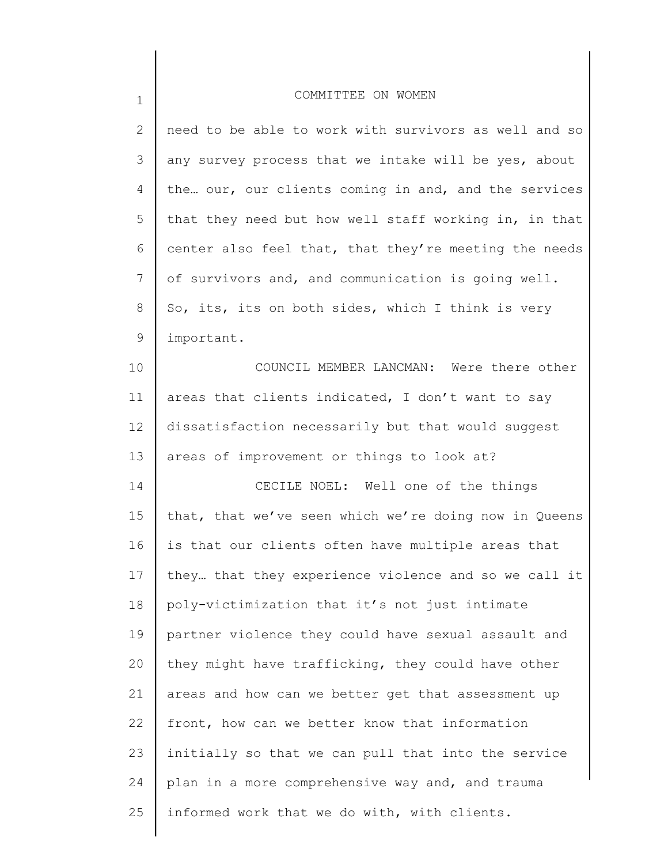| $\overline{2}$  | need to be able to work with survivors as well and so |
|-----------------|-------------------------------------------------------|
| 3               | any survey process that we intake will be yes, about  |
| 4               | the our, our clients coming in and, and the services  |
| 5               | that they need but how well staff working in, in that |
| 6               | center also feel that, that they're meeting the needs |
| $7\phantom{.0}$ | of survivors and, and communication is going well.    |
| 8               | So, its, its on both sides, which I think is very     |
| 9               | important.                                            |
| 10              | COUNCIL MEMBER LANCMAN: Were there other              |
| 11              | areas that clients indicated, I don't want to say     |
| 12              | dissatisfaction necessarily but that would suggest    |
| 13              | areas of improvement or things to look at?            |
| 14              | CECILE NOEL: Well one of the things                   |
| 15              | that, that we've seen which we're doing now in Queens |
| 16              | is that our clients often have multiple areas that    |
| 17              | they that they experience violence and so we call it  |
| 18              | poly-victimization that it's not just intimate        |
| 19              | partner violence they could have sexual assault and   |
| 20              | they might have trafficking, they could have other    |
| 21              | areas and how can we better get that assessment up    |
| 22              | front, how can we better know that information        |
| 23              | initially so that we can pull that into the service   |
| 24              | plan in a more comprehensive way and, and trauma      |
| 25              | informed work that we do with, with clients.          |
|                 |                                                       |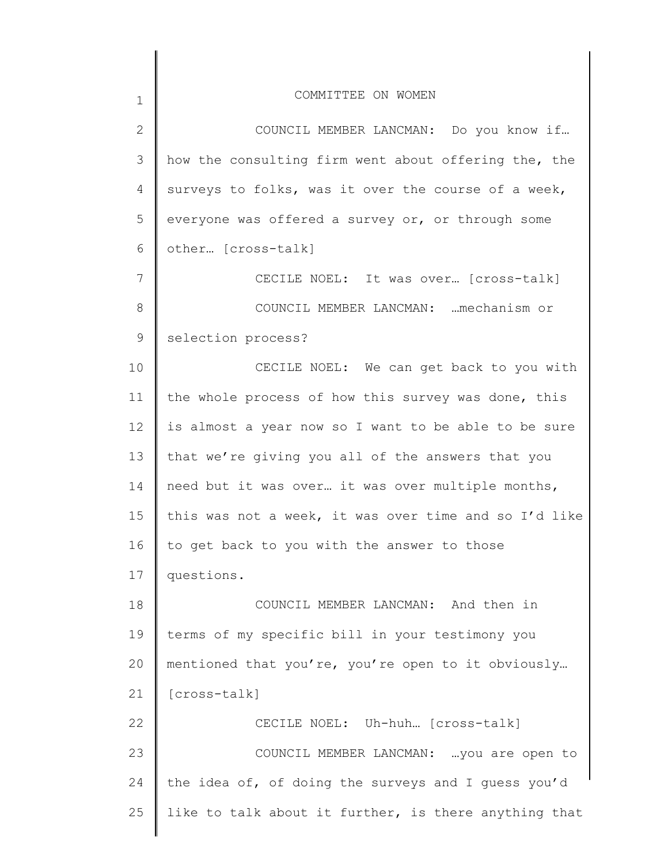| $\mathbf 1$    | COMMITTEE ON WOMEN                                    |
|----------------|-------------------------------------------------------|
| $\overline{2}$ | COUNCIL MEMBER LANCMAN: Do you know if                |
| 3              | how the consulting firm went about offering the, the  |
| $\overline{4}$ | surveys to folks, was it over the course of a week,   |
| 5              | everyone was offered a survey or, or through some     |
| 6              | other [cross-talk]                                    |
| $7\phantom{.}$ | CECILE NOEL: It was over [cross-talk]                 |
| 8              | COUNCIL MEMBER LANCMAN:  mechanism or                 |
| 9              | selection process?                                    |
| 10             | CECILE NOEL: We can get back to you with              |
| 11             | the whole process of how this survey was done, this   |
| 12             | is almost a year now so I want to be able to be sure  |
| 13             | that we're giving you all of the answers that you     |
| 14             | need but it was over it was over multiple months,     |
| 15             | this was not a week, it was over time and so I'd like |
| 16             | to get back to you with the answer to those           |
| 17             | questions.                                            |
| 18             | COUNCIL MEMBER LANCMAN: And then in                   |
| 19             | terms of my specific bill in your testimony you       |
| 20             | mentioned that you're, you're open to it obviously    |
| 21             | [cross-talk]                                          |
| 22             | CECILE NOEL: Uh-huh [cross-talk]                      |
| 23             | COUNCIL MEMBER LANCMAN:  you are open to              |
| 24             | the idea of, of doing the surveys and I guess you'd   |
| 25             | like to talk about it further, is there anything that |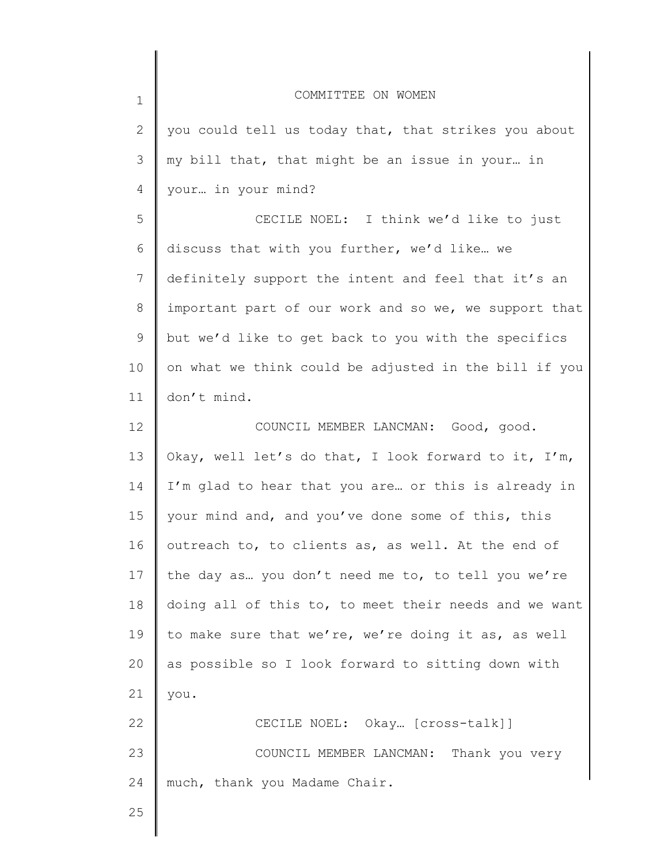| $\mathbf 1$ | COMMITTEE ON WOMEN                                    |
|-------------|-------------------------------------------------------|
| 2           | you could tell us today that, that strikes you about  |
| 3           | my bill that, that might be an issue in your in       |
| 4           | your in your mind?                                    |
| 5           | CECILE NOEL: I think we'd like to just                |
| 6           | discuss that with you further, we'd like we           |
| 7           | definitely support the intent and feel that it's an   |
| 8           | important part of our work and so we, we support that |
| 9           | but we'd like to get back to you with the specifics   |
| 10          | on what we think could be adjusted in the bill if you |
| 11          | don't mind.                                           |
| 12          | COUNCIL MEMBER LANCMAN: Good, good.                   |
| 13          | Okay, well let's do that, I look forward to it, I'm,  |
| 14          | I'm glad to hear that you are or this is already in   |
| 15          | your mind and, and you've done some of this, this     |
| 16          | outreach to, to clients as, as well. At the end of    |
| 17          | the day as you don't need me to, to tell you we're    |
| 18          | doing all of this to, to meet their needs and we want |
| 19          | to make sure that we're, we're doing it as, as well   |
| 20          | as possible so I look forward to sitting down with    |
| 21          | you.                                                  |
| 22          | CECILE NOEL: Okay [cross-talk]]                       |
| 23          | COUNCIL MEMBER LANCMAN:<br>Thank you very             |
| 24          | much, thank you Madame Chair.                         |
| 25          |                                                       |
|             |                                                       |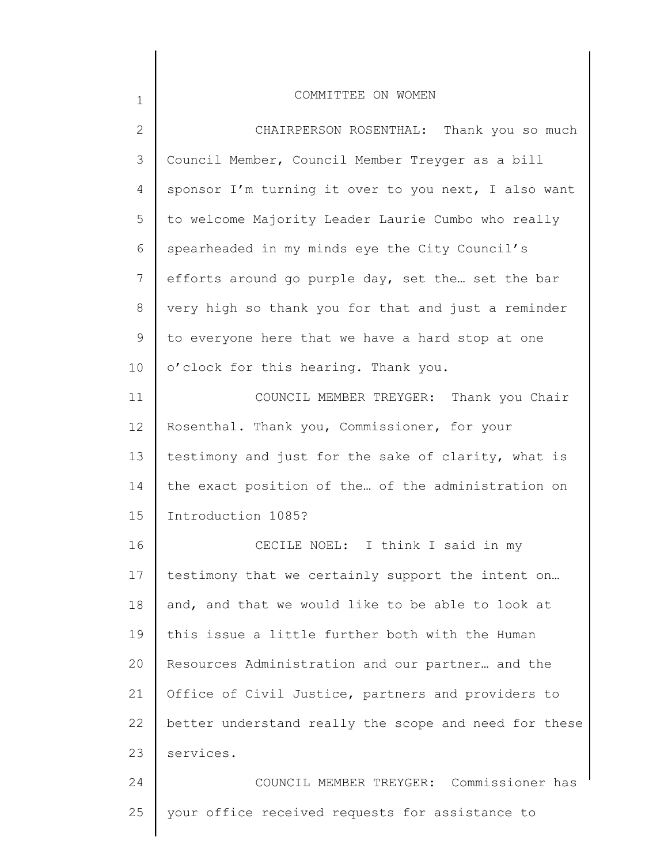| $\mathbf{2}$ | CHAIRPERSON ROSENTHAL: Thank you so much              |
|--------------|-------------------------------------------------------|
| 3            | Council Member, Council Member Treyger as a bill      |
| 4            | sponsor I'm turning it over to you next, I also want  |
| 5            | to welcome Majority Leader Laurie Cumbo who really    |
| 6            | spearheaded in my minds eye the City Council's        |
| 7            | efforts around go purple day, set the set the bar     |
| 8            | very high so thank you for that and just a reminder   |
| 9            | to everyone here that we have a hard stop at one      |
| 10           | o'clock for this hearing. Thank you.                  |
| 11           | COUNCIL MEMBER TREYGER: Thank you Chair               |
| 12           | Rosenthal. Thank you, Commissioner, for your          |
| 13           | testimony and just for the sake of clarity, what is   |
| 14           | the exact position of the of the administration on    |
| 15           | Introduction 1085?                                    |
| 16           | CECILE NOEL: I think I said in my                     |
| 17           | testimony that we certainly support the intent on     |
| 18           | and, and that we would like to be able to look at     |
| 19           | this issue a little further both with the Human       |
| 20           | Resources Administration and our partner and the      |
| 21           | Office of Civil Justice, partners and providers to    |
| 22           | better understand really the scope and need for these |
| 23           | services.                                             |
| 24           | COUNCIL MEMBER TREYGER: Commissioner has              |
| 25           | your office received requests for assistance to       |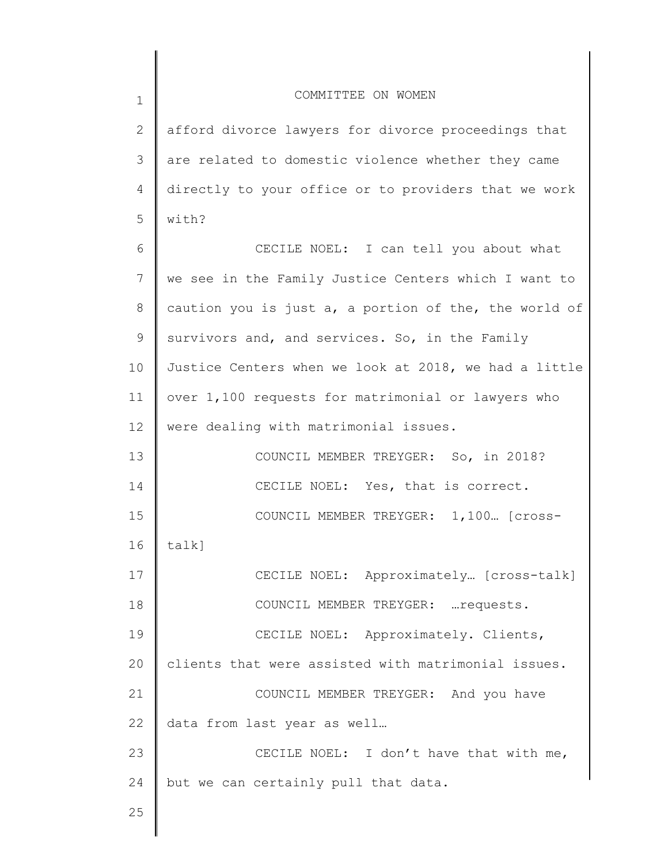| $\mathbf 1$  | COMMITTEE ON WOMEN                                    |
|--------------|-------------------------------------------------------|
| $\mathbf{2}$ | afford divorce lawyers for divorce proceedings that   |
| 3            | are related to domestic violence whether they came    |
| 4            | directly to your office or to providers that we work  |
| 5            | with?                                                 |
| 6            | CECILE NOEL: I can tell you about what                |
| 7            | we see in the Family Justice Centers which I want to  |
| 8            | caution you is just a, a portion of the, the world of |
| 9            | survivors and, and services. So, in the Family        |
| 10           | Justice Centers when we look at 2018, we had a little |
| 11           | over 1,100 requests for matrimonial or lawyers who    |
| 12           | were dealing with matrimonial issues.                 |
| 13           | COUNCIL MEMBER TREYGER: So, in 2018?                  |
| 14           | CECILE NOEL: Yes, that is correct.                    |
| 15           | COUNCIL MEMBER TREYGER: 1,100 [Cross-                 |
| 16           | talk]                                                 |
| 17           | CECILE NOEL: Approximately [cross-talk]               |
| 18           | COUNCIL MEMBER TREYGER:  requests.                    |
| 19           | CECILE NOEL: Approximately. Clients,                  |
| 20           | clients that were assisted with matrimonial issues.   |
| 21           | COUNCIL MEMBER TREYGER: And you have                  |
| 22           | data from last year as well                           |
| 23           | CECILE NOEL: I don't have that with me,               |
| 24           | but we can certainly pull that data.                  |
| 25           |                                                       |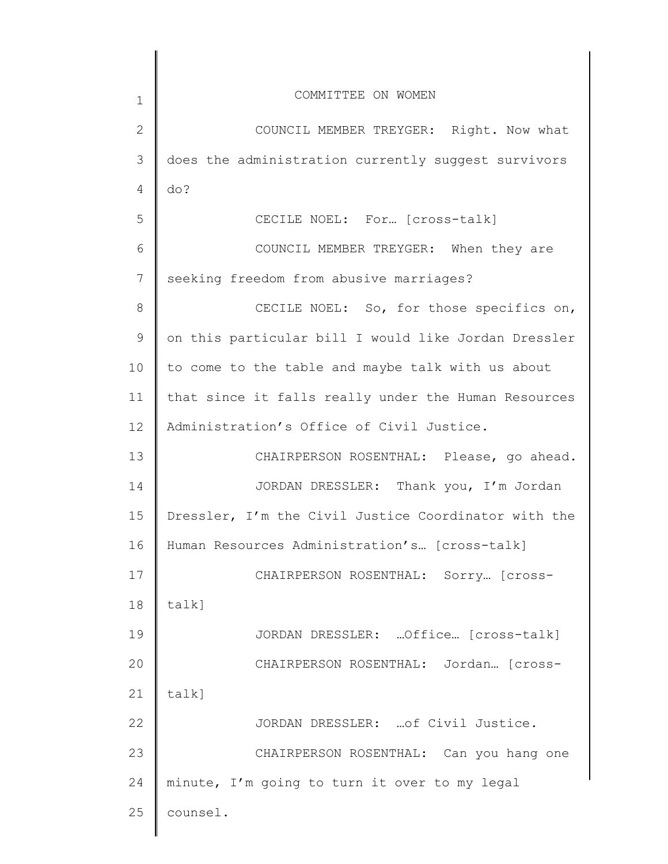| 1            | COMMITTEE ON WOMEN                                   |
|--------------|------------------------------------------------------|
| $\mathbf{2}$ | COUNCIL MEMBER TREYGER: Right. Now what              |
| 3            | does the administration currently suggest survivors  |
| 4            | do?                                                  |
| 5            | CECILE NOEL: For [cross-talk]                        |
| 6            | COUNCIL MEMBER TREYGER: When they are                |
| 7            | seeking freedom from abusive marriages?              |
| 8            | CECILE NOEL: So, for those specifics on,             |
| 9            | on this particular bill I would like Jordan Dressler |
| 10           | to come to the table and maybe talk with us about    |
| 11           | that since it falls really under the Human Resources |
| 12           | Administration's Office of Civil Justice.            |
| 13           | CHAIRPERSON ROSENTHAL: Please, go ahead.             |
| 14           | JORDAN DRESSLER: Thank you, I'm Jordan               |
| 15           | Dressler, I'm the Civil Justice Coordinator with the |
| 16           | Human Resources Administration's [cross-talk]        |
| 17           | CHAIRPERSON ROSENTHAL: Sorry [Cross-                 |
| 18           | talk]                                                |
| 19           | JORDAN DRESSLER:  Office [cross-talk]                |
| 20           | CHAIRPERSON ROSENTHAL: Jordan [cross-                |
| 21           | talk]                                                |
| 22           | JORDAN DRESSLER:  of Civil Justice.                  |
| 23           | CHAIRPERSON ROSENTHAL: Can you hang one              |
| 24           | minute, I'm going to turn it over to my legal        |
| 25           | counsel.                                             |
|              |                                                      |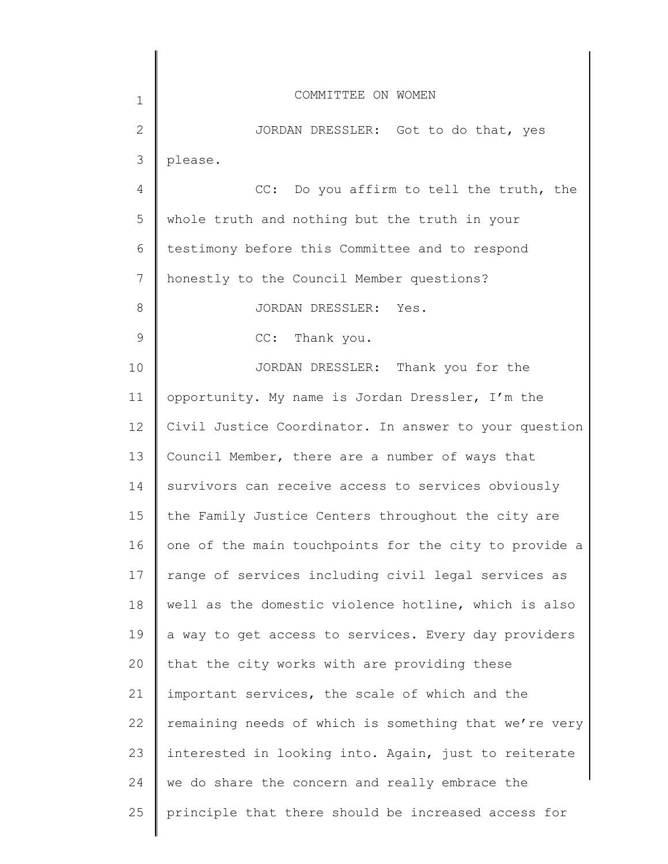| $\mathbf 1$     | COMMITTEE ON WOMEN                                    |
|-----------------|-------------------------------------------------------|
| $\mathbf{2}$    | JORDAN DRESSLER: Got to do that, yes                  |
| 3               | please.                                               |
| 4               | CC: Do you affirm to tell the truth, the              |
| 5               | whole truth and nothing but the truth in your         |
| 6               | testimony before this Committee and to respond        |
| 7               | honestly to the Council Member questions?             |
| $\,8\,$         | JORDAN DRESSLER: Yes.                                 |
| $\mathcal{G}$   | CC: Thank you.                                        |
| 10              | JORDAN DRESSLER: Thank you for the                    |
| 11              | opportunity. My name is Jordan Dressler, I'm the      |
| 12 <sup>°</sup> | Civil Justice Coordinator. In answer to your question |
| 13              | Council Member, there are a number of ways that       |
| 14              | survivors can receive access to services obviously    |
| 15              | the Family Justice Centers throughout the city are    |
| 16              | one of the main touchpoints for the city to provide a |
| 17              | range of services including civil legal services as   |
| 18              | well as the domestic violence hotline, which is also  |
| 19              | a way to get access to services. Every day providers  |
| 20              | that the city works with are providing these          |
| 21              | important services, the scale of which and the        |
| 22              | remaining needs of which is something that we're very |
| 23              | interested in looking into. Again, just to reiterate  |
| 24              | we do share the concern and really embrace the        |
| 25              | principle that there should be increased access for   |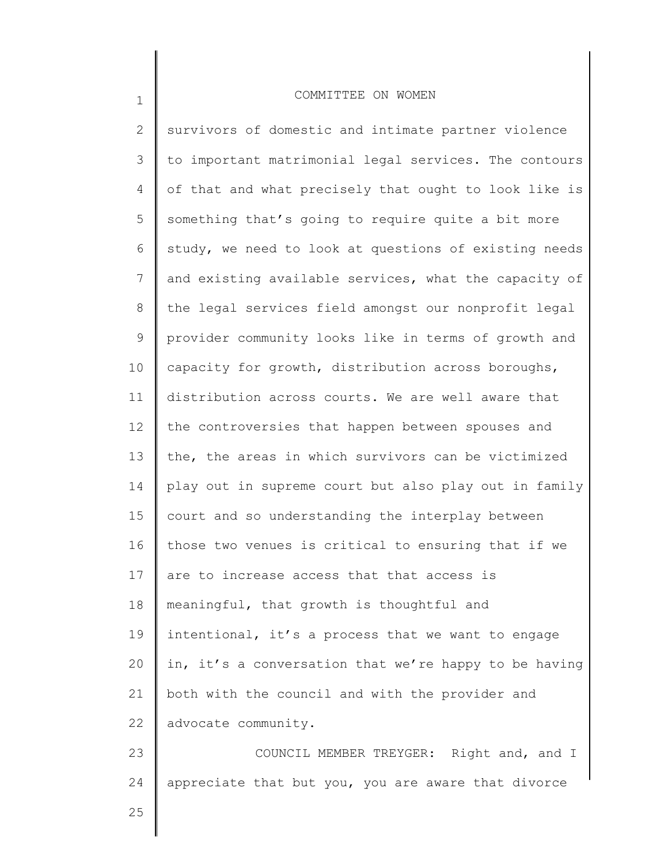2 3 4 5 6 7 8 9 10 11 12 13 14 15 16 17 18 19 20 21 22 23 24 survivors of domestic and intimate partner violence to important matrimonial legal services. The contours of that and what precisely that ought to look like is something that's going to require quite a bit more study, we need to look at questions of existing needs and existing available services, what the capacity of the legal services field amongst our nonprofit legal provider community looks like in terms of growth and capacity for growth, distribution across boroughs, distribution across courts. We are well aware that the controversies that happen between spouses and the, the areas in which survivors can be victimized play out in supreme court but also play out in family court and so understanding the interplay between those two venues is critical to ensuring that if we are to increase access that that access is meaningful, that growth is thoughtful and intentional, it's a process that we want to engage in, it's a conversation that we're happy to be having both with the council and with the provider and advocate community. COUNCIL MEMBER TREYGER: Right and, and I appreciate that but you, you are aware that divorce

25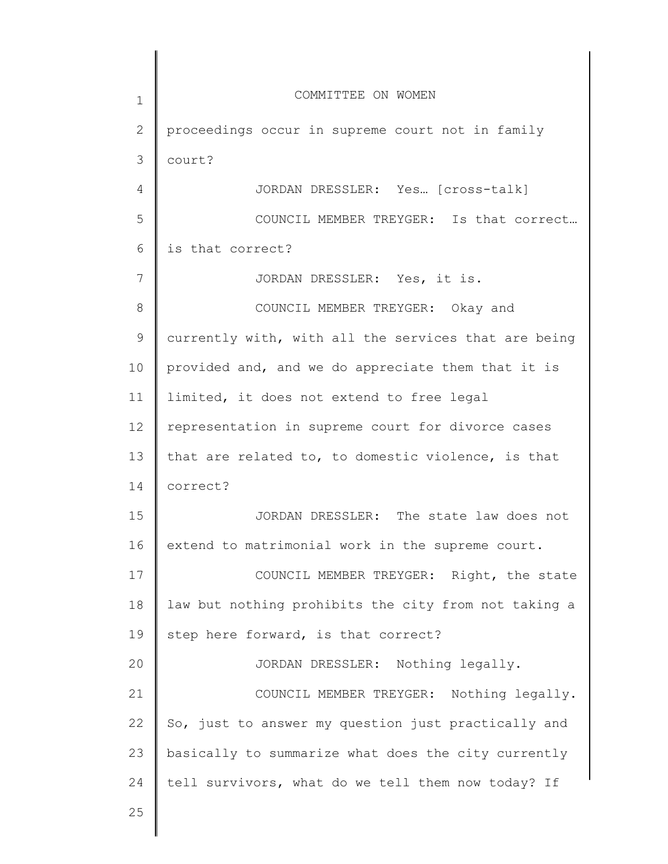1 2 3 4 5 6 7 8 9 10 11 12 13 14 15 16 17 18 19 20 21 22 23 24 25 COMMITTEE ON WOMEN proceedings occur in supreme court not in family court? JORDAN DRESSLER: Yes… [cross-talk] COUNCIL MEMBER TREYGER: Is that correct… is that correct? JORDAN DRESSLER: Yes, it is. COUNCIL MEMBER TREYGER: Okay and currently with, with all the services that are being provided and, and we do appreciate them that it is limited, it does not extend to free legal representation in supreme court for divorce cases that are related to, to domestic violence, is that correct? JORDAN DRESSLER: The state law does not extend to matrimonial work in the supreme court. COUNCIL MEMBER TREYGER: Right, the state law but nothing prohibits the city from not taking a step here forward, is that correct? JORDAN DRESSLER: Nothing legally. COUNCIL MEMBER TREYGER: Nothing legally. So, just to answer my question just practically and basically to summarize what does the city currently tell survivors, what do we tell them now today? If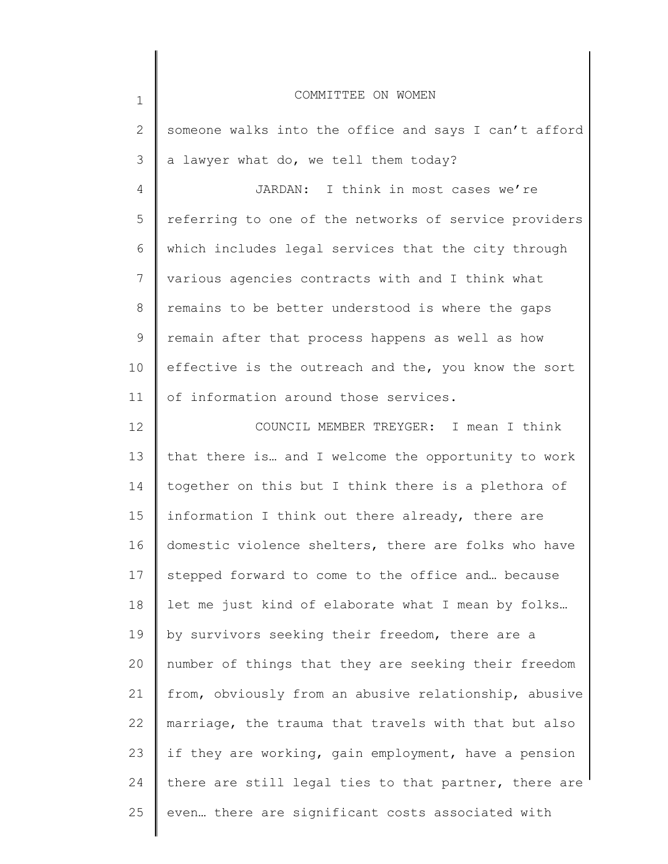| $\mathbf 1$     | COMMITTEE ON WOMEN                                    |
|-----------------|-------------------------------------------------------|
| 2               | someone walks into the office and says I can't afford |
| 3               | a lawyer what do, we tell them today?                 |
| 4               | JARDAN: I think in most cases we're                   |
| 5               | referring to one of the networks of service providers |
| 6               | which includes legal services that the city through   |
| $7\phantom{.0}$ | various agencies contracts with and I think what      |
| 8               | remains to be better understood is where the gaps     |
| 9               | remain after that process happens as well as how      |
| 10              | effective is the outreach and the, you know the sort  |
| 11              | of information around those services.                 |
| 12              | COUNCIL MEMBER TREYGER: I mean I think                |
| 13              | that there is and I welcome the opportunity to work   |
| 14              | together on this but I think there is a plethora of   |
| 15              | information I think out there already, there are      |
| 16              | domestic violence shelters, there are folks who have  |
| 17              | stepped forward to come to the office and because     |
| 18              | let me just kind of elaborate what I mean by folks    |
| 19              | by survivors seeking their freedom, there are a       |
| 20              | number of things that they are seeking their freedom  |
| 21              | from, obviously from an abusive relationship, abusive |
| 22              | marriage, the trauma that travels with that but also  |
| 23              | if they are working, gain employment, have a pension  |
| 24              | there are still legal ties to that partner, there are |
| 25              | even there are significant costs associated with      |
|                 |                                                       |

║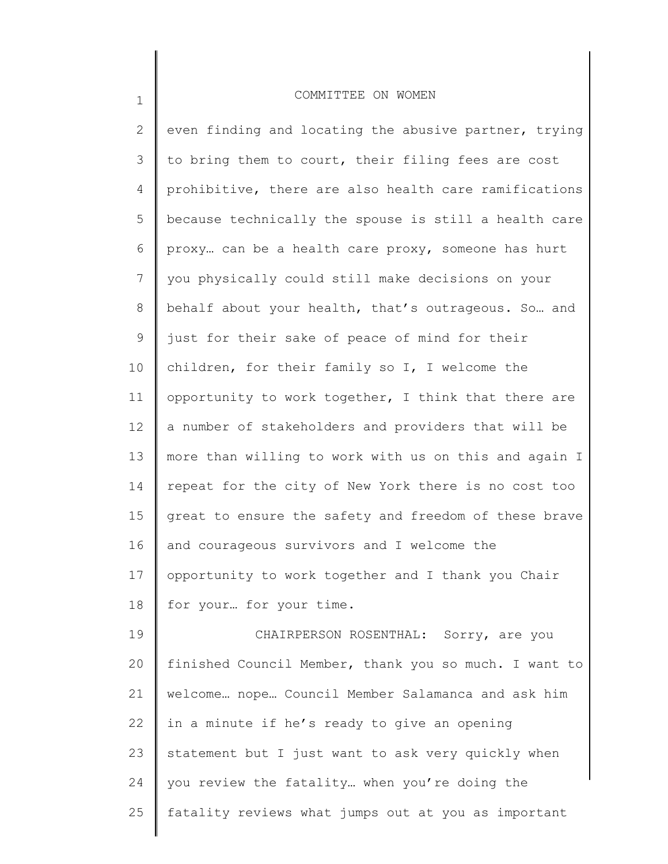1

2 3 4 5 6 7 8 9 10 11 12 13 14 15 16 17 18 19 20 21 22 23 24 25 even finding and locating the abusive partner, trying to bring them to court, their filing fees are cost prohibitive, there are also health care ramifications because technically the spouse is still a health care proxy… can be a health care proxy, someone has hurt you physically could still make decisions on your behalf about your health, that's outrageous. So… and just for their sake of peace of mind for their children, for their family so I, I welcome the opportunity to work together, I think that there are a number of stakeholders and providers that will be more than willing to work with us on this and again I repeat for the city of New York there is no cost too great to ensure the safety and freedom of these brave and courageous survivors and I welcome the opportunity to work together and I thank you Chair for your… for your time. CHAIRPERSON ROSENTHAL: Sorry, are you finished Council Member, thank you so much. I want to welcome… nope… Council Member Salamanca and ask him in a minute if he's ready to give an opening statement but I just want to ask very quickly when you review the fatality… when you're doing the fatality reviews what jumps out at you as important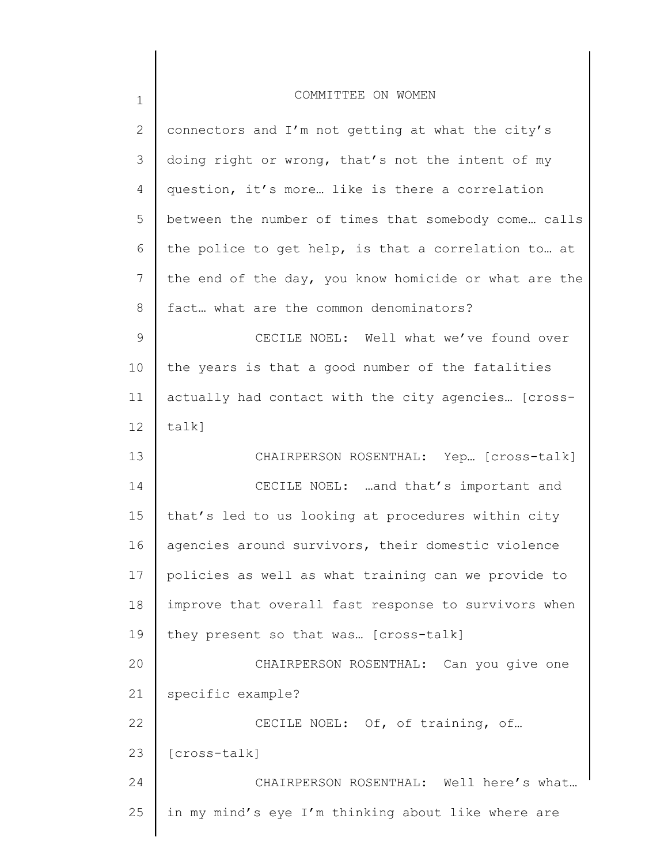| $\mathbf 1$  | COMMITTEE ON WOMEN                                    |
|--------------|-------------------------------------------------------|
| $\mathbf{2}$ | connectors and I'm not getting at what the city's     |
| 3            | doing right or wrong, that's not the intent of my     |
| 4            | question, it's more like is there a correlation       |
| 5            | between the number of times that somebody come calls  |
| 6            | the police to get help, is that a correlation to at   |
| 7            | the end of the day, you know homicide or what are the |
| 8            | fact what are the common denominators?                |
| $\mathsf 9$  | CECILE NOEL: Well what we've found over               |
| 10           | the years is that a good number of the fatalities     |
| 11           | actually had contact with the city agencies [cross-   |
| 12           | talk]                                                 |
| 13           | CHAIRPERSON ROSENTHAL: Yep. [cross-talk]              |
| 14           | CECILE NOEL:  and that's important and                |
| 15           | that's led to us looking at procedures within city    |
| 16           | agencies around survivors, their domestic violence    |
| 17           | policies as well as what training can we provide to   |
| 18           | improve that overall fast response to survivors when  |
| 19           | they present so that was [cross-talk]                 |
| 20           | CHAIRPERSON ROSENTHAL: Can you give one               |
| 21           | specific example?                                     |
| 22           | CECILE NOEL: Of, of training, of                      |
| 23           | [cross-talk]                                          |
| 24           | CHAIRPERSON ROSENTHAL: Well here's what               |
| 25           | in my mind's eye I'm thinking about like where are    |
|              |                                                       |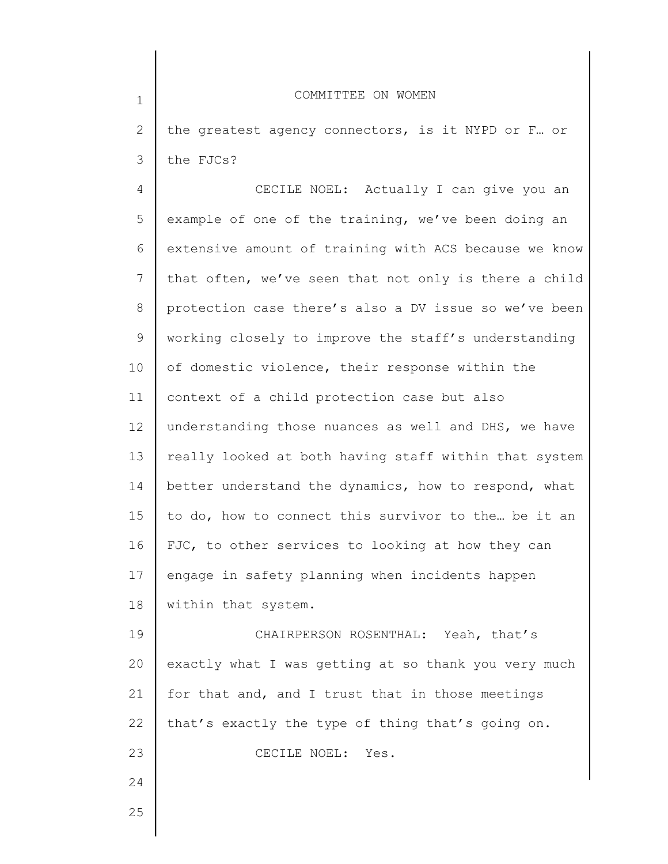| $\mathbf 1$    | COMMITTEE ON WOMEN                                    |
|----------------|-------------------------------------------------------|
| $\mathbf{2}$   | the greatest agency connectors, is it NYPD or F or    |
| 3              | the FJCs?                                             |
| 4              | CECILE NOEL: Actually I can give you an               |
| 5              | example of one of the training, we've been doing an   |
| 6              | extensive amount of training with ACS because we know |
| $\overline{7}$ | that often, we've seen that not only is there a child |
| 8              | protection case there's also a DV issue so we've been |
| 9              | working closely to improve the staff's understanding  |
| 10             | of domestic violence, their response within the       |
| 11             | context of a child protection case but also           |
| 12             | understanding those nuances as well and DHS, we have  |
| 13             | really looked at both having staff within that system |
| 14             | better understand the dynamics, how to respond, what  |
| 15             | to do, how to connect this survivor to the be it an   |
| 16             | FJC, to other services to looking at how they can     |
| 17             | engage in safety planning when incidents happen       |
| 18             | within that system.                                   |
| 19             | CHAIRPERSON ROSENTHAL: Yeah, that's                   |
| 20             | exactly what I was getting at so thank you very much  |
| 21             | for that and, and I trust that in those meetings      |
| 22             | that's exactly the type of thing that's going on.     |
| 23             | CECILE NOEL: Yes.                                     |
| 24             |                                                       |
| つら             |                                                       |

 $\angle$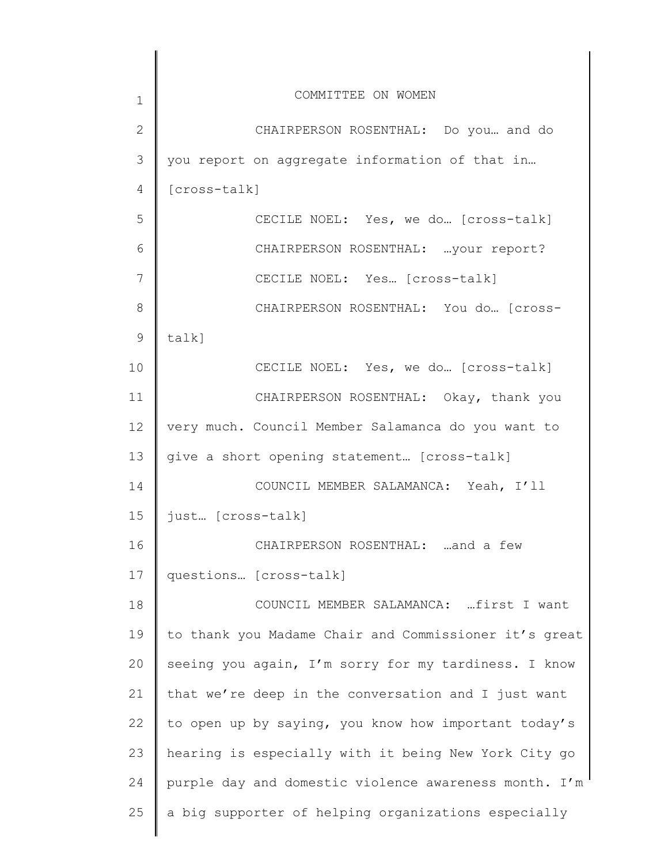| 1               | COMMITTEE ON WOMEN                                    |
|-----------------|-------------------------------------------------------|
| $\mathbf{2}$    | CHAIRPERSON ROSENTHAL: Do you and do                  |
| 3               | you report on aggregate information of that in        |
| 4               | [cross-talk]                                          |
| 5               | CECILE NOEL: Yes, we do [cross-talk]                  |
| 6               | CHAIRPERSON ROSENTHAL:  your report?                  |
| 7               | CECILE NOEL: Yes [cross-talk]                         |
| 8               | CHAIRPERSON ROSENTHAL: You do [Cross-                 |
| 9               | talk]                                                 |
| 10              | CECILE NOEL: Yes, we do [cross-talk]                  |
| 11              | CHAIRPERSON ROSENTHAL: Okay, thank you                |
| 12 <sup>°</sup> | very much. Council Member Salamanca do you want to    |
| 13              | give a short opening statement [cross-talk]           |
| 14              | COUNCIL MEMBER SALAMANCA: Yeah, I'll                  |
| 15              | just [cross-talk]                                     |
| 16              | CHAIRPERSON ROSENTHAL: and a few                      |
| 17              | questions [cross-talk]                                |
| 18              | COUNCIL MEMBER SALAMANCA:  first I want               |
| 19              | to thank you Madame Chair and Commissioner it's great |
| 20              | seeing you again, I'm sorry for my tardiness. I know  |
| 21              | that we're deep in the conversation and I just want   |
| 22              | to open up by saying, you know how important today's  |
| 23              | hearing is especially with it being New York City go  |
| 24              | purple day and domestic violence awareness month. I'm |
| 25              | a big supporter of helping organizations especially   |
|                 |                                                       |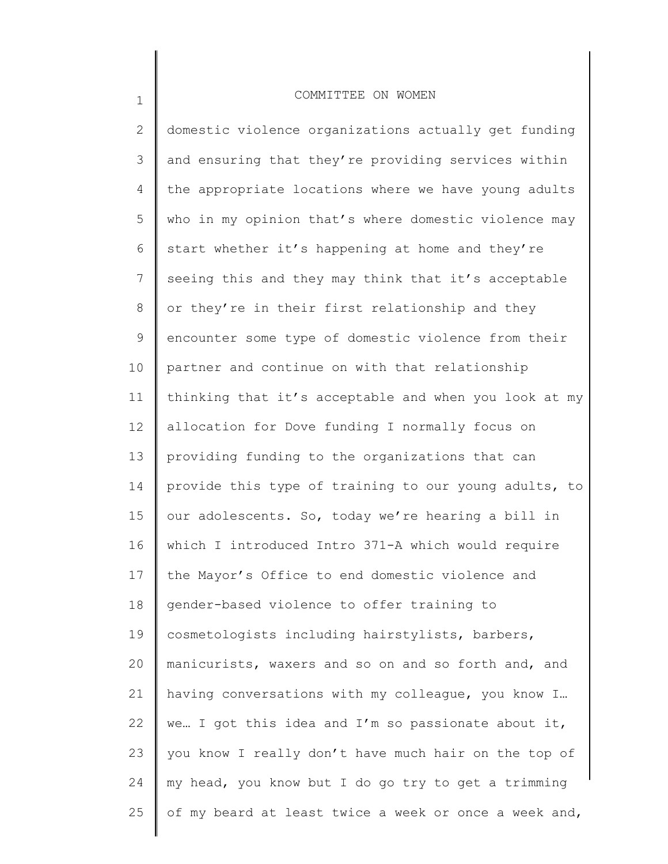1

2 3 4 5 6 7 8 9 10 11 12 13 14 15 16 17 18 19 20 21 22 23 24 25 domestic violence organizations actually get funding and ensuring that they're providing services within the appropriate locations where we have young adults who in my opinion that's where domestic violence may start whether it's happening at home and they're seeing this and they may think that it's acceptable or they're in their first relationship and they encounter some type of domestic violence from their partner and continue on with that relationship thinking that it's acceptable and when you look at my allocation for Dove funding I normally focus on providing funding to the organizations that can provide this type of training to our young adults, to our adolescents. So, today we're hearing a bill in which I introduced Intro 371-A which would require the Mayor's Office to end domestic violence and gender-based violence to offer training to cosmetologists including hairstylists, barbers, manicurists, waxers and so on and so forth and, and having conversations with my colleague, you know I… we… I got this idea and I'm so passionate about it, you know I really don't have much hair on the top of my head, you know but I do go try to get a trimming of my beard at least twice a week or once a week and,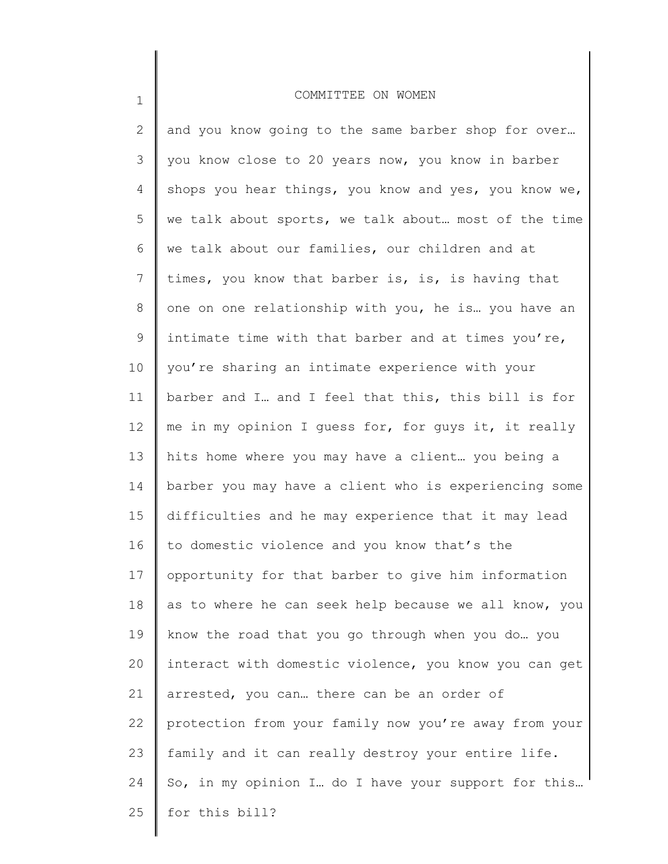| $\mathbf{2}$ | and you know going to the same barber shop for over   |
|--------------|-------------------------------------------------------|
| 3            | you know close to 20 years now, you know in barber    |
| 4            | shops you hear things, you know and yes, you know we, |
| 5            | we talk about sports, we talk about most of the time  |
| 6            | we talk about our families, our children and at       |
| 7            | times, you know that barber is, is, is having that    |
| 8            | one on one relationship with you, he is you have an   |
| 9            | intimate time with that barber and at times you're,   |
| 10           | you're sharing an intimate experience with your       |
| 11           | barber and I and I feel that this, this bill is for   |
| 12           | me in my opinion I guess for, for guys it, it really  |
| 13           | hits home where you may have a client you being a     |
| 14           | barber you may have a client who is experiencing some |
| 15           | difficulties and he may experience that it may lead   |
| 16           | to domestic violence and you know that's the          |
| 17           | opportunity for that barber to give him information   |
| 18           | as to where he can seek help because we all know, you |
| 19           | know the road that you go through when you do you     |
| 20           | interact with domestic violence, you know you can get |
| 21           | arrested, you can there can be an order of            |
| 22           | protection from your family now you're away from your |
| 23           | family and it can really destroy your entire life.    |
| 24           | So, in my opinion I do I have your support for this   |
| 25           | for this bill?                                        |
|              |                                                       |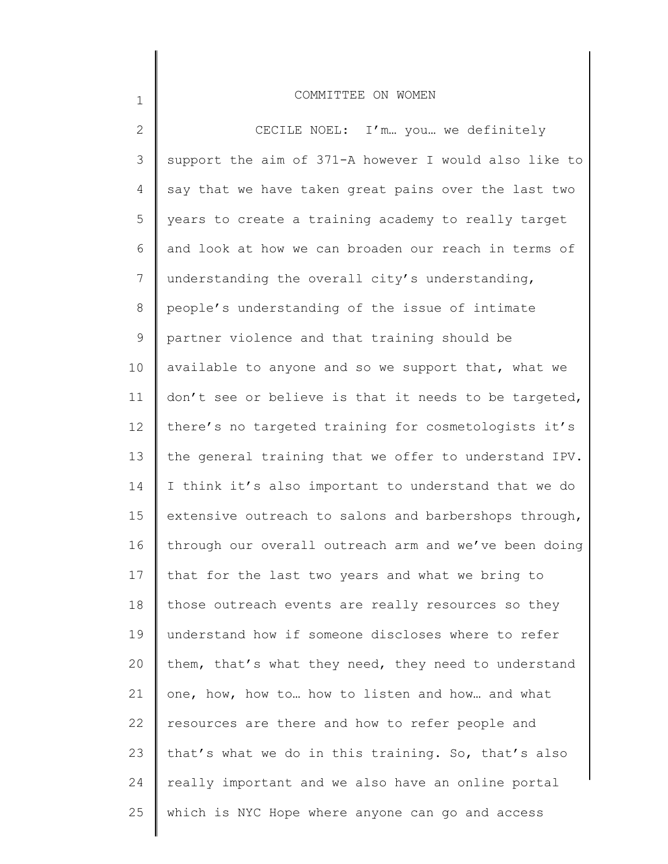| $\mathbf{2}$    | CECILE NOEL: I'm you we definitely                    |
|-----------------|-------------------------------------------------------|
| 3               | support the aim of 371-A however I would also like to |
| 4               | say that we have taken great pains over the last two  |
| 5               | years to create a training academy to really target   |
| 6               | and look at how we can broaden our reach in terms of  |
| $7\phantom{.0}$ | understanding the overall city's understanding,       |
| 8               | people's understanding of the issue of intimate       |
| 9               | partner violence and that training should be          |
| 10              | available to anyone and so we support that, what we   |
| 11              | don't see or believe is that it needs to be targeted, |
| 12              | there's no targeted training for cosmetologists it's  |
| 13              | the general training that we offer to understand IPV. |
| 14              | I think it's also important to understand that we do  |
| 15              | extensive outreach to salons and barbershops through, |
| 16              | through our overall outreach arm and we've been doing |
| 17              | that for the last two years and what we bring to      |
| 18              | those outreach events are really resources so they    |
| 19              | understand how if someone discloses where to refer    |
| 20              | them, that's what they need, they need to understand  |
| 21              | one, how, how to how to listen and how and what       |
| 22              | resources are there and how to refer people and       |
| 23              | that's what we do in this training. So, that's also   |
| 24              | really important and we also have an online portal    |
| 25              | which is NYC Hope where anyone can go and access      |
|                 |                                                       |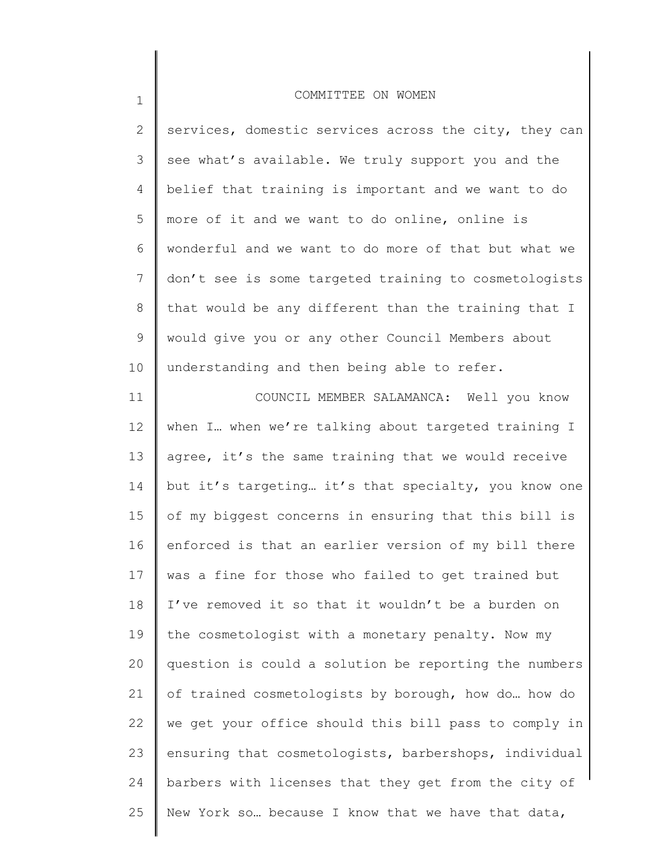| $\overline{2}$ | services, domestic services across the city, they can |
|----------------|-------------------------------------------------------|
| 3              | see what's available. We truly support you and the    |
| 4              | belief that training is important and we want to do   |
| 5              | more of it and we want to do online, online is        |
| 6              | wonderful and we want to do more of that but what we  |
| $7\phantom{.}$ | don't see is some targeted training to cosmetologists |
| $\,8\,$        | that would be any different than the training that I  |
| $\mathcal{G}$  | would give you or any other Council Members about     |
| 10             | understanding and then being able to refer.           |
| 11             | COUNCIL MEMBER SALAMANCA: Well you know               |
| 12             | when I when we're talking about targeted training I   |
| 13             | agree, it's the same training that we would receive   |
| 14             | but it's targeting it's that specialty, you know one  |
| 15             | of my biggest concerns in ensuring that this bill is  |
| 16             | enforced is that an earlier version of my bill there  |
| 17             | was a fine for those who failed to get trained but    |
| 18             | I've removed it so that it wouldn't be a burden on    |
| 19             | the cosmetologist with a monetary penalty. Now my     |
| 20             | question is could a solution be reporting the numbers |
| 21             | of trained cosmetologists by borough, how do how do   |

we get your office should this bill pass to comply in

ensuring that cosmetologists, barbershops, individual

barbers with licenses that they get from the city of

New York so… because I know that we have that data,

1

22

23

24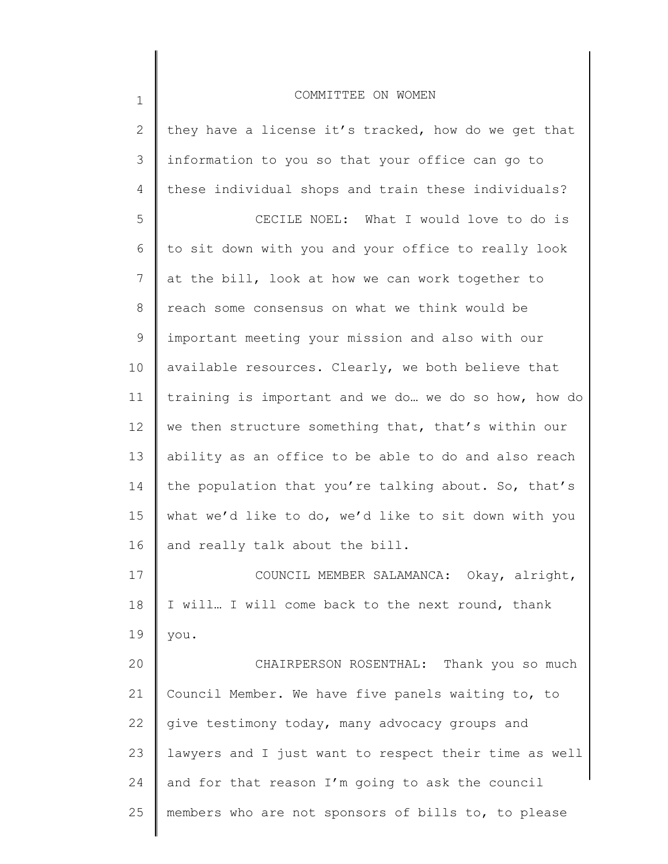| $\mathbf 1$  | COMMITTEE ON WOMEN                                    |
|--------------|-------------------------------------------------------|
| $\mathbf{2}$ | they have a license it's tracked, how do we get that  |
| 3            | information to you so that your office can go to      |
| 4            | these individual shops and train these individuals?   |
| 5            | CECILE NOEL: What I would love to do is               |
| 6            | to sit down with you and your office to really look   |
| 7            | at the bill, look at how we can work together to      |
| 8            | reach some consensus on what we think would be        |
| 9            | important meeting your mission and also with our      |
| 10           | available resources. Clearly, we both believe that    |
| 11           | training is important and we do we do so how, how do  |
| 12           | we then structure something that, that's within our   |
| 13           | ability as an office to be able to do and also reach  |
| 14           | the population that you're talking about. So, that's  |
| 15           | what we'd like to do, we'd like to sit down with you  |
| 16           | and really talk about the bill.                       |
| 17           | COUNCIL MEMBER SALAMANCA: Okay, alright,              |
| 18           | I will I will come back to the next round, thank      |
| 19           | you.                                                  |
| 20           | CHAIRPERSON ROSENTHAL: Thank you so much              |
| 21           | Council Member. We have five panels waiting to, to    |
| 22           | give testimony today, many advocacy groups and        |
| 23           | lawyers and I just want to respect their time as well |
| 24           | and for that reason I'm going to ask the council      |
| 25           | members who are not sponsors of bills to, to please   |
|              |                                                       |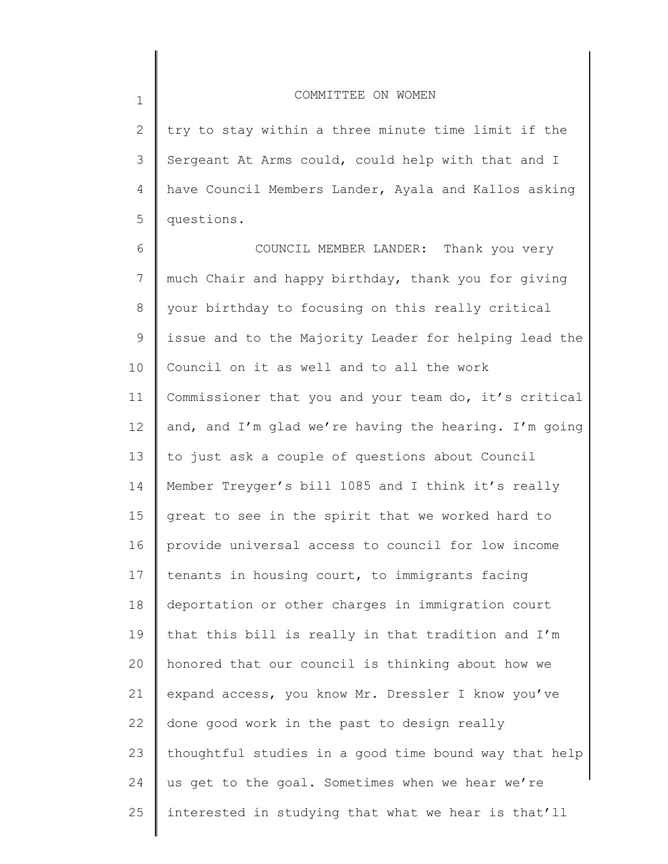1

2 3 4 5 try to stay within a three minute time limit if the Sergeant At Arms could, could help with that and I have Council Members Lander, Ayala and Kallos asking questions.

6 7 8 9 10 11 12 13 14 15 16 17 18 19 20 21 22 23 24 25 COUNCIL MEMBER LANDER: Thank you very much Chair and happy birthday, thank you for giving your birthday to focusing on this really critical issue and to the Majority Leader for helping lead the Council on it as well and to all the work Commissioner that you and your team do, it's critical and, and I'm glad we're having the hearing. I'm going to just ask a couple of questions about Council Member Treyger's bill 1085 and I think it's really great to see in the spirit that we worked hard to provide universal access to council for low income tenants in housing court, to immigrants facing deportation or other charges in immigration court that this bill is really in that tradition and I'm honored that our council is thinking about how we expand access, you know Mr. Dressler I know you've done good work in the past to design really thoughtful studies in a good time bound way that help us get to the goal. Sometimes when we hear we're interested in studying that what we hear is that'll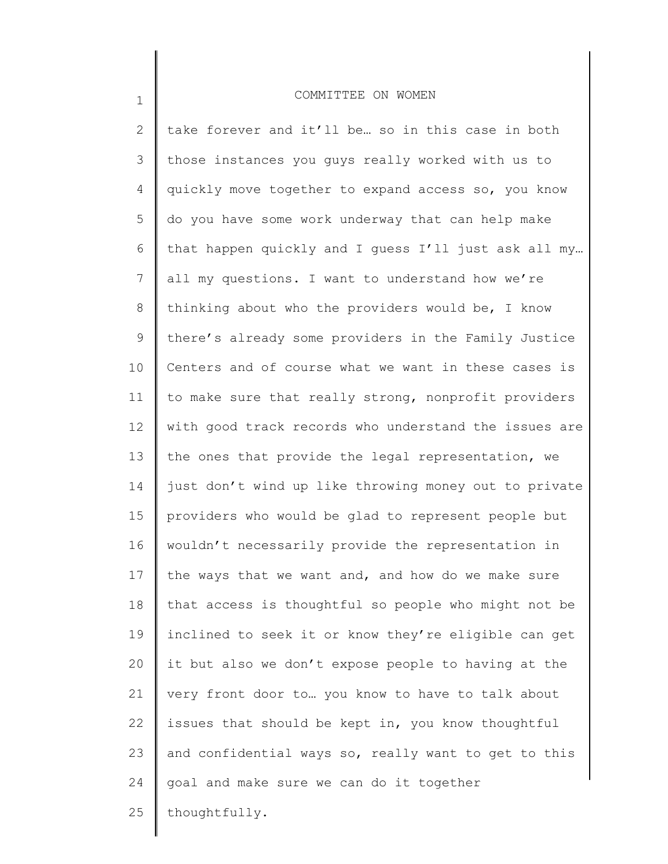1

2 3 4 5 6 7 8 9 10 11 12 13 14 15 16 17 18 19 20 21 22 23 24 25 take forever and it'll be… so in this case in both those instances you guys really worked with us to quickly move together to expand access so, you know do you have some work underway that can help make that happen quickly and I guess I'll just ask all my… all my questions. I want to understand how we're thinking about who the providers would be, I know there's already some providers in the Family Justice Centers and of course what we want in these cases is to make sure that really strong, nonprofit providers with good track records who understand the issues are the ones that provide the legal representation, we just don't wind up like throwing money out to private providers who would be glad to represent people but wouldn't necessarily provide the representation in the ways that we want and, and how do we make sure that access is thoughtful so people who might not be inclined to seek it or know they're eligible can get it but also we don't expose people to having at the very front door to… you know to have to talk about issues that should be kept in, you know thoughtful and confidential ways so, really want to get to this goal and make sure we can do it together thoughtfully.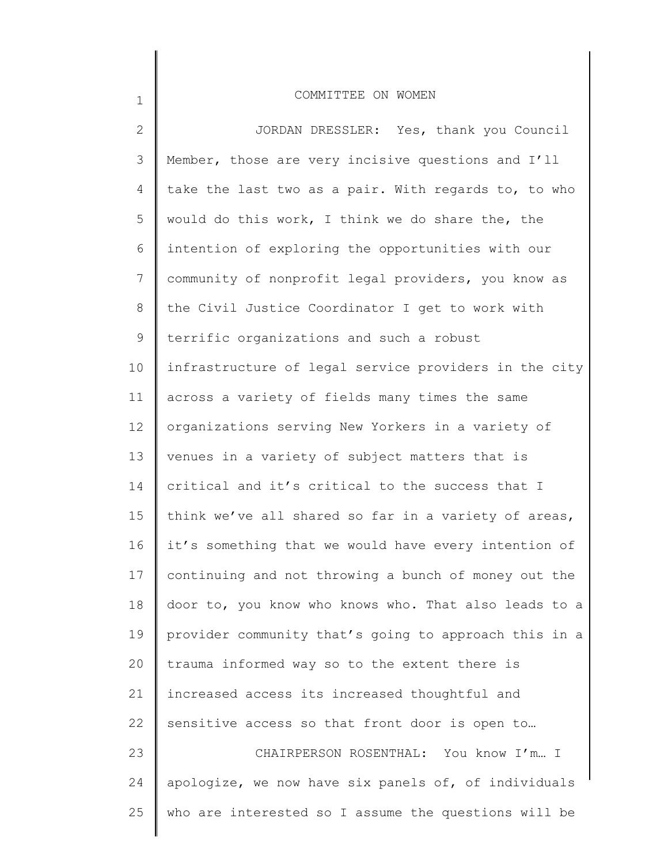| $\overline{2}$  | JORDAN DRESSLER: Yes, thank you Council               |
|-----------------|-------------------------------------------------------|
| 3               | Member, those are very incisive questions and I'll    |
| 4               | take the last two as a pair. With regards to, to who  |
| 5               | would do this work, I think we do share the, the      |
| 6               | intention of exploring the opportunities with our     |
| $7\phantom{.0}$ | community of nonprofit legal providers, you know as   |
| 8               | the Civil Justice Coordinator I get to work with      |
| 9               | terrific organizations and such a robust              |
| 10              | infrastructure of legal service providers in the city |
| 11              | across a variety of fields many times the same        |
| 12              | organizations serving New Yorkers in a variety of     |
| 13              | venues in a variety of subject matters that is        |
| 14              | critical and it's critical to the success that I      |
| 15              | think we've all shared so far in a variety of areas,  |
| 16              | it's something that we would have every intention of  |
| 17              | continuing and not throwing a bunch of money out the  |
| 18              | door to, you know who knows who. That also leads to a |
| 19              | provider community that's going to approach this in a |
| 20              | trauma informed way so to the extent there is         |
| 21              | increased access its increased thoughtful and         |
| 22              | sensitive access so that front door is open to        |
| 23              | CHAIRPERSON ROSENTHAL: You know I'm I                 |
| 24              | apologize, we now have six panels of, of individuals  |
| 25              | who are interested so I assume the questions will be  |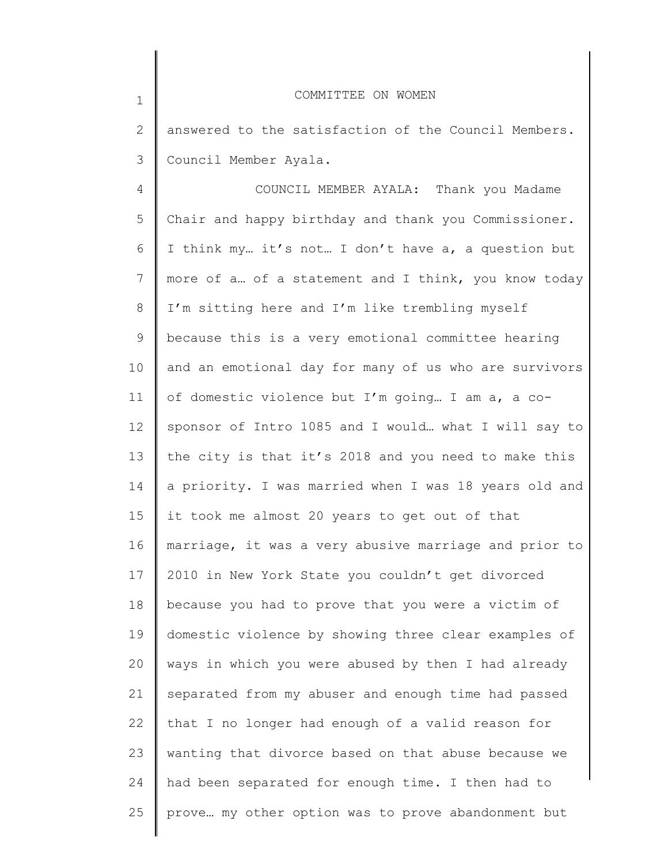| $\mathbf 1$  | COMMITTEE ON WOMEN                                    |
|--------------|-------------------------------------------------------|
| $\mathbf{2}$ | answered to the satisfaction of the Council Members.  |
| 3            | Council Member Ayala.                                 |
| 4            | COUNCIL MEMBER AYALA: Thank you Madame                |
| 5            | Chair and happy birthday and thank you Commissioner.  |
| 6            | I think my it's not I don't have a, a question but    |
| 7            | more of a of a statement and I think, you know today  |
| 8            | I'm sitting here and I'm like trembling myself        |
| 9            | because this is a very emotional committee hearing    |
| 10           | and an emotional day for many of us who are survivors |
| 11           | of domestic violence but I'm going I am a, a co-      |
| 12           | sponsor of Intro 1085 and I would what I will say to  |
| 13           | the city is that it's 2018 and you need to make this  |
| 14           | a priority. I was married when I was 18 years old and |
| 15           | it took me almost 20 years to get out of that         |
| 16           | marriage, it was a very abusive marriage and prior to |
| 17           | 2010 in New York State you couldn't get divorced      |
| 18           | because you had to prove that you were a victim of    |
| 19           | domestic violence by showing three clear examples of  |
| 20           | ways in which you were abused by then I had already   |
| 21           | separated from my abuser and enough time had passed   |
| 22           | that I no longer had enough of a valid reason for     |
| 23           | wanting that divorce based on that abuse because we   |
| 24           | had been separated for enough time. I then had to     |
| 25           | prove my other option was to prove abandonment but    |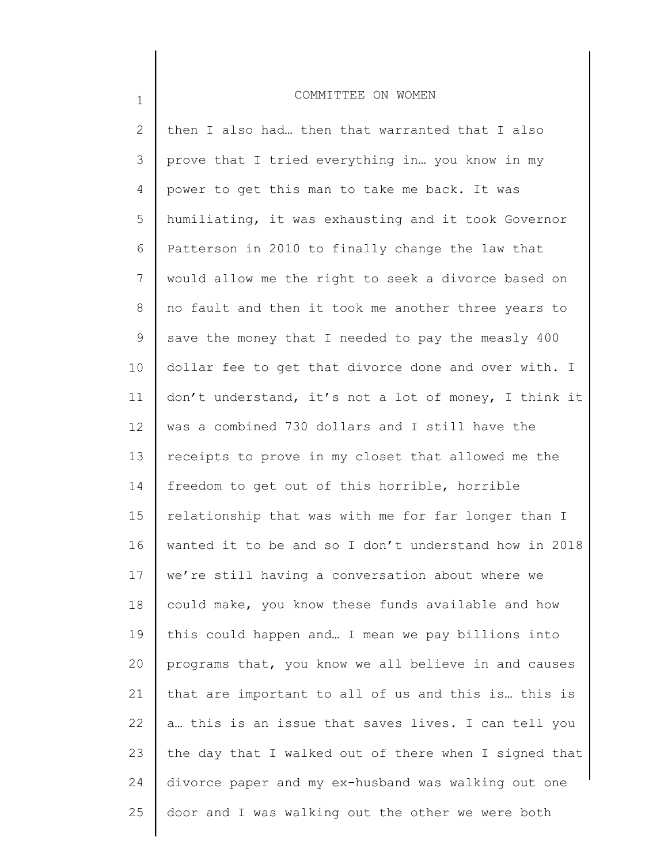| $\mathbf{2}$ | then I also had then that warranted that I also       |
|--------------|-------------------------------------------------------|
| 3            | prove that I tried everything in you know in my       |
| 4            | power to get this man to take me back. It was         |
| 5            | humiliating, it was exhausting and it took Governor   |
| 6            | Patterson in 2010 to finally change the law that      |
| 7            | would allow me the right to seek a divorce based on   |
| 8            | no fault and then it took me another three years to   |
| $\mathsf 9$  | save the money that I needed to pay the measly 400    |
| 10           | dollar fee to get that divorce done and over with. I  |
| 11           | don't understand, it's not a lot of money, I think it |
| 12           | was a combined 730 dollars and I still have the       |
| 13           | receipts to prove in my closet that allowed me the    |
| 14           | freedom to get out of this horrible, horrible         |
| 15           | relationship that was with me for far longer than I   |
| 16           | wanted it to be and so I don't understand how in 2018 |
| 17           | we're still having a conversation about where we      |
| 18           | could make, you know these funds available and how    |
| 19           | this could happen and I mean we pay billions into     |
| 20           | programs that, you know we all believe in and causes  |
| 21           | that are important to all of us and this is this is   |
| 22           | a this is an issue that saves lives. I can tell you   |
| 23           | the day that I walked out of there when I signed that |
| 24           | divorce paper and my ex-husband was walking out one   |
| 25           | door and I was walking out the other we were both     |
|              |                                                       |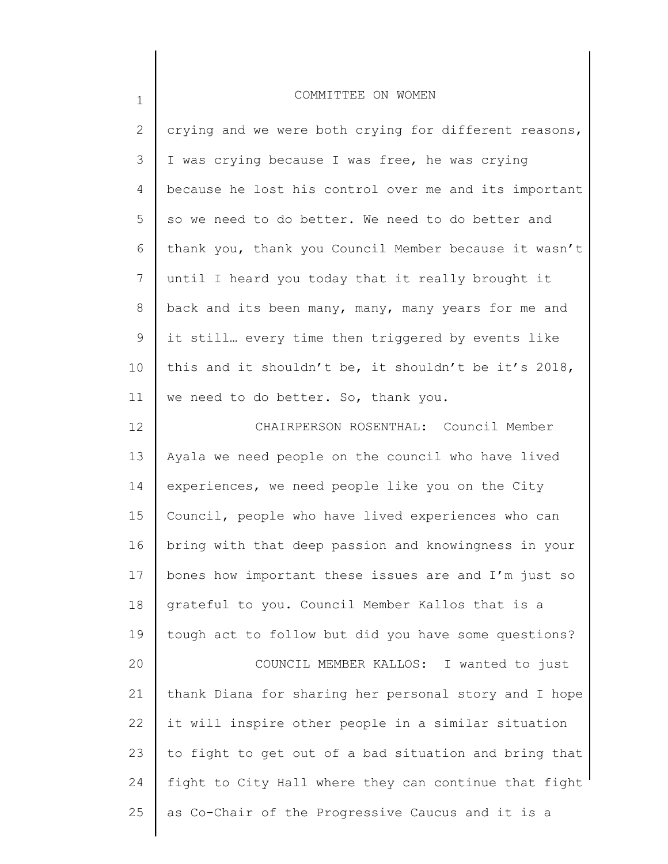| $\mathbf 1$  | COMMITTEE ON WOMEN                                    |
|--------------|-------------------------------------------------------|
| $\mathbf{2}$ | crying and we were both crying for different reasons, |
| 3            | I was crying because I was free, he was crying        |
| 4            | because he lost his control over me and its important |
| 5            | so we need to do better. We need to do better and     |
| 6            | thank you, thank you Council Member because it wasn't |
| 7            | until I heard you today that it really brought it     |
| 8            | back and its been many, many, many years for me and   |
| 9            | it still every time then triggered by events like     |
| 10           | this and it shouldn't be, it shouldn't be it's 2018,  |
| 11           | we need to do better. So, thank you.                  |
| 12           | CHAIRPERSON ROSENTHAL: Council Member                 |
| 13           | Ayala we need people on the council who have lived    |
| 14           | experiences, we need people like you on the City      |
| 15           | Council, people who have lived experiences who can    |
| 16           | bring with that deep passion and knowingness in your  |
| 17           | bones how important these issues are and I'm just so  |
| 18           | grateful to you. Council Member Kallos that is a      |
| 19           | tough act to follow but did you have some questions?  |
| 20           | COUNCIL MEMBER KALLOS: I wanted to just               |
| 21           | thank Diana for sharing her personal story and I hope |
| 22           | it will inspire other people in a similar situation   |
| 23           | to fight to get out of a bad situation and bring that |
| 24           | fight to City Hall where they can continue that fight |
| 25           | as Co-Chair of the Progressive Caucus and it is a     |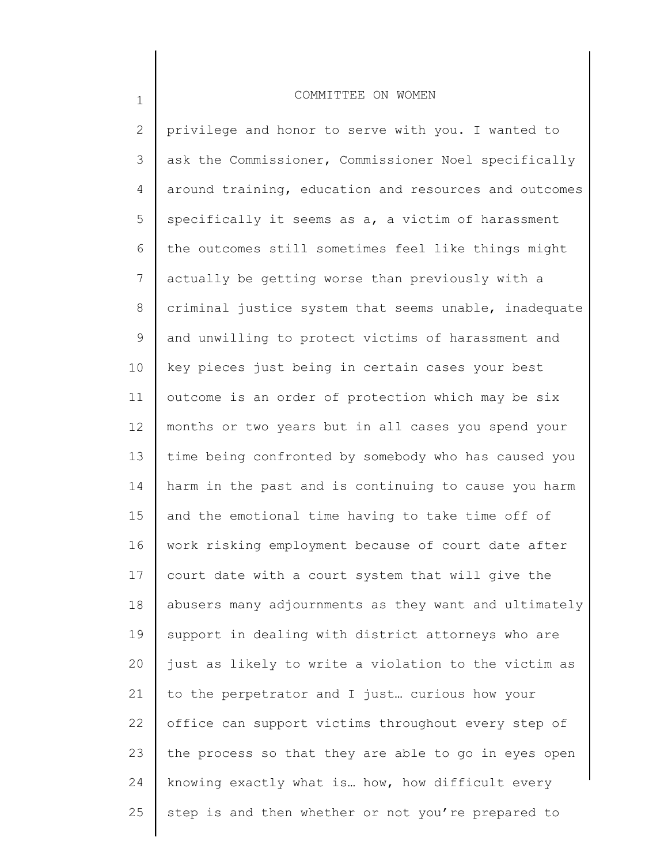1

2 3 4 5 6 7 8 9 10 11 12 13 14 15 16 17 18 19 20 21 22 23 24 25 privilege and honor to serve with you. I wanted to ask the Commissioner, Commissioner Noel specifically around training, education and resources and outcomes specifically it seems as a, a victim of harassment the outcomes still sometimes feel like things might actually be getting worse than previously with a criminal justice system that seems unable, inadequate and unwilling to protect victims of harassment and key pieces just being in certain cases your best outcome is an order of protection which may be six months or two years but in all cases you spend your time being confronted by somebody who has caused you harm in the past and is continuing to cause you harm and the emotional time having to take time off of work risking employment because of court date after court date with a court system that will give the abusers many adjournments as they want and ultimately support in dealing with district attorneys who are just as likely to write a violation to the victim as to the perpetrator and I just… curious how your office can support victims throughout every step of the process so that they are able to go in eyes open knowing exactly what is… how, how difficult every step is and then whether or not you're prepared to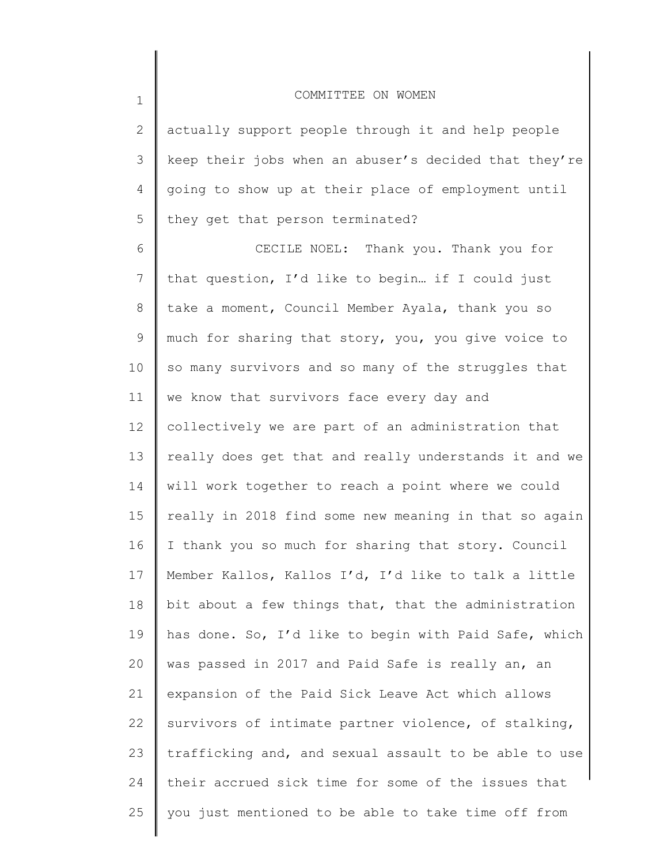| $\mathbf 1$  | COMMITTEE ON WOMEN                                    |
|--------------|-------------------------------------------------------|
| $\mathbf{2}$ | actually support people through it and help people    |
| 3            | keep their jobs when an abuser's decided that they're |
| 4            | going to show up at their place of employment until   |
| 5            | they get that person terminated?                      |
| 6            | CECILE NOEL: Thank you. Thank you for                 |
| 7            | that question, I'd like to begin if I could just      |
| 8            | take a moment, Council Member Ayala, thank you so     |
| 9            | much for sharing that story, you, you give voice to   |
| 10           | so many survivors and so many of the struggles that   |
| 11           | we know that survivors face every day and             |
| 12           | collectively we are part of an administration that    |
| 13           | really does get that and really understands it and we |
| 14           | will work together to reach a point where we could    |
| 15           | really in 2018 find some new meaning in that so again |
| 16           | I thank you so much for sharing that story. Council   |
| 17           | Member Kallos, Kallos I'd, I'd like to talk a little  |
| 18           | bit about a few things that, that the administration  |
| 19           | has done. So, I'd like to begin with Paid Safe, which |
| 20           | was passed in 2017 and Paid Safe is really an, an     |
| 21           | expansion of the Paid Sick Leave Act which allows     |
| 22           | survivors of intimate partner violence, of stalking,  |
| 23           | trafficking and, and sexual assault to be able to use |
| 24           | their accrued sick time for some of the issues that   |
| 25           | you just mentioned to be able to take time off from   |
|              |                                                       |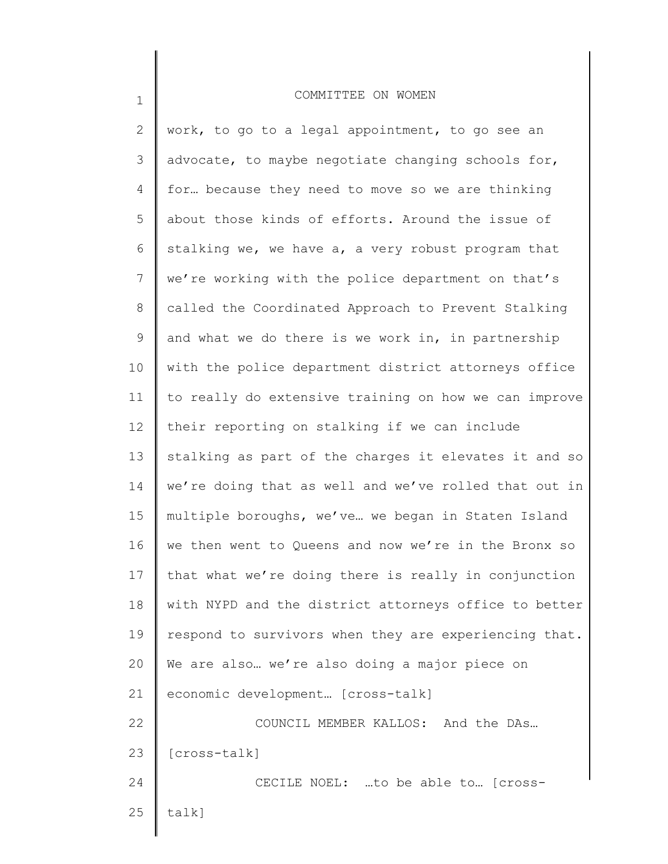| $\mathbf{2}$ | work, to go to a legal appointment, to go see an      |
|--------------|-------------------------------------------------------|
| 3            | advocate, to maybe negotiate changing schools for,    |
| 4            | for because they need to move so we are thinking      |
| 5            | about those kinds of efforts. Around the issue of     |
| 6            | stalking we, we have a, a very robust program that    |
| 7            | we're working with the police department on that's    |
| 8            | called the Coordinated Approach to Prevent Stalking   |
| 9            | and what we do there is we work in, in partnership    |
| 10           | with the police department district attorneys office  |
| 11           | to really do extensive training on how we can improve |
| 12           | their reporting on stalking if we can include         |
| 13           | stalking as part of the charges it elevates it and so |
| 14           | we're doing that as well and we've rolled that out in |
| 15           | multiple boroughs, we've we began in Staten Island    |
| 16           | we then went to Queens and now we're in the Bronx so  |
| 17           | that what we're doing there is really in conjunction  |
| 18           | with NYPD and the district attorneys office to better |
| 19           | respond to survivors when they are experiencing that. |
| 20           | We are also  we're also doing a major piece on        |
| 21           | economic development [cross-talk]                     |
| 22           | COUNCIL MEMBER KALLOS: And the DAs                    |
| 23           | [cross-talk]                                          |
| 24           | CECILE NOEL: to be able to [cross-                    |
| 25           | talk]                                                 |
|              |                                                       |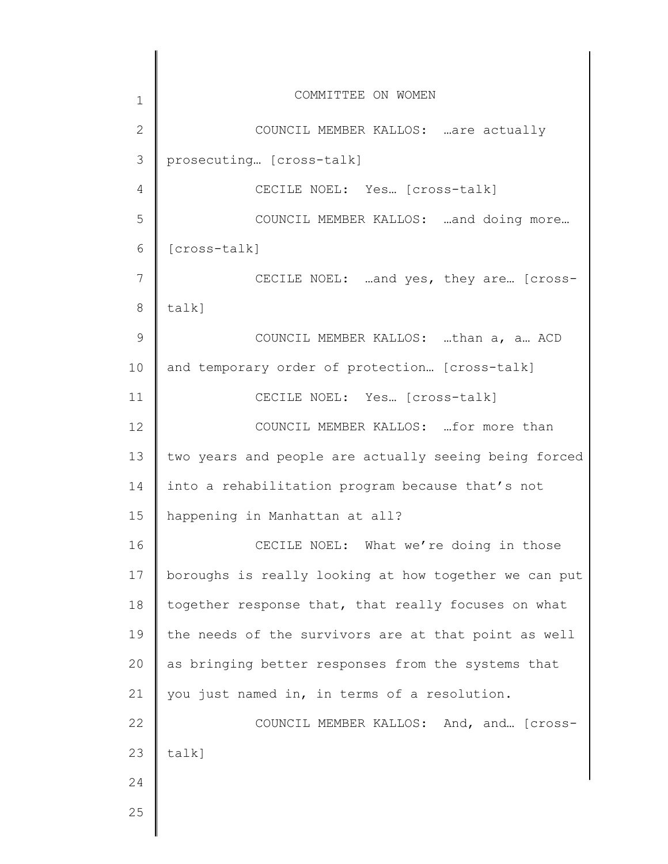| $\mathbf 1$    | COMMITTEE ON WOMEN                                    |
|----------------|-------------------------------------------------------|
| $\overline{2}$ | COUNCIL MEMBER KALLOS: are actually                   |
| 3              | prosecuting [cross-talk]                              |
| 4              | CECILE NOEL: Yes [cross-talk]                         |
| 5              | COUNCIL MEMBER KALLOS:  and doing more                |
| 6              | [cross-talk]                                          |
| $7\phantom{.}$ | CECILE NOEL: and yes, they are [cross-                |
| 8              | $talk$ ]                                              |
| 9              | COUNCIL MEMBER KALLOS: than a, a ACD                  |
| 10             | and temporary order of protection [cross-talk]        |
| 11             | CECILE NOEL: Yes [cross-talk]                         |
| 12             | COUNCIL MEMBER KALLOS:  for more than                 |
| 13             | two years and people are actually seeing being forced |
| 14             | into a rehabilitation program because that's not      |
| 15             | happening in Manhattan at all?                        |
| 16             | CECILE NOEL: What we're doing in those                |
| 17             | boroughs is really looking at how together we can put |
| 18             | together response that, that really focuses on what   |
| 19             | the needs of the survivors are at that point as well  |
| 20             | as bringing better responses from the systems that    |
| 21             | you just named in, in terms of a resolution.          |
| 22             | COUNCIL MEMBER KALLOS: And, and [Cross-               |
| 23             | talk]                                                 |
| 24             |                                                       |
| 25             |                                                       |
|                |                                                       |

 $\overline{\phantom{a}}$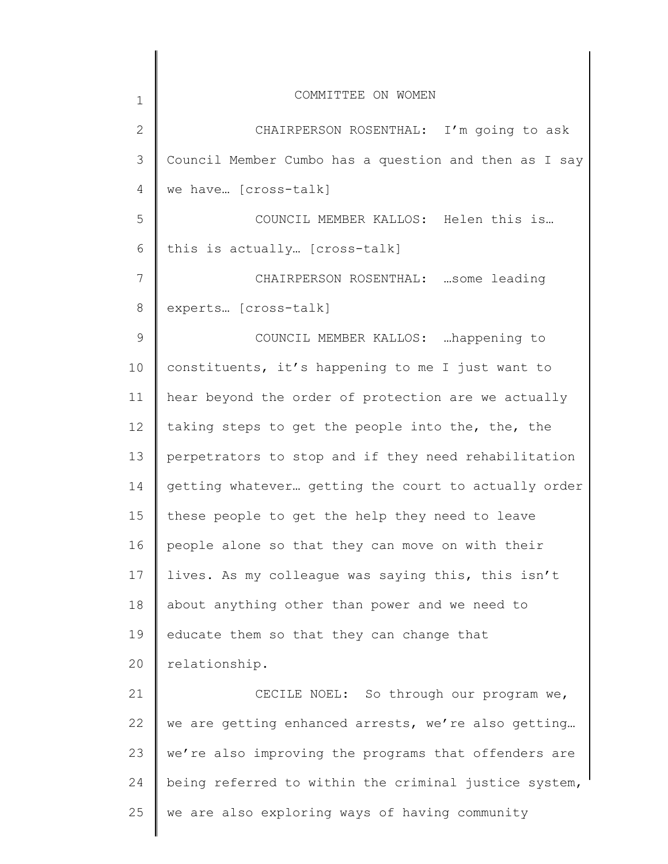| $\mathbf 1$  | COMMITTEE ON WOMEN                                    |
|--------------|-------------------------------------------------------|
| $\mathbf{2}$ | CHAIRPERSON ROSENTHAL: I'm going to ask               |
| 3            | Council Member Cumbo has a question and then as I say |
| 4            | we have [cross-talk]                                  |
| 5            | COUNCIL MEMBER KALLOS: Helen this is                  |
| 6            | this is actually [cross-talk]                         |
| 7            | CHAIRPERSON ROSENTHAL:  some leading                  |
| 8            | experts [cross-talk]                                  |
| 9            | COUNCIL MEMBER KALLOS: happening to                   |
| 10           | constituents, it's happening to me I just want to     |
| 11           | hear beyond the order of protection are we actually   |
| $12 \,$      | taking steps to get the people into the, the, the     |
| 13           | perpetrators to stop and if they need rehabilitation  |
| 14           | getting whatever getting the court to actually order  |
| 15           | these people to get the help they need to leave       |
| 16           | people alone so that they can move on with their      |
| 17           | lives. As my colleague was saying this, this isn't    |
| 18           | about anything other than power and we need to        |
| 19           | educate them so that they can change that             |
| 20           | relationship.                                         |
| 21           | CECILE NOEL: So through our program we,               |
| 22           | we are getting enhanced arrests, we're also getting   |
| 23           | we're also improving the programs that offenders are  |
| 24           | being referred to within the criminal justice system, |
| 25           | we are also exploring ways of having community        |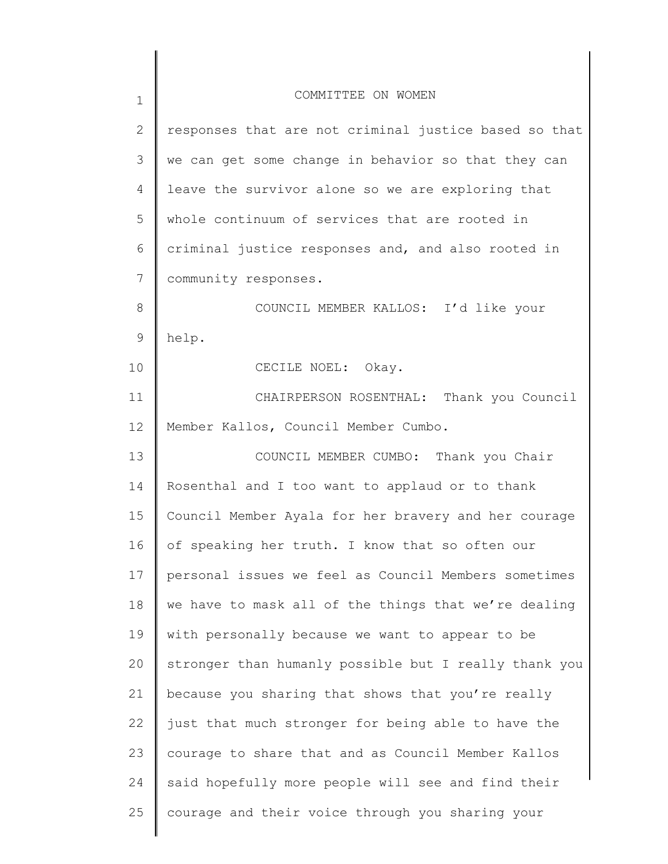| $\mathbf 1$   | COMMITTEE ON WOMEN                                    |
|---------------|-------------------------------------------------------|
| 2             | responses that are not criminal justice based so that |
| 3             | we can get some change in behavior so that they can   |
| 4             | leave the survivor alone so we are exploring that     |
| 5             | whole continuum of services that are rooted in        |
| 6             | criminal justice responses and, and also rooted in    |
| 7             | community responses.                                  |
| 8             | COUNCIL MEMBER KALLOS: I'd like your                  |
| $\mathcal{G}$ | help.                                                 |
| 10            | CECILE NOEL: Okay.                                    |
| 11            | CHAIRPERSON ROSENTHAL: Thank you Council              |
| 12            | Member Kallos, Council Member Cumbo.                  |
| 13            | COUNCIL MEMBER CUMBO: Thank you Chair                 |
| 14            | Rosenthal and I too want to applaud or to thank       |
| 15            | Council Member Ayala for her bravery and her courage  |
| 16            | of speaking her truth. I know that so often our       |
| 17            | personal issues we feel as Council Members sometimes  |
| 18            | we have to mask all of the things that we're dealing  |
| 19            | with personally because we want to appear to be       |
| 20            | stronger than humanly possible but I really thank you |
| 21            | because you sharing that shows that you're really     |
| 22            | just that much stronger for being able to have the    |
| 23            | courage to share that and as Council Member Kallos    |
| 24            | said hopefully more people will see and find their    |
| 25            | courage and their voice through you sharing your      |
|               |                                                       |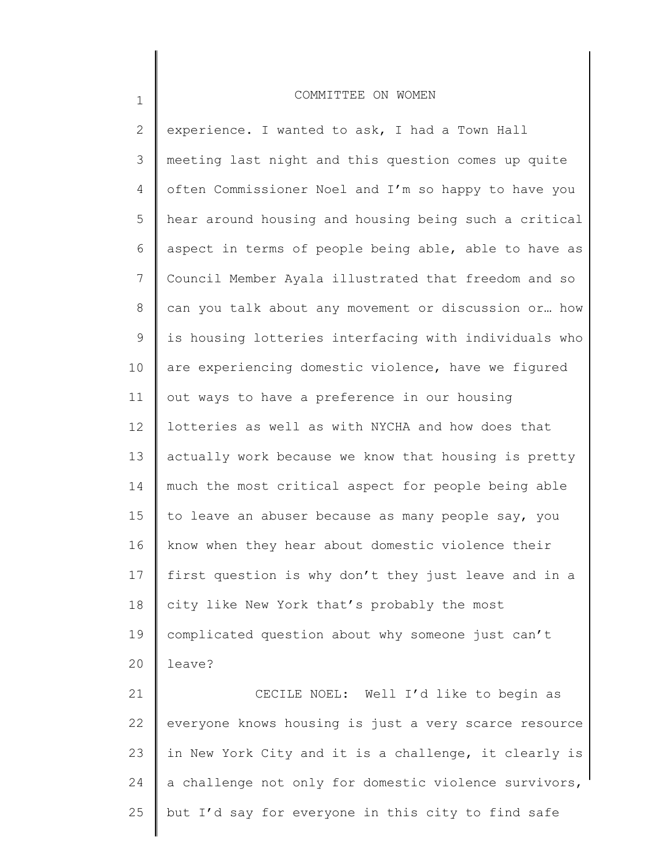1

2 3 4 5 6 7 8 9 10 11 12 13 14 15 16 17 18 19 20 21 22 experience. I wanted to ask, I had a Town Hall meeting last night and this question comes up quite often Commissioner Noel and I'm so happy to have you hear around housing and housing being such a critical aspect in terms of people being able, able to have as Council Member Ayala illustrated that freedom and so can you talk about any movement or discussion or… how is housing lotteries interfacing with individuals who are experiencing domestic violence, have we figured out ways to have a preference in our housing lotteries as well as with NYCHA and how does that actually work because we know that housing is pretty much the most critical aspect for people being able to leave an abuser because as many people say, you know when they hear about domestic violence their first question is why don't they just leave and in a city like New York that's probably the most complicated question about why someone just can't leave? CECILE NOEL: Well I'd like to begin as everyone knows housing is just a very scarce resource

23 24 25 in New York City and it is a challenge, it clearly is a challenge not only for domestic violence survivors, but I'd say for everyone in this city to find safe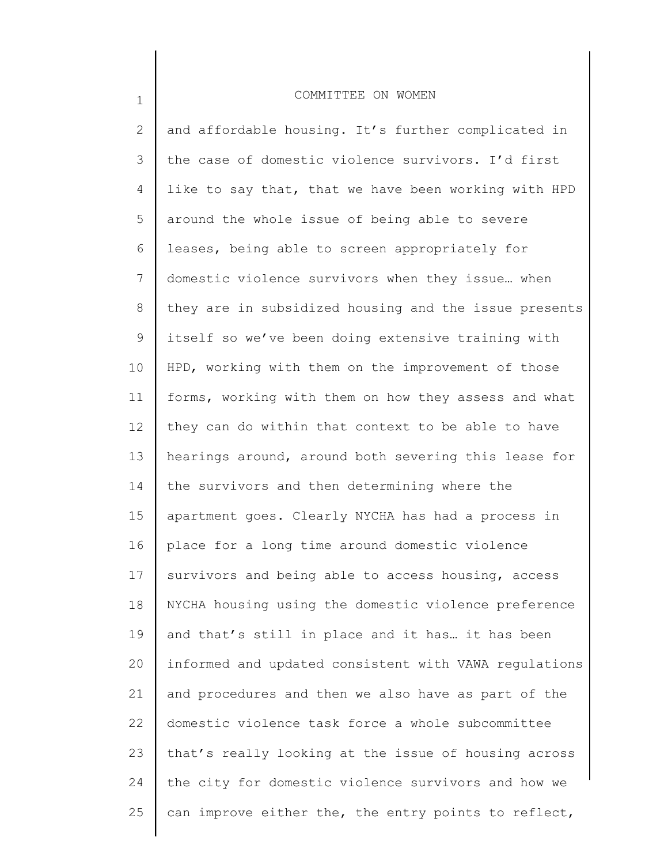1

2 3 4 5 6 7 8 9 10 11 12 13 14 15 16 17 18 19 20 21 22 23 24 25 and affordable housing. It's further complicated in the case of domestic violence survivors. I'd first like to say that, that we have been working with HPD around the whole issue of being able to severe leases, being able to screen appropriately for domestic violence survivors when they issue… when they are in subsidized housing and the issue presents itself so we've been doing extensive training with HPD, working with them on the improvement of those forms, working with them on how they assess and what they can do within that context to be able to have hearings around, around both severing this lease for the survivors and then determining where the apartment goes. Clearly NYCHA has had a process in place for a long time around domestic violence survivors and being able to access housing, access NYCHA housing using the domestic violence preference and that's still in place and it has… it has been informed and updated consistent with VAWA regulations and procedures and then we also have as part of the domestic violence task force a whole subcommittee that's really looking at the issue of housing across the city for domestic violence survivors and how we can improve either the, the entry points to reflect,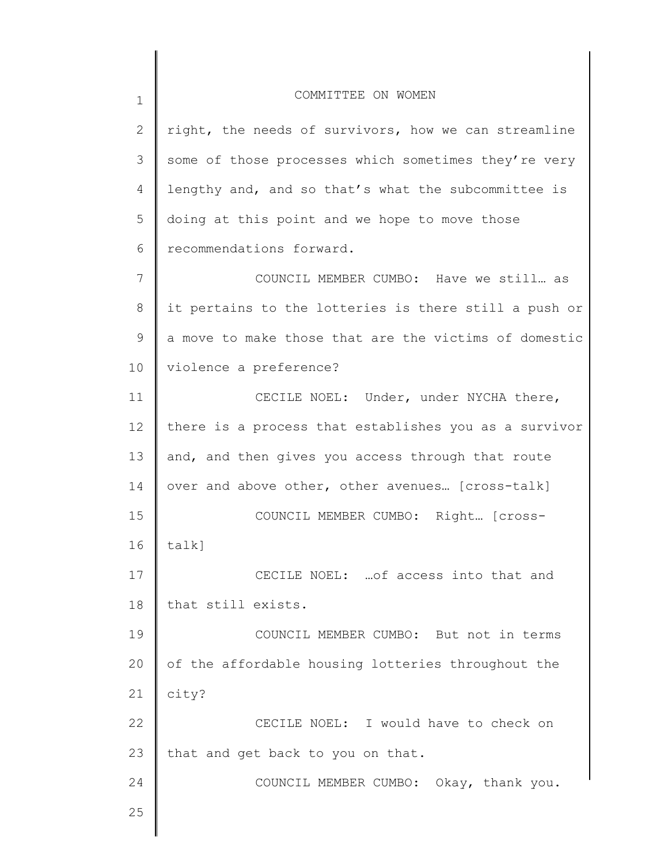| $\mathbf 1$ | COMMITTEE ON WOMEN                                    |
|-------------|-------------------------------------------------------|
| 2           | right, the needs of survivors, how we can streamline  |
| 3           | some of those processes which sometimes they're very  |
| 4           | lengthy and, and so that's what the subcommittee is   |
| 5           | doing at this point and we hope to move those         |
| 6           | recommendations forward.                              |
| 7           | COUNCIL MEMBER CUMBO: Have we still as                |
| $8\,$       | it pertains to the lotteries is there still a push or |
| 9           | a move to make those that are the victims of domestic |
| 10          | violence a preference?                                |
| 11          | CECILE NOEL: Under, under NYCHA there,                |
| 12          | there is a process that establishes you as a survivor |
| 13          | and, and then gives you access through that route     |
| 14          | over and above other, other avenues [cross-talk]      |
| 15          | COUNCIL MEMBER CUMBO: Right [cross-                   |
| 16          | talk]                                                 |
| 17          | CECILE NOEL:  of access into that and                 |
| 18          | that still exists.                                    |
| 19          | COUNCIL MEMBER CUMBO: But not in terms                |
| 20          | of the affordable housing lotteries throughout the    |
| 21          | city?                                                 |
| 22          | CECILE NOEL: I would have to check on                 |
| 23          | that and get back to you on that.                     |
| 24          | COUNCIL MEMBER CUMBO: Okay, thank you.                |
| 25          |                                                       |
|             |                                                       |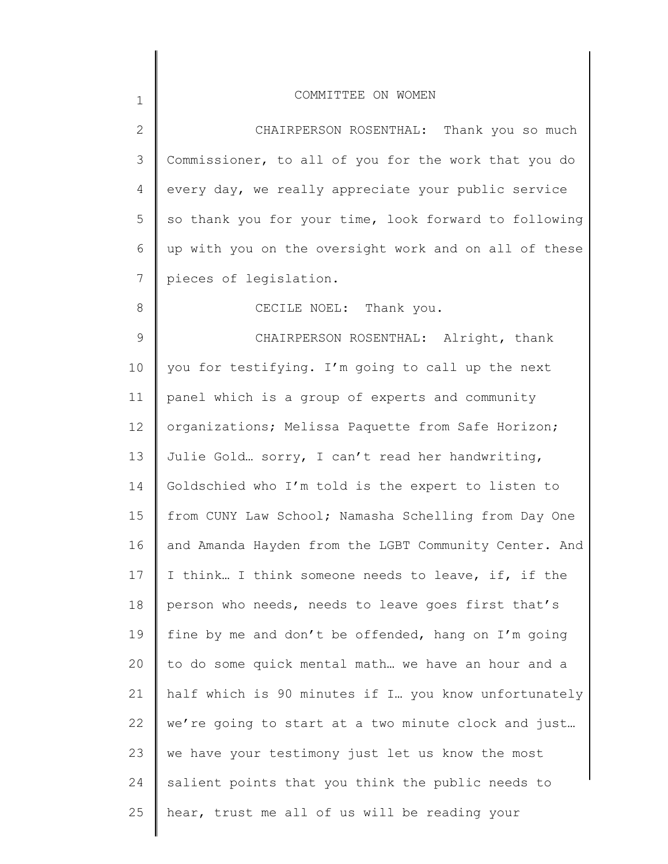2 3 4 5 6 7 CHAIRPERSON ROSENTHAL: Thank you so much Commissioner, to all of you for the work that you do every day, we really appreciate your public service so thank you for your time, look forward to following up with you on the oversight work and on all of these pieces of legislation.

CECILE NOEL: Thank you.

9 10 11 12 13 14 15 16 17 18 19 20 21 22 23 24 25 CHAIRPERSON ROSENTHAL: Alright, thank you for testifying. I'm going to call up the next panel which is a group of experts and community organizations; Melissa Paquette from Safe Horizon; Julie Gold… sorry, I can't read her handwriting, Goldschied who I'm told is the expert to listen to from CUNY Law School; Namasha Schelling from Day One and Amanda Hayden from the LGBT Community Center. And I think… I think someone needs to leave, if, if the person who needs, needs to leave goes first that's fine by me and don't be offended, hang on I'm going to do some quick mental math… we have an hour and a half which is 90 minutes if I… you know unfortunately we're going to start at a two minute clock and just… we have your testimony just let us know the most salient points that you think the public needs to hear, trust me all of us will be reading your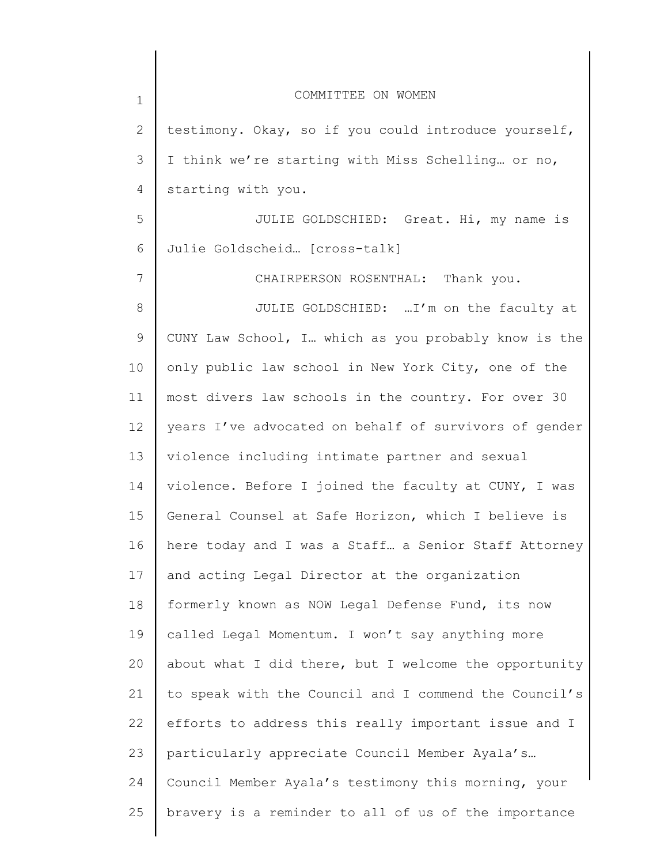| $\mathbf 1$ | COMMITTEE ON WOMEN                                    |
|-------------|-------------------------------------------------------|
| 2           | testimony. Okay, so if you could introduce yourself,  |
| 3           | I think we're starting with Miss Schelling or no,     |
| 4           | starting with you.                                    |
| 5           | JULIE GOLDSCHIED: Great. Hi, my name is               |
| 6           | Julie Goldscheid [cross-talk]                         |
| 7           | CHAIRPERSON ROSENTHAL: Thank you.                     |
| 8           | JULIE GOLDSCHIED:  I'm on the faculty at              |
| 9           | CUNY Law School, I which as you probably know is the  |
| 10          | only public law school in New York City, one of the   |
| 11          | most divers law schools in the country. For over 30   |
| 12          | years I've advocated on behalf of survivors of gender |
| 13          | violence including intimate partner and sexual        |
| 14          | violence. Before I joined the faculty at CUNY, I was  |
| 15          | General Counsel at Safe Horizon, which I believe is   |
| 16          | here today and I was a Staff a Senior Staff Attorney  |
| 17          | and acting Legal Director at the organization         |
| 18          | formerly known as NOW Legal Defense Fund, its now     |
| 19          | called Legal Momentum. I won't say anything more      |
| 20          | about what I did there, but I welcome the opportunity |
| 21          | to speak with the Council and I commend the Council's |
| 22          | efforts to address this really important issue and I  |
| 23          | particularly appreciate Council Member Ayala's        |
| 24          | Council Member Ayala's testimony this morning, your   |
| 25          | bravery is a reminder to all of us of the importance  |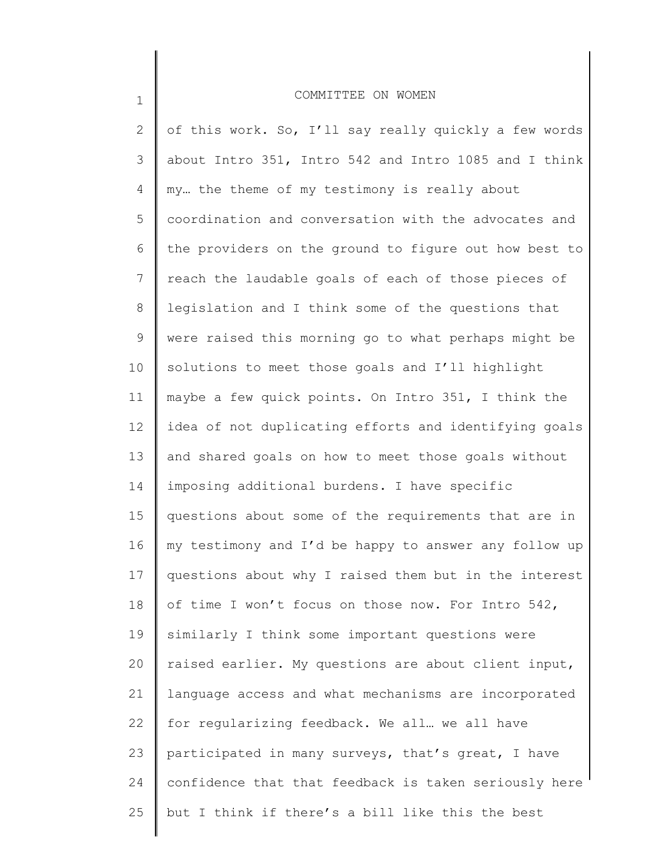1

2 3 4 5 6 7 8 9 10 11 12 13 14 15 16 17 18 19 20 21 22 23 24 25 of this work. So, I'll say really quickly a few words about Intro 351, Intro 542 and Intro 1085 and I think my… the theme of my testimony is really about coordination and conversation with the advocates and the providers on the ground to figure out how best to reach the laudable goals of each of those pieces of legislation and I think some of the questions that were raised this morning go to what perhaps might be solutions to meet those goals and I'll highlight maybe a few quick points. On Intro 351, I think the idea of not duplicating efforts and identifying goals and shared goals on how to meet those goals without imposing additional burdens. I have specific questions about some of the requirements that are in my testimony and I'd be happy to answer any follow up questions about why I raised them but in the interest of time I won't focus on those now. For Intro 542, similarly I think some important questions were raised earlier. My questions are about client input, language access and what mechanisms are incorporated for regularizing feedback. We all… we all have participated in many surveys, that's great, I have confidence that that feedback is taken seriously here but I think if there's a bill like this the best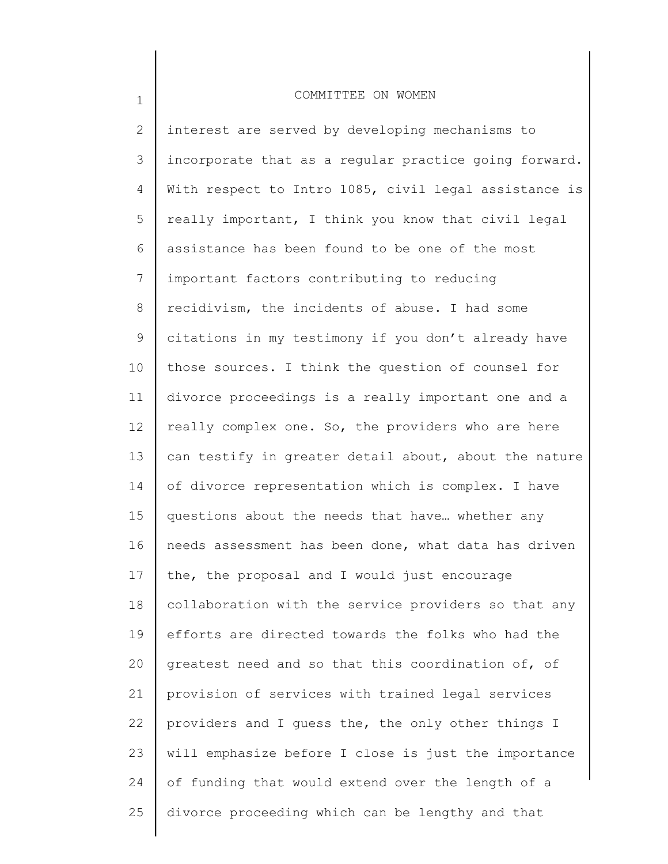1

2 3 4 5 6 7 8 9 10 11 12 13 14 15 16 17 18 19 20 21 22 23 24 25 interest are served by developing mechanisms to incorporate that as a regular practice going forward. With respect to Intro 1085, civil legal assistance is really important, I think you know that civil legal assistance has been found to be one of the most important factors contributing to reducing recidivism, the incidents of abuse. I had some citations in my testimony if you don't already have those sources. I think the question of counsel for divorce proceedings is a really important one and a really complex one. So, the providers who are here can testify in greater detail about, about the nature of divorce representation which is complex. I have questions about the needs that have… whether any needs assessment has been done, what data has driven the, the proposal and I would just encourage collaboration with the service providers so that any efforts are directed towards the folks who had the greatest need and so that this coordination of, of provision of services with trained legal services providers and I guess the, the only other things I will emphasize before I close is just the importance of funding that would extend over the length of a divorce proceeding which can be lengthy and that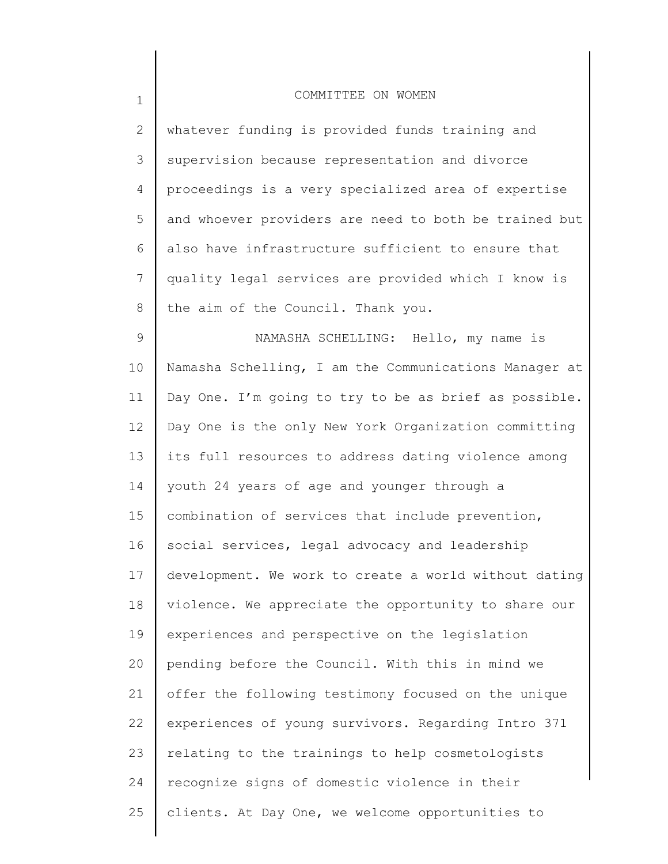| $\overline{2}$ | whatever funding is provided funds training and       |
|----------------|-------------------------------------------------------|
| 3              | supervision because representation and divorce        |
| 4              | proceedings is a very specialized area of expertise   |
| 5              | and whoever providers are need to both be trained but |
| 6              | also have infrastructure sufficient to ensure that    |
| 7              | quality legal services are provided which I know is   |
| 8              | the aim of the Council. Thank you.                    |
| 9              | NAMASHA SCHELLING: Hello, my name is                  |
| 10             | Namasha Schelling, I am the Communications Manager at |
| 11             | Day One. I'm going to try to be as brief as possible. |
| 12             | Day One is the only New York Organization committing  |
| 13             | its full resources to address dating violence among   |
| 14             | youth 24 years of age and younger through a           |
| 15             | combination of services that include prevention,      |
| 16             | social services, legal advocacy and leadership        |
| 17             | development. We work to create a world without dating |
| 18             | violence. We appreciate the opportunity to share our  |
| 19             | experiences and perspective on the legislation        |
| 20             | pending before the Council. With this in mind we      |
| 21             | offer the following testimony focused on the unique   |
| 22             | experiences of young survivors. Regarding Intro 371   |
| 23             | relating to the trainings to help cosmetologists      |
| 24             | recognize signs of domestic violence in their         |
| 25             | clients. At Day One, we welcome opportunities to      |
|                |                                                       |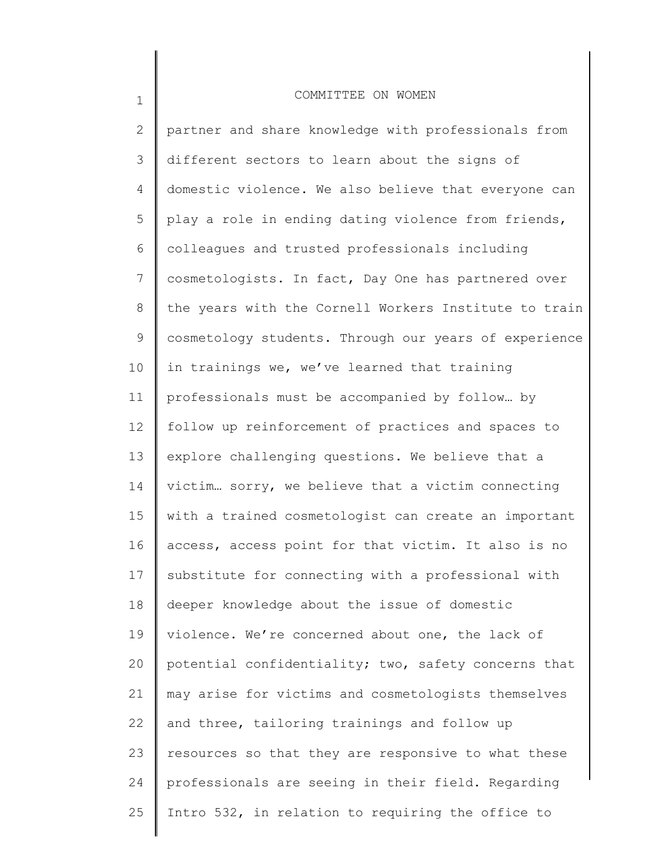1

2 3 4 5 6 7 8 9 10 11 12 13 14 15 16 17 18 19 20 21 22 23 24 25 partner and share knowledge with professionals from different sectors to learn about the signs of domestic violence. We also believe that everyone can play a role in ending dating violence from friends, colleagues and trusted professionals including cosmetologists. In fact, Day One has partnered over the years with the Cornell Workers Institute to train cosmetology students. Through our years of experience in trainings we, we've learned that training professionals must be accompanied by follow… by follow up reinforcement of practices and spaces to explore challenging questions. We believe that a victim… sorry, we believe that a victim connecting with a trained cosmetologist can create an important access, access point for that victim. It also is no substitute for connecting with a professional with deeper knowledge about the issue of domestic violence. We're concerned about one, the lack of potential confidentiality; two, safety concerns that may arise for victims and cosmetologists themselves and three, tailoring trainings and follow up resources so that they are responsive to what these professionals are seeing in their field. Regarding Intro 532, in relation to requiring the office to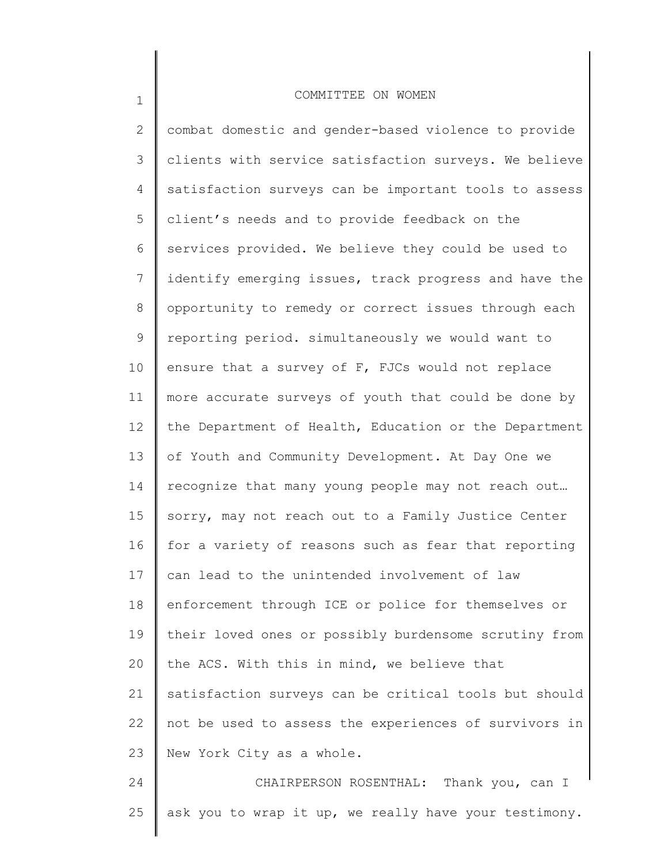2 3 4 5 6 7 8 9 10 11 12 13 14 15 16 17 18 19 20 21 22 23 24 combat domestic and gender-based violence to provide clients with service satisfaction surveys. We believe satisfaction surveys can be important tools to assess client's needs and to provide feedback on the services provided. We believe they could be used to identify emerging issues, track progress and have the opportunity to remedy or correct issues through each reporting period. simultaneously we would want to ensure that a survey of F, FJCs would not replace more accurate surveys of youth that could be done by the Department of Health, Education or the Department of Youth and Community Development. At Day One we recognize that many young people may not reach out… sorry, may not reach out to a Family Justice Center for a variety of reasons such as fear that reporting can lead to the unintended involvement of law enforcement through ICE or police for themselves or their loved ones or possibly burdensome scrutiny from the ACS. With this in mind, we believe that satisfaction surveys can be critical tools but should not be used to assess the experiences of survivors in New York City as a whole. CHAIRPERSON ROSENTHAL: Thank you, can I

25

1

ask you to wrap it up, we really have your testimony.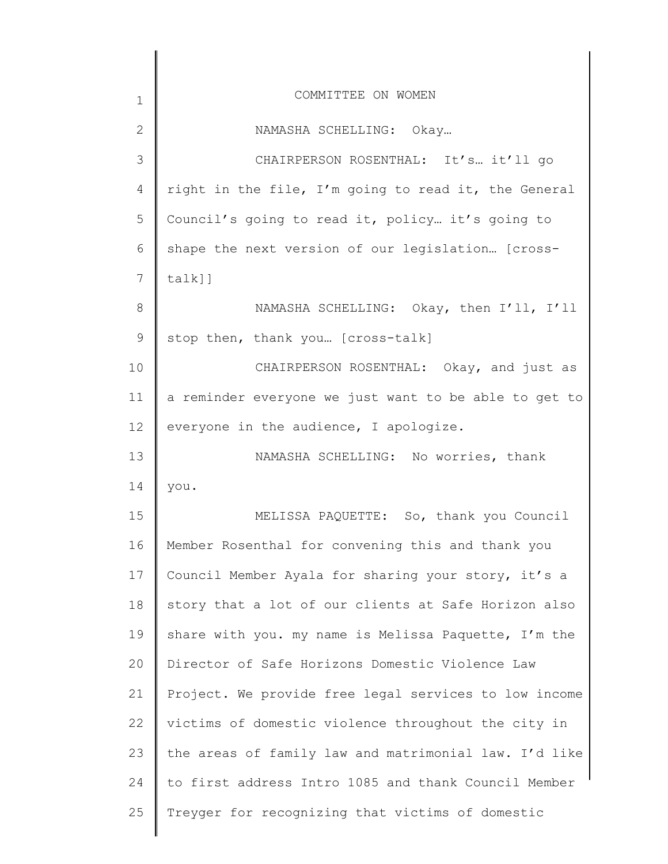| $\mathbf 1$  | COMMITTEE ON WOMEN                                    |
|--------------|-------------------------------------------------------|
| $\mathbf{2}$ | NAMASHA SCHELLING: Okay                               |
| 3            | CHAIRPERSON ROSENTHAL: It's it'll go                  |
| 4            | right in the file, I'm going to read it, the General  |
| 5            | Council's going to read it, policy it's going to      |
| 6            | shape the next version of our legislation [cross-     |
| 7            | $talk]$ ]                                             |
| 8            | NAMASHA SCHELLING: Okay, then I'll, I'll              |
| 9            | stop then, thank you [cross-talk]                     |
| 10           | CHAIRPERSON ROSENTHAL: Okay, and just as              |
| 11           | a reminder everyone we just want to be able to get to |
| 12           | everyone in the audience, I apologize.                |
| 13           | NAMASHA SCHELLING: No worries, thank                  |
| 14           | you.                                                  |
| 15           | MELISSA PAQUETTE: So, thank you Council               |
| 16           | Member Rosenthal for convening this and thank you     |
| 17           | Council Member Ayala for sharing your story, it's a   |
| 18           | story that a lot of our clients at Safe Horizon also  |
| 19           | share with you. my name is Melissa Paquette, I'm the  |
| 20           | Director of Safe Horizons Domestic Violence Law       |
| 21           | Project. We provide free legal services to low income |
| 22           | victims of domestic violence throughout the city in   |
| 23           | the areas of family law and matrimonial law. I'd like |
| 24           | to first address Intro 1085 and thank Council Member  |
| 25           | Treyger for recognizing that victims of domestic      |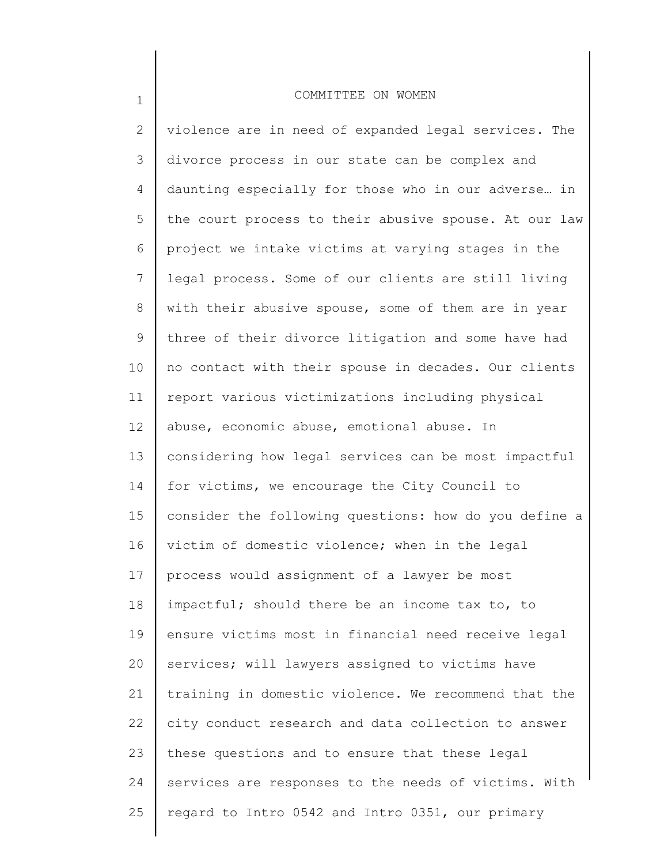1

2 3 4 5 6 7 8 9 10 11 12 13 14 15 16 17 18 19 20 21 22 23 24 25 violence are in need of expanded legal services. The divorce process in our state can be complex and daunting especially for those who in our adverse… in the court process to their abusive spouse. At our law project we intake victims at varying stages in the legal process. Some of our clients are still living with their abusive spouse, some of them are in year three of their divorce litigation and some have had no contact with their spouse in decades. Our clients report various victimizations including physical abuse, economic abuse, emotional abuse. In considering how legal services can be most impactful for victims, we encourage the City Council to consider the following questions: how do you define a victim of domestic violence; when in the legal process would assignment of a lawyer be most impactful; should there be an income tax to, to ensure victims most in financial need receive legal services; will lawyers assigned to victims have training in domestic violence. We recommend that the city conduct research and data collection to answer these questions and to ensure that these legal services are responses to the needs of victims. With regard to Intro 0542 and Intro 0351, our primary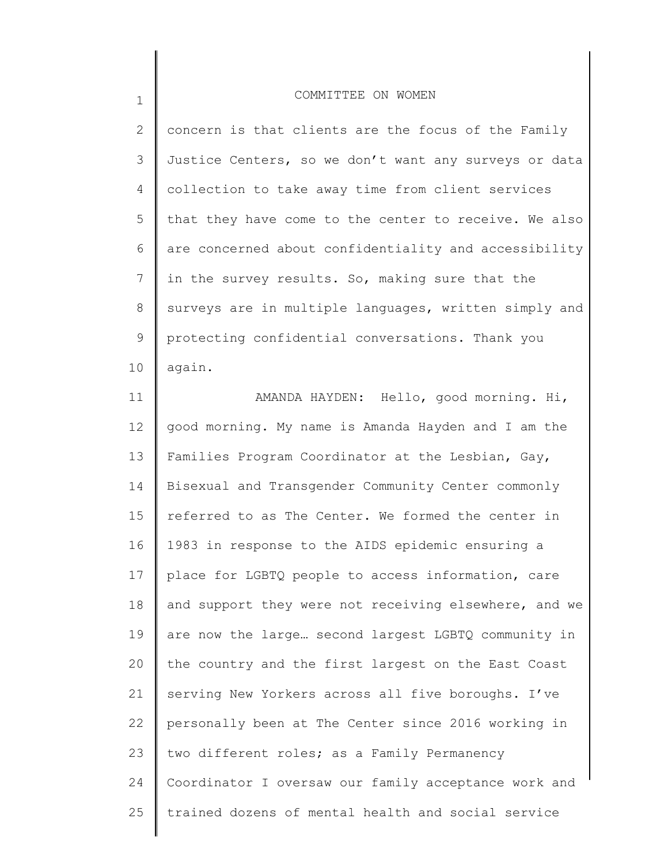1

2 3 4 5 6 7 8 9 10 concern is that clients are the focus of the Family Justice Centers, so we don't want any surveys or data collection to take away time from client services that they have come to the center to receive. We also are concerned about confidentiality and accessibility in the survey results. So, making sure that the surveys are in multiple languages, written simply and protecting confidential conversations. Thank you again.

11 12 13 14 15 16 17 18 19 20 21 22 23 24 25 AMANDA HAYDEN: Hello, good morning. Hi, good morning. My name is Amanda Hayden and I am the Families Program Coordinator at the Lesbian, Gay, Bisexual and Transgender Community Center commonly referred to as The Center. We formed the center in 1983 in response to the AIDS epidemic ensuring a place for LGBTQ people to access information, care and support they were not receiving elsewhere, and we are now the large… second largest LGBTQ community in the country and the first largest on the East Coast serving New Yorkers across all five boroughs. I've personally been at The Center since 2016 working in two different roles; as a Family Permanency Coordinator I oversaw our family acceptance work and trained dozens of mental health and social service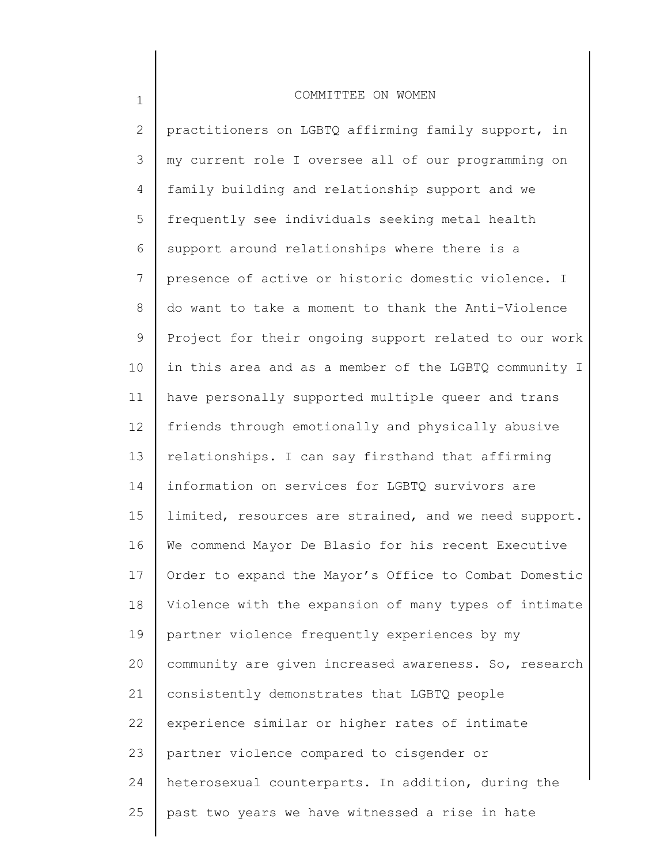1

2 3 4 5 6 7 8 9 10 11 12 13 14 15 16 17 18 19 20 21 22 23 24 25 practitioners on LGBTQ affirming family support, in my current role I oversee all of our programming on family building and relationship support and we frequently see individuals seeking metal health support around relationships where there is a presence of active or historic domestic violence. I do want to take a moment to thank the Anti-Violence Project for their ongoing support related to our work in this area and as a member of the LGBTQ community I have personally supported multiple queer and trans friends through emotionally and physically abusive relationships. I can say firsthand that affirming information on services for LGBTQ survivors are limited, resources are strained, and we need support. We commend Mayor De Blasio for his recent Executive Order to expand the Mayor's Office to Combat Domestic Violence with the expansion of many types of intimate partner violence frequently experiences by my community are given increased awareness. So, research consistently demonstrates that LGBTQ people experience similar or higher rates of intimate partner violence compared to cisgender or heterosexual counterparts. In addition, during the past two years we have witnessed a rise in hate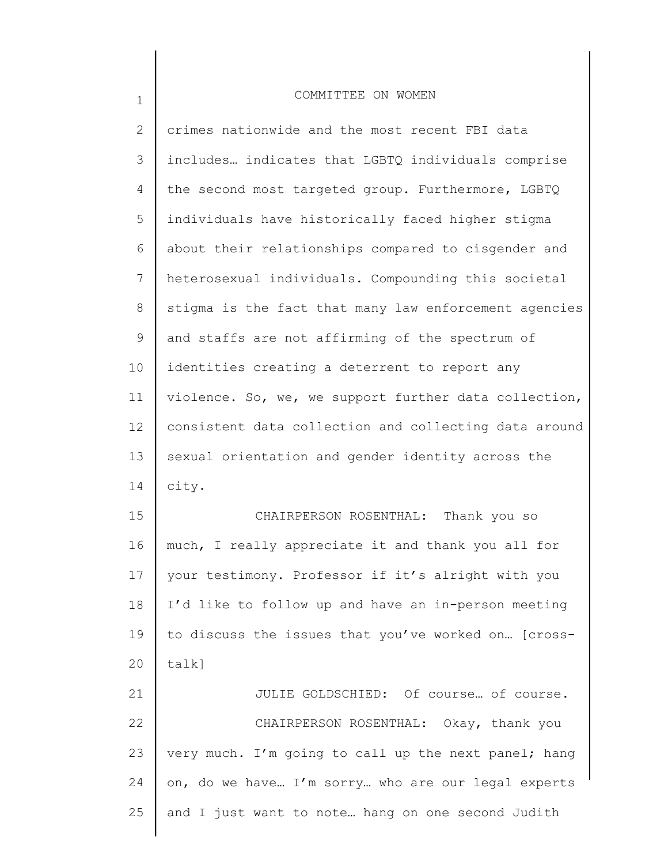| $\mathbf{2}$ | crimes nationwide and the most recent FBI data        |
|--------------|-------------------------------------------------------|
| 3            | includes indicates that LGBTQ individuals comprise    |
| 4            | the second most targeted group. Furthermore, LGBTQ    |
| 5            | individuals have historically faced higher stigma     |
| 6            | about their relationships compared to cisgender and   |
| 7            | heterosexual individuals. Compounding this societal   |
| 8            | stigma is the fact that many law enforcement agencies |
| 9            | and staffs are not affirming of the spectrum of       |
| 10           | identities creating a deterrent to report any         |
| 11           | violence. So, we, we support further data collection, |
| 12           | consistent data collection and collecting data around |
| 13           | sexual orientation and gender identity across the     |
| 14           | city.                                                 |
| 15           | CHAIRPERSON ROSENTHAL: Thank you so                   |
| 16           | much, I really appreciate it and thank you all for    |
| 17           | your testimony. Professor if it's alright with you    |
| 18           | I'd like to follow up and have an in-person meeting   |
| 19           | to discuss the issues that you've worked on [cross-   |
| 20           | talk]                                                 |
| 21           | JULIE GOLDSCHIED: Of course of course.                |
| 22           | CHAIRPERSON ROSENTHAL: Okay, thank you                |
| 23           | very much. I'm going to call up the next panel; hang  |
| 24           | on, do we have I'm sorry who are our legal experts    |
| 25           | and I just want to note hang on one second Judith     |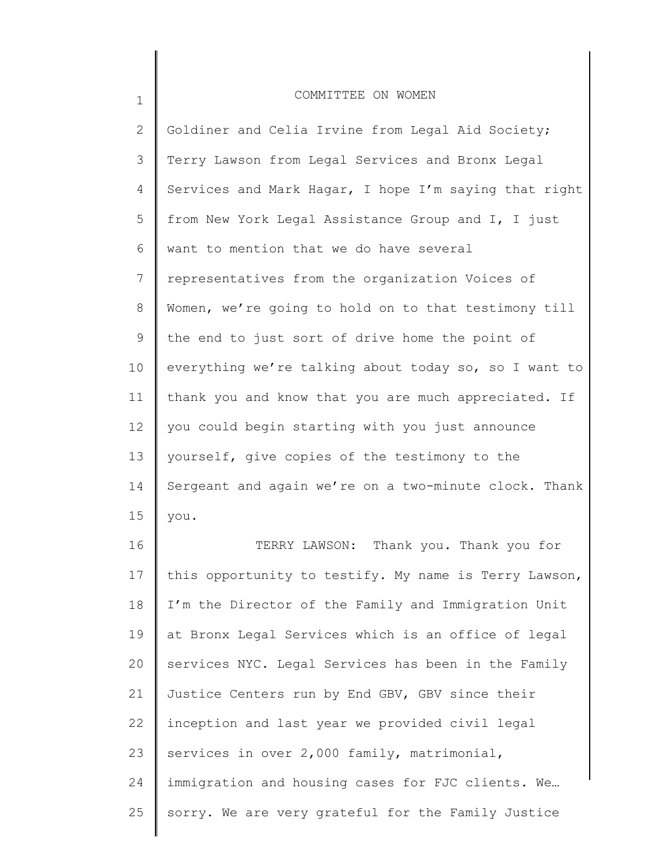| $\mathbf 1$     | COMMITTEE ON WOMEN                                    |
|-----------------|-------------------------------------------------------|
| $\overline{2}$  | Goldiner and Celia Irvine from Legal Aid Society;     |
| 3               | Terry Lawson from Legal Services and Bronx Legal      |
| 4               | Services and Mark Hagar, I hope I'm saying that right |
| 5               | from New York Legal Assistance Group and I, I just    |
| 6               | want to mention that we do have several               |
| $7\phantom{.0}$ | representatives from the organization Voices of       |
| 8               | Women, we're going to hold on to that testimony till  |
| 9               | the end to just sort of drive home the point of       |
| 10              | everything we're talking about today so, so I want to |
| 11              | thank you and know that you are much appreciated. If  |
| 12              | you could begin starting with you just announce       |
| 13              | yourself, give copies of the testimony to the         |
| 14              | Sergeant and again we're on a two-minute clock. Thank |
| 15              | you.                                                  |
| 16              | TERRY LAWSON: Thank you. Thank you for                |
| 17              | this opportunity to testify. My name is Terry Lawson, |
| 18              | I'm the Director of the Family and Immigration Unit   |
| 19              | at Bronx Legal Services which is an office of legal   |
| 20              | services NYC. Legal Services has been in the Family   |

25 sorry. We are very grateful for the Family Justice

immigration and housing cases for FJC clients. We…

Justice Centers run by End GBV, GBV since their

inception and last year we provided civil legal

services in over 2,000 family, matrimonial,

20

21

22

23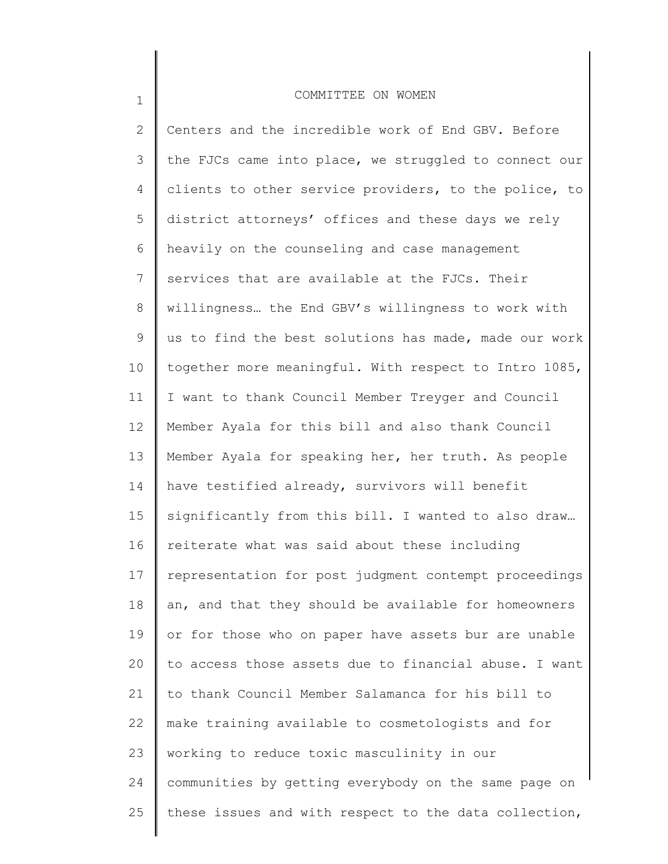1

2 3 4 5 6 7 8 9 10 11 12 13 14 15 16 17 18 19 20 21 22 23 24 25 Centers and the incredible work of End GBV. Before the FJCs came into place, we struggled to connect our clients to other service providers, to the police, to district attorneys' offices and these days we rely heavily on the counseling and case management services that are available at the FJCs. Their willingness… the End GBV's willingness to work with us to find the best solutions has made, made our work together more meaningful. With respect to Intro 1085, I want to thank Council Member Treyger and Council Member Ayala for this bill and also thank Council Member Ayala for speaking her, her truth. As people have testified already, survivors will benefit significantly from this bill. I wanted to also draw… reiterate what was said about these including representation for post judgment contempt proceedings an, and that they should be available for homeowners or for those who on paper have assets bur are unable to access those assets due to financial abuse. I want to thank Council Member Salamanca for his bill to make training available to cosmetologists and for working to reduce toxic masculinity in our communities by getting everybody on the same page on these issues and with respect to the data collection,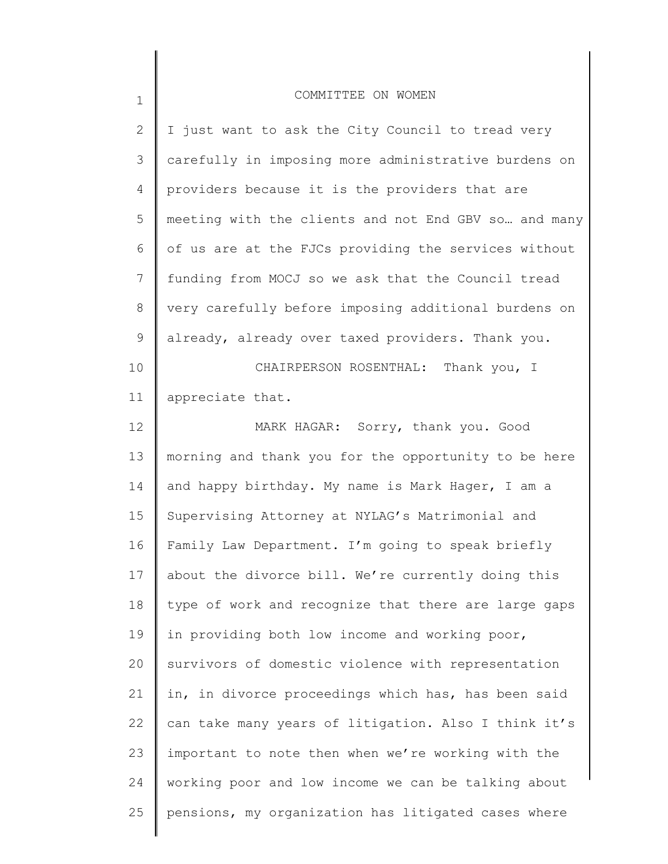| 2               | I just want to ask the City Council to tread very    |
|-----------------|------------------------------------------------------|
| 3               | carefully in imposing more administrative burdens on |
| 4               | providers because it is the providers that are       |
| 5               | meeting with the clients and not End GBV so and many |
| 6               | of us are at the FJCs providing the services without |
| $7\phantom{.0}$ | funding from MOCJ so we ask that the Council tread   |
| 8               | very carefully before imposing additional burdens on |
| 9               | already, already over taxed providers. Thank you.    |
| 10              | CHAIRPERSON ROSENTHAL: Thank you, I                  |
| 11              | appreciate that.                                     |
| 12              | MARK HAGAR: Sorry, thank you. Good                   |
| 13              | morning and thank you for the opportunity to be here |
| 14              | and happy birthday. My name is Mark Hager, I am a    |
| 15              | Supervising Attorney at NYLAG's Matrimonial and      |
| 16              | Family Law Department. I'm going to speak briefly    |
| 17              | about the divorce bill. We're currently doing this   |
| 18              | type of work and recognize that there are large gaps |
| 19              | in providing both low income and working poor,       |
| 20              | survivors of domestic violence with representation   |
| 21              | in, in divorce proceedings which has, has been said  |
| 22              | can take many years of litigation. Also I think it's |
| 23              | important to note then when we're working with the   |
| 24              | working poor and low income we can be talking about  |
| 25              | pensions, my organization has litigated cases where  |
|                 |                                                      |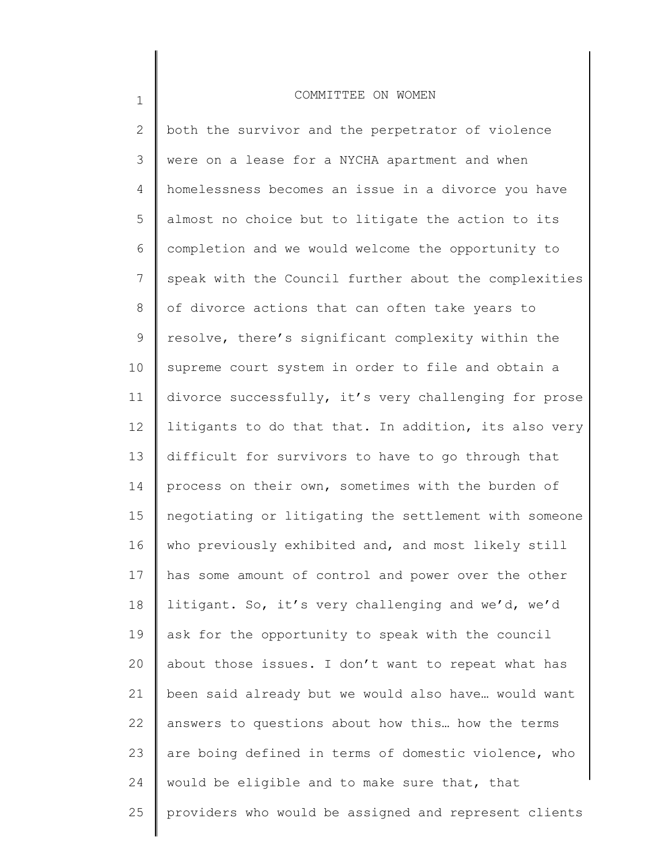1

2 3 4 5 6 7 8 9 10 11 12 13 14 15 16 17 18 19 20 21 22 23 24 25 both the survivor and the perpetrator of violence were on a lease for a NYCHA apartment and when homelessness becomes an issue in a divorce you have almost no choice but to litigate the action to its completion and we would welcome the opportunity to speak with the Council further about the complexities of divorce actions that can often take years to resolve, there's significant complexity within the supreme court system in order to file and obtain a divorce successfully, it's very challenging for prose litigants to do that that. In addition, its also very difficult for survivors to have to go through that process on their own, sometimes with the burden of negotiating or litigating the settlement with someone who previously exhibited and, and most likely still has some amount of control and power over the other litigant. So, it's very challenging and we'd, we'd ask for the opportunity to speak with the council about those issues. I don't want to repeat what has been said already but we would also have… would want answers to questions about how this… how the terms are boing defined in terms of domestic violence, who would be eligible and to make sure that, that providers who would be assigned and represent clients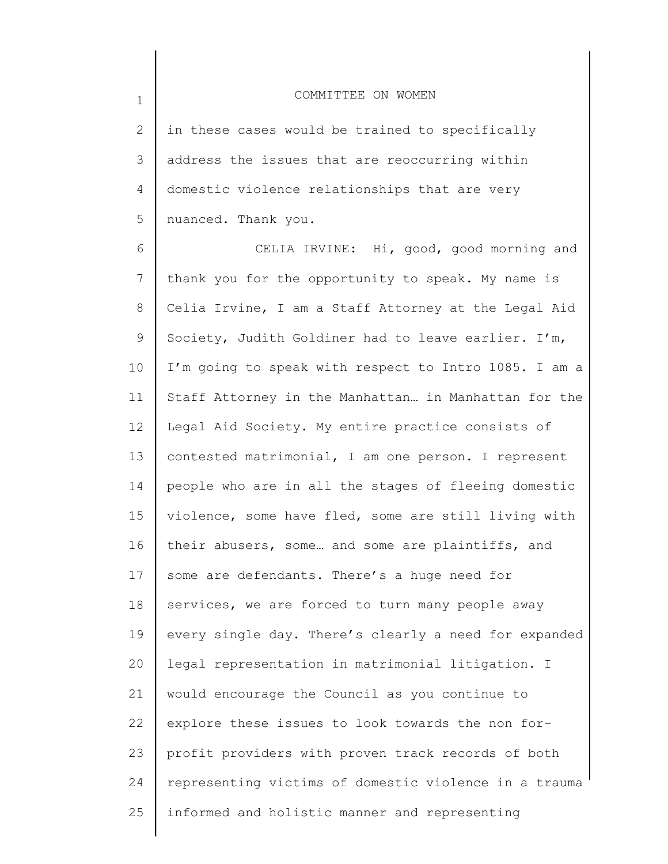2 3 4 5 in these cases would be trained to specifically address the issues that are reoccurring within domestic violence relationships that are very nuanced. Thank you.

1

6 7 8 9 10 11 12 13 14 15 16 17 18 19 20 21 22 23 24 25 CELIA IRVINE: Hi, good, good morning and thank you for the opportunity to speak. My name is Celia Irvine, I am a Staff Attorney at the Legal Aid Society, Judith Goldiner had to leave earlier. I'm, I'm going to speak with respect to Intro 1085. I am a Staff Attorney in the Manhattan… in Manhattan for the Legal Aid Society. My entire practice consists of contested matrimonial, I am one person. I represent people who are in all the stages of fleeing domestic violence, some have fled, some are still living with their abusers, some… and some are plaintiffs, and some are defendants. There's a huge need for services, we are forced to turn many people away every single day. There's clearly a need for expanded legal representation in matrimonial litigation. I would encourage the Council as you continue to explore these issues to look towards the non forprofit providers with proven track records of both representing victims of domestic violence in a trauma informed and holistic manner and representing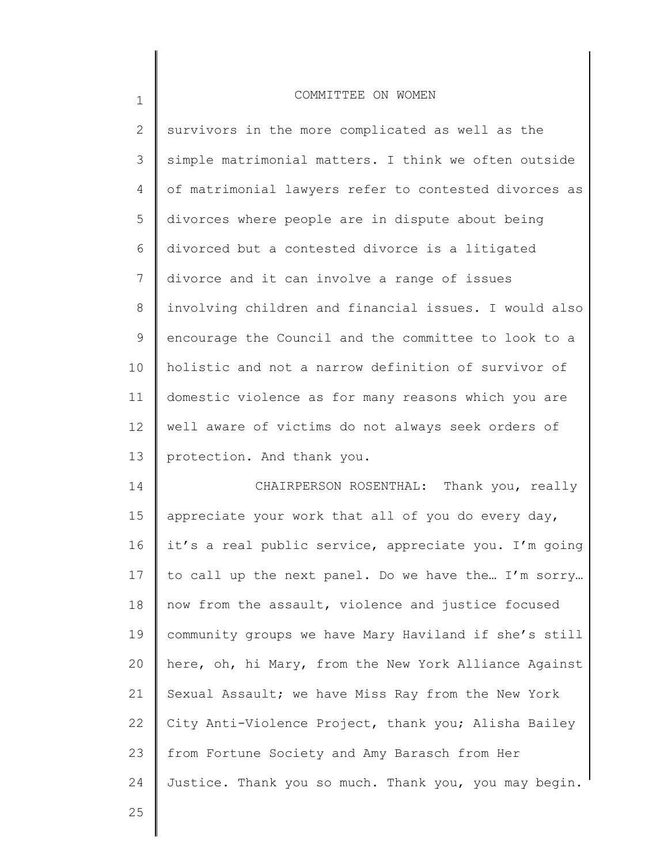| $\overline{2}$ | survivors in the more complicated as well as the      |
|----------------|-------------------------------------------------------|
| 3              | simple matrimonial matters. I think we often outside  |
| 4              | of matrimonial lawyers refer to contested divorces as |
| 5              | divorces where people are in dispute about being      |
| 6              | divorced but a contested divorce is a litigated       |
| 7              | divorce and it can involve a range of issues          |
| 8              | involving children and financial issues. I would also |
| 9              | encourage the Council and the committee to look to a  |
| 10             | holistic and not a narrow definition of survivor of   |
| 11             | domestic violence as for many reasons which you are   |
| 12             | well aware of victims do not always seek orders of    |
| 13             | protection. And thank you.                            |
| 14             | CHAIRPERSON ROSENTHAL: Thank you, really              |
| 15             | appreciate your work that all of you do every day,    |
| 16             | it's a real public service, appreciate you. I'm going |
| 17             | to call up the next panel. Do we have the I'm sorry   |
|                |                                                       |

16 17 18 19 20 21 22 23 24 now from the assault, violence and justice focused community groups we have Mary Haviland if she's still here, oh, hi Mary, from the New York Alliance Against Sexual Assault; we have Miss Ray from the New York City Anti-Violence Project, thank you; Alisha Bailey from Fortune Society and Amy Barasch from Her Justice. Thank you so much. Thank you, you may begin.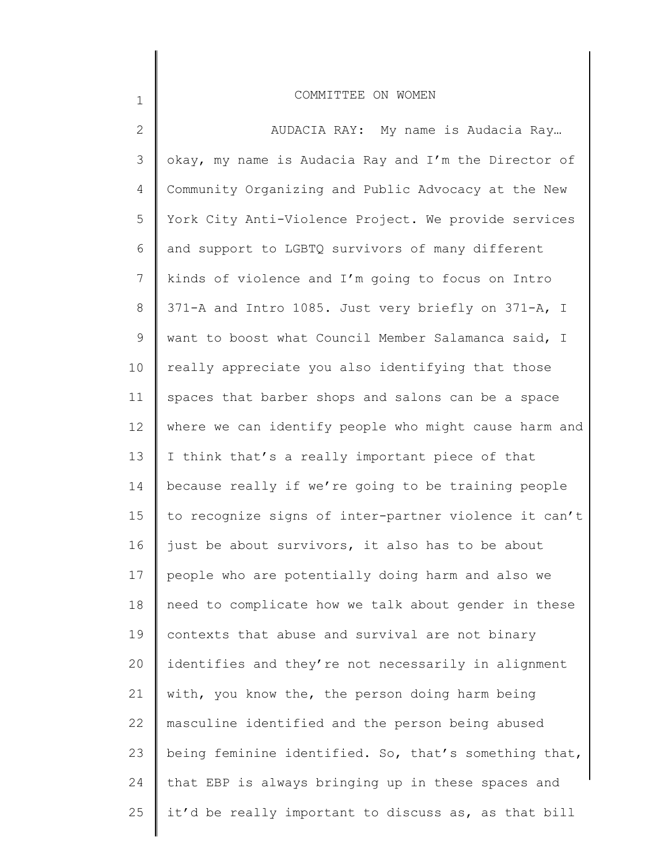| $\mathbf{2}$ | AUDACIA RAY: My name is Audacia Ray                   |
|--------------|-------------------------------------------------------|
| 3            | okay, my name is Audacia Ray and I'm the Director of  |
| 4            | Community Organizing and Public Advocacy at the New   |
| 5            | York City Anti-Violence Project. We provide services  |
| 6            | and support to LGBTQ survivors of many different      |
| 7            | kinds of violence and I'm going to focus on Intro     |
| 8            | 371-A and Intro 1085. Just very briefly on 371-A, I   |
| 9            | want to boost what Council Member Salamanca said, I   |
| 10           | really appreciate you also identifying that those     |
| 11           | spaces that barber shops and salons can be a space    |
| 12           | where we can identify people who might cause harm and |
| 13           | I think that's a really important piece of that       |
| 14           | because really if we're going to be training people   |
| 15           | to recognize signs of inter-partner violence it can't |
| 16           | just be about survivors, it also has to be about      |
| 17           | people who are potentially doing harm and also we     |
| 18           | need to complicate how we talk about gender in these  |
| 19           | contexts that abuse and survival are not binary       |
| 20           | identifies and they're not necessarily in alignment   |
| 21           | with, you know the, the person doing harm being       |
| 22           | masculine identified and the person being abused      |
| 23           | being feminine identified. So, that's something that, |
| 24           | that EBP is always bringing up in these spaces and    |
| 25           | it'd be really important to discuss as, as that bill  |
|              |                                                       |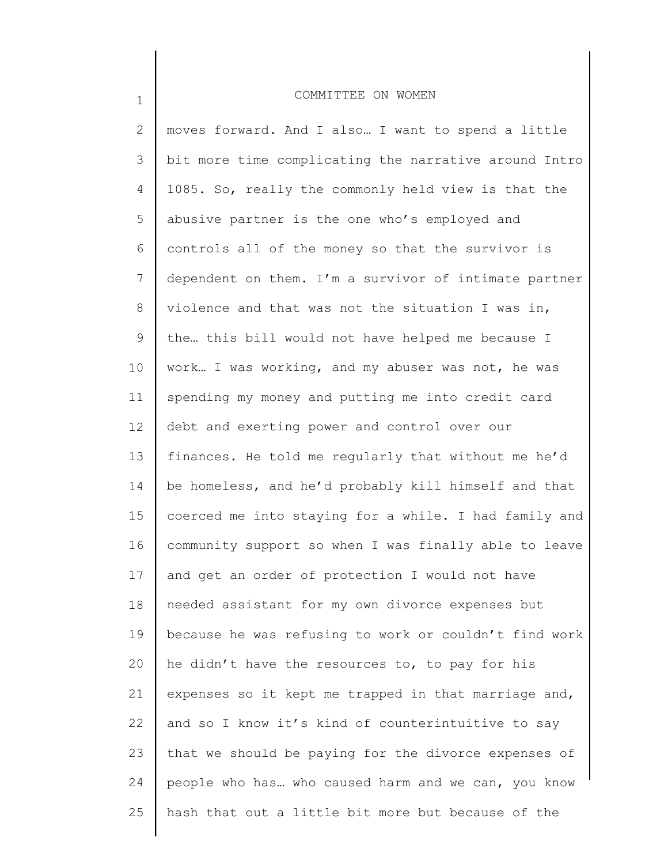2 3 4 5 6 7 8 9 10 11 12 13 14 15 16 17 18 19 20 21 22 23 24 25 moves forward. And I also... I want to spend a little bit more time complicating the narrative around Intro 1085. So, really the commonly held view is that the abusive partner is the one who's employed and controls all of the money so that the survivor is dependent on them. I'm a survivor of intimate partner violence and that was not the situation I was in, the… this bill would not have helped me because I work… I was working, and my abuser was not, he was spending my money and putting me into credit card debt and exerting power and control over our finances. He told me regularly that without me he'd be homeless, and he'd probably kill himself and that coerced me into staying for a while. I had family and community support so when I was finally able to leave and get an order of protection I would not have needed assistant for my own divorce expenses but because he was refusing to work or couldn't find work he didn't have the resources to, to pay for his expenses so it kept me trapped in that marriage and, and so I know it's kind of counterintuitive to say that we should be paying for the divorce expenses of people who has… who caused harm and we can, you know hash that out a little bit more but because of the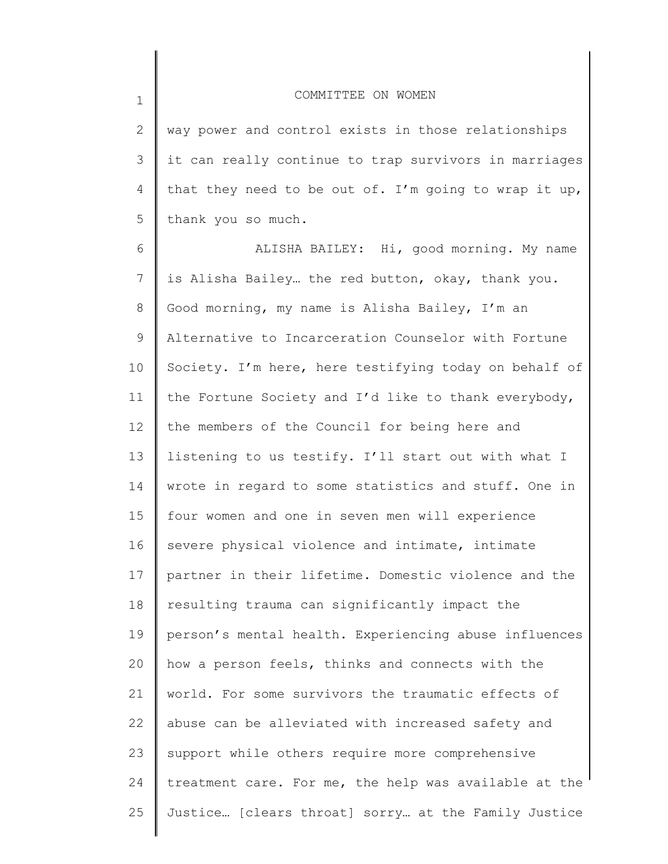2 3 4 5 way power and control exists in those relationships it can really continue to trap survivors in marriages that they need to be out of. I'm going to wrap it up, thank you so much.

6 7 8 9 10 11 12 13 14 15 16 17 18 19 20 21 22 23 24 25 ALISHA BAILEY: Hi, good morning. My name is Alisha Bailey… the red button, okay, thank you. Good morning, my name is Alisha Bailey, I'm an Alternative to Incarceration Counselor with Fortune Society. I'm here, here testifying today on behalf of the Fortune Society and I'd like to thank everybody, the members of the Council for being here and listening to us testify. I'll start out with what I wrote in regard to some statistics and stuff. One in four women and one in seven men will experience severe physical violence and intimate, intimate partner in their lifetime. Domestic violence and the resulting trauma can significantly impact the person's mental health. Experiencing abuse influences how a person feels, thinks and connects with the world. For some survivors the traumatic effects of abuse can be alleviated with increased safety and support while others require more comprehensive treatment care. For me, the help was available at the Justice… [clears throat] sorry… at the Family Justice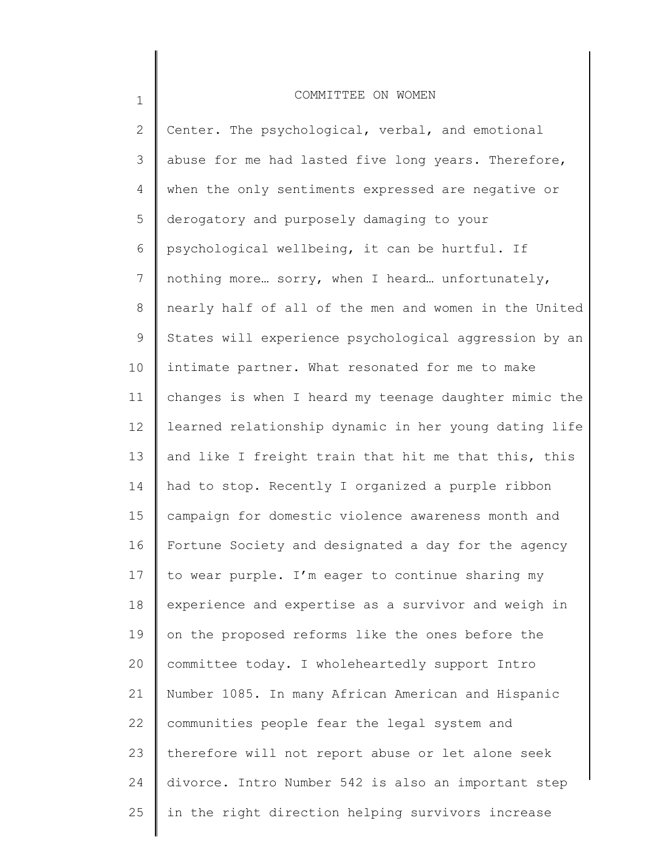1

2 3 4 5 6 7 8 9 10 11 12 13 14 15 16 17 18 19 20 21 22 23 24 25 Center. The psychological, verbal, and emotional abuse for me had lasted five long years. Therefore, when the only sentiments expressed are negative or derogatory and purposely damaging to your psychological wellbeing, it can be hurtful. If nothing more… sorry, when I heard… unfortunately, nearly half of all of the men and women in the United States will experience psychological aggression by an intimate partner. What resonated for me to make changes is when I heard my teenage daughter mimic the learned relationship dynamic in her young dating life and like I freight train that hit me that this, this had to stop. Recently I organized a purple ribbon campaign for domestic violence awareness month and Fortune Society and designated a day for the agency to wear purple. I'm eager to continue sharing my experience and expertise as a survivor and weigh in on the proposed reforms like the ones before the committee today. I wholeheartedly support Intro Number 1085. In many African American and Hispanic communities people fear the legal system and therefore will not report abuse or let alone seek divorce. Intro Number 542 is also an important step in the right direction helping survivors increase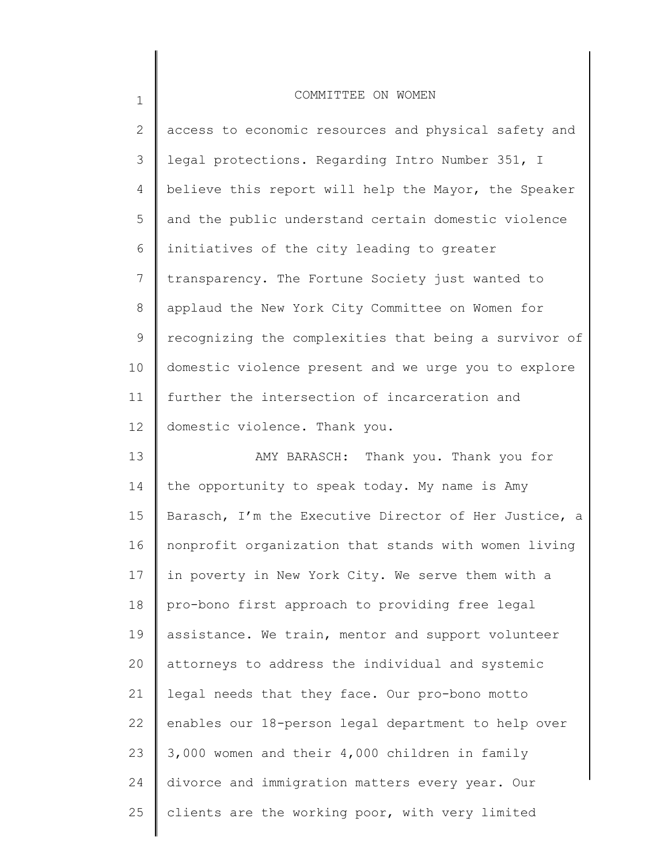| $\mathbf{2}$ | access to economic resources and physical safety and  |
|--------------|-------------------------------------------------------|
| 3            | legal protections. Regarding Intro Number 351, I      |
| 4            | believe this report will help the Mayor, the Speaker  |
| 5            | and the public understand certain domestic violence   |
| 6            | initiatives of the city leading to greater            |
| 7            | transparency. The Fortune Society just wanted to      |
| 8            | applaud the New York City Committee on Women for      |
| 9            | recognizing the complexities that being a survivor of |
| 10           | domestic violence present and we urge you to explore  |
| 11           | further the intersection of incarceration and         |
| 12           | domestic violence. Thank you.                         |
| 13           | AMY BARASCH: Thank you. Thank you for                 |
| 14           | the opportunity to speak today. My name is Amy        |
| 15           | Barasch, I'm the Executive Director of Her Justice, a |
| 16           | nonprofit organization that stands with women living  |
| 17           | in poverty in New York City. We serve them with a     |
| 18           | pro-bono first approach to providing free legal       |
| 19           | assistance. We train, mentor and support volunteer    |
| 20           | attorneys to address the individual and systemic      |
| 21           | legal needs that they face. Our pro-bono motto        |
| 22           | enables our 18-person legal department to help over   |
| 23           | 3,000 women and their 4,000 children in family        |
| 24           | divorce and immigration matters every year. Our       |
| 25           | clients are the working poor, with very limited       |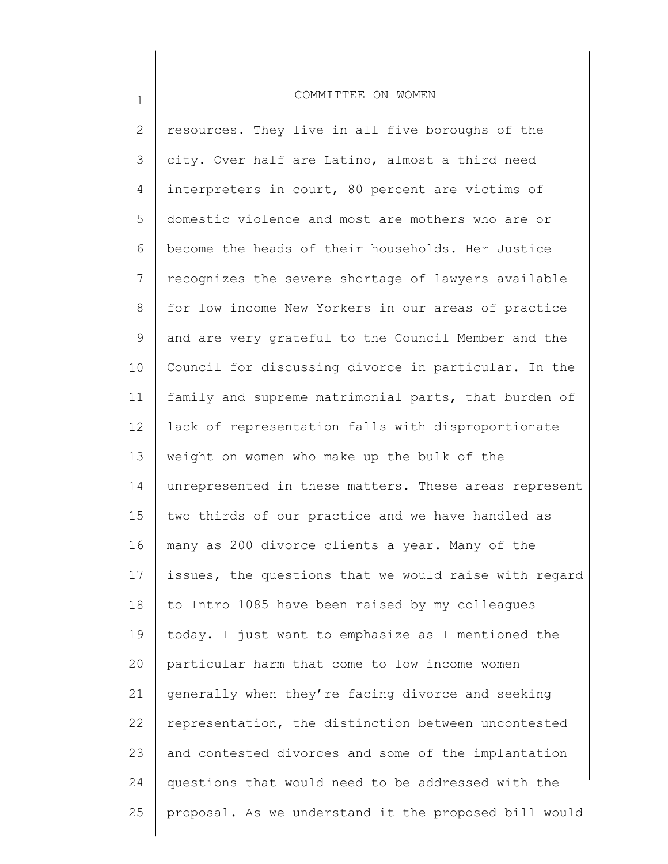| $\mathbf{2}^{\prime}$ | resources. They live in all five boroughs of the      |
|-----------------------|-------------------------------------------------------|
| 3                     | city. Over half are Latino, almost a third need       |
| 4                     | interpreters in court, 80 percent are victims of      |
| 5                     | domestic violence and most are mothers who are or     |
| 6                     | become the heads of their households. Her Justice     |
| 7                     | recognizes the severe shortage of lawyers available   |
| 8                     | for low income New Yorkers in our areas of practice   |
| 9                     | and are very grateful to the Council Member and the   |
| 10                    | Council for discussing divorce in particular. In the  |
| 11                    | family and supreme matrimonial parts, that burden of  |
| 12                    | lack of representation falls with disproportionate    |
| 13                    | weight on women who make up the bulk of the           |
| 14                    | unrepresented in these matters. These areas represent |
| 15                    | two thirds of our practice and we have handled as     |
| 16                    | many as 200 divorce clients a year. Many of the       |
| 17                    | issues, the questions that we would raise with regard |
| 18                    | to Intro 1085 have been raised by my colleagues       |
| 19                    | today. I just want to emphasize as I mentioned the    |
| 20                    | particular harm that come to low income women         |
| 21                    | generally when they're facing divorce and seeking     |
| 22                    | representation, the distinction between uncontested   |
| 23                    | and contested divorces and some of the implantation   |
| 24                    | questions that would need to be addressed with the    |
| 25                    | proposal. As we understand it the proposed bill would |
|                       |                                                       |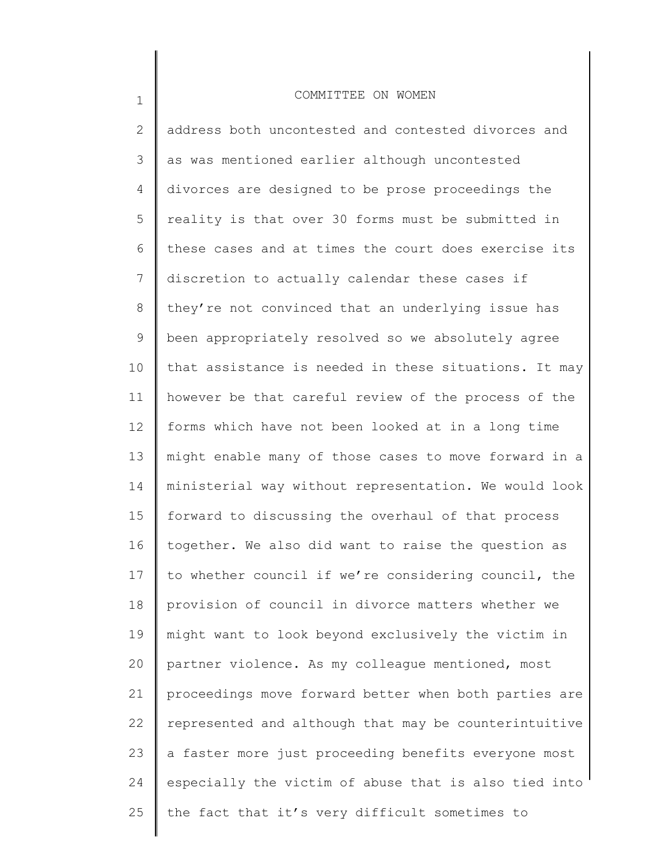1

2 3 4 5 6 7 8 9 10 11 12 13 14 15 16 17 18 19 20 21 22 23 24 25 address both uncontested and contested divorces and as was mentioned earlier although uncontested divorces are designed to be prose proceedings the reality is that over 30 forms must be submitted in these cases and at times the court does exercise its discretion to actually calendar these cases if they're not convinced that an underlying issue has been appropriately resolved so we absolutely agree that assistance is needed in these situations. It may however be that careful review of the process of the forms which have not been looked at in a long time might enable many of those cases to move forward in a ministerial way without representation. We would look forward to discussing the overhaul of that process together. We also did want to raise the question as to whether council if we're considering council, the provision of council in divorce matters whether we might want to look beyond exclusively the victim in partner violence. As my colleague mentioned, most proceedings move forward better when both parties are represented and although that may be counterintuitive a faster more just proceeding benefits everyone most especially the victim of abuse that is also tied into the fact that it's very difficult sometimes to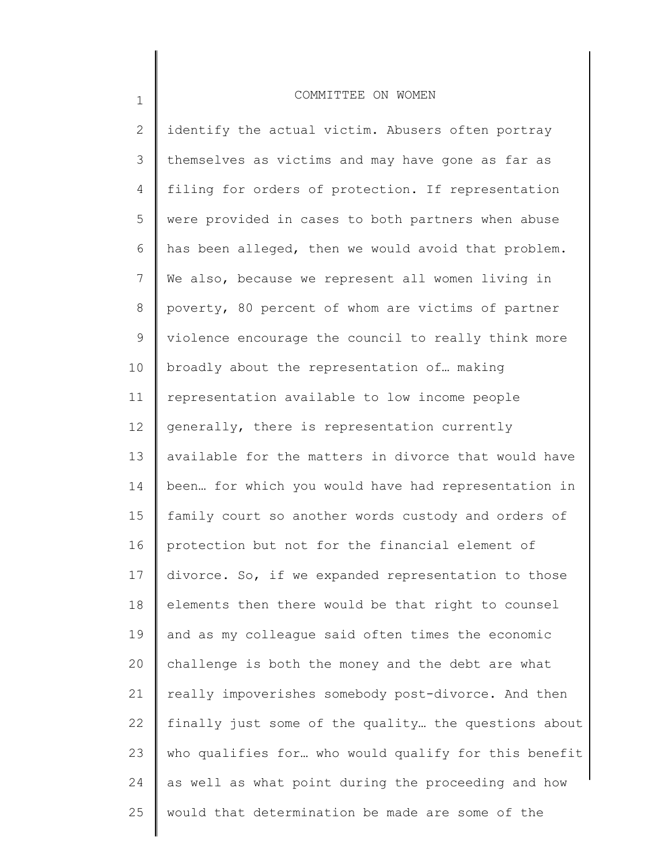1

2 3 4 5 6 7 8 9 10 11 12 13 14 15 16 17 18 19 20 21 22 23 24 25 identify the actual victim. Abusers often portray themselves as victims and may have gone as far as filing for orders of protection. If representation were provided in cases to both partners when abuse has been alleged, then we would avoid that problem. We also, because we represent all women living in poverty, 80 percent of whom are victims of partner violence encourage the council to really think more broadly about the representation of… making representation available to low income people generally, there is representation currently available for the matters in divorce that would have been… for which you would have had representation in family court so another words custody and orders of protection but not for the financial element of divorce. So, if we expanded representation to those elements then there would be that right to counsel and as my colleague said often times the economic challenge is both the money and the debt are what really impoverishes somebody post-divorce. And then finally just some of the quality… the questions about who qualifies for… who would qualify for this benefit as well as what point during the proceeding and how would that determination be made are some of the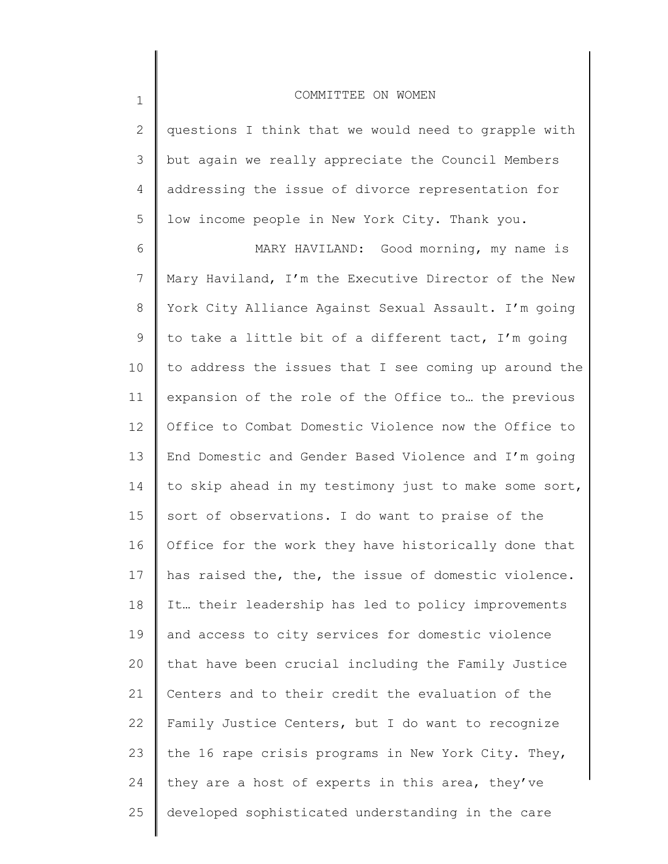2 3 4 5 questions I think that we would need to grapple with but again we really appreciate the Council Members addressing the issue of divorce representation for low income people in New York City. Thank you.

6 7 8 9 10 11 12 13 14 15 16 17 18 19 20 21 22 23 24 25 MARY HAVILAND: Good morning, my name is Mary Haviland, I'm the Executive Director of the New York City Alliance Against Sexual Assault. I'm going to take a little bit of a different tact, I'm going to address the issues that I see coming up around the expansion of the role of the Office to… the previous Office to Combat Domestic Violence now the Office to End Domestic and Gender Based Violence and I'm going to skip ahead in my testimony just to make some sort, sort of observations. I do want to praise of the Office for the work they have historically done that has raised the, the, the issue of domestic violence. It… their leadership has led to policy improvements and access to city services for domestic violence that have been crucial including the Family Justice Centers and to their credit the evaluation of the Family Justice Centers, but I do want to recognize the 16 rape crisis programs in New York City. They, they are a host of experts in this area, they've developed sophisticated understanding in the care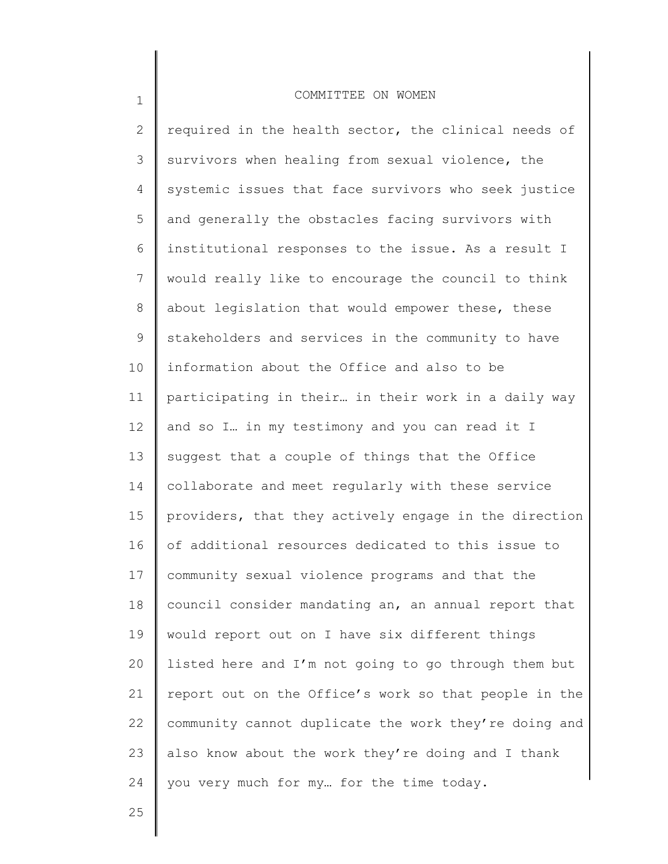2 3 4 5 6 7 8 9 10 11 12 13 14 15 16 17 18 19 20 21 22 23 24 required in the health sector, the clinical needs of survivors when healing from sexual violence, the systemic issues that face survivors who seek justice and generally the obstacles facing survivors with institutional responses to the issue. As a result I would really like to encourage the council to think about legislation that would empower these, these stakeholders and services in the community to have information about the Office and also to be participating in their… in their work in a daily way and so I… in my testimony and you can read it I suggest that a couple of things that the Office collaborate and meet regularly with these service providers, that they actively engage in the direction of additional resources dedicated to this issue to community sexual violence programs and that the council consider mandating an, an annual report that would report out on I have six different things listed here and I'm not going to go through them but report out on the Office's work so that people in the community cannot duplicate the work they're doing and also know about the work they're doing and I thank you very much for my… for the time today.

25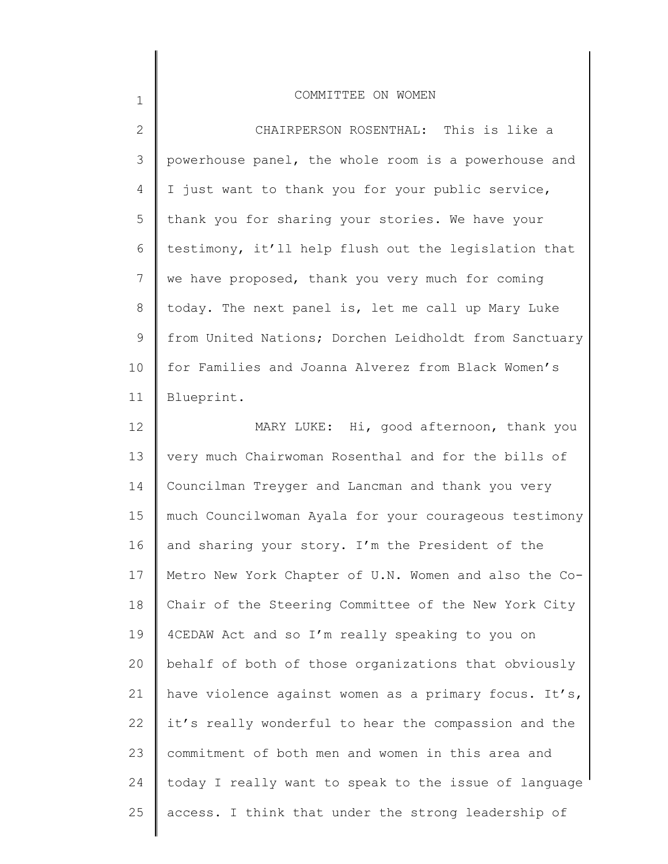| $\mathbf{2}$ | CHAIRPERSON ROSENTHAL: This is like a                 |
|--------------|-------------------------------------------------------|
| 3            | powerhouse panel, the whole room is a powerhouse and  |
| 4            | I just want to thank you for your public service,     |
| 5            | thank you for sharing your stories. We have your      |
| 6            | testimony, it'll help flush out the legislation that  |
| 7            | we have proposed, thank you very much for coming      |
| 8            | today. The next panel is, let me call up Mary Luke    |
| 9            | from United Nations; Dorchen Leidholdt from Sanctuary |
| 10           | for Families and Joanna Alverez from Black Women's    |
| 11           | Blueprint.                                            |
| 12           | MARY LUKE: Hi, good afternoon, thank you              |
| 13           | very much Chairwoman Rosenthal and for the bills of   |
| 14           | Councilman Treyger and Lancman and thank you very     |
| 15           | much Councilwoman Ayala for your courageous testimony |
| 16           | and sharing your story. I'm the President of the      |
| 17           | Metro New York Chapter of U.N. Women and also the Co- |
| 18           | Chair of the Steering Committee of the New York City  |
| 19           | 4CEDAW Act and so I'm really speaking to you on       |
| 20           | behalf of both of those organizations that obviously  |
| 21           | have violence against women as a primary focus. It's, |
| 22           | it's really wonderful to hear the compassion and the  |
| 23           | commitment of both men and women in this area and     |
| 24           | today I really want to speak to the issue of language |
| 25           | access. I think that under the strong leadership of   |
|              |                                                       |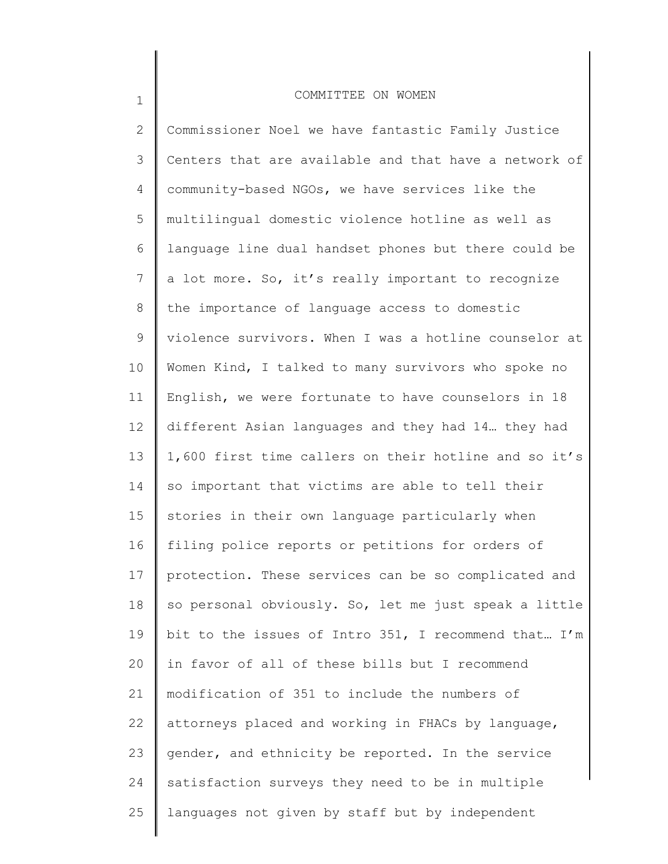1

2 3 4 5 6 7 8 9 10 11 12 13 14 15 16 17 18 19 20 21 22 23 24 25 Commissioner Noel we have fantastic Family Justice Centers that are available and that have a network of community-based NGOs, we have services like the multilingual domestic violence hotline as well as language line dual handset phones but there could be a lot more. So, it's really important to recognize the importance of language access to domestic violence survivors. When I was a hotline counselor at Women Kind, I talked to many survivors who spoke no English, we were fortunate to have counselors in 18 different Asian languages and they had 14… they had 1,600 first time callers on their hotline and so it's so important that victims are able to tell their stories in their own language particularly when filing police reports or petitions for orders of protection. These services can be so complicated and so personal obviously. So, let me just speak a little bit to the issues of Intro 351, I recommend that… I'm in favor of all of these bills but I recommend modification of 351 to include the numbers of attorneys placed and working in FHACs by language, gender, and ethnicity be reported. In the service satisfaction surveys they need to be in multiple languages not given by staff but by independent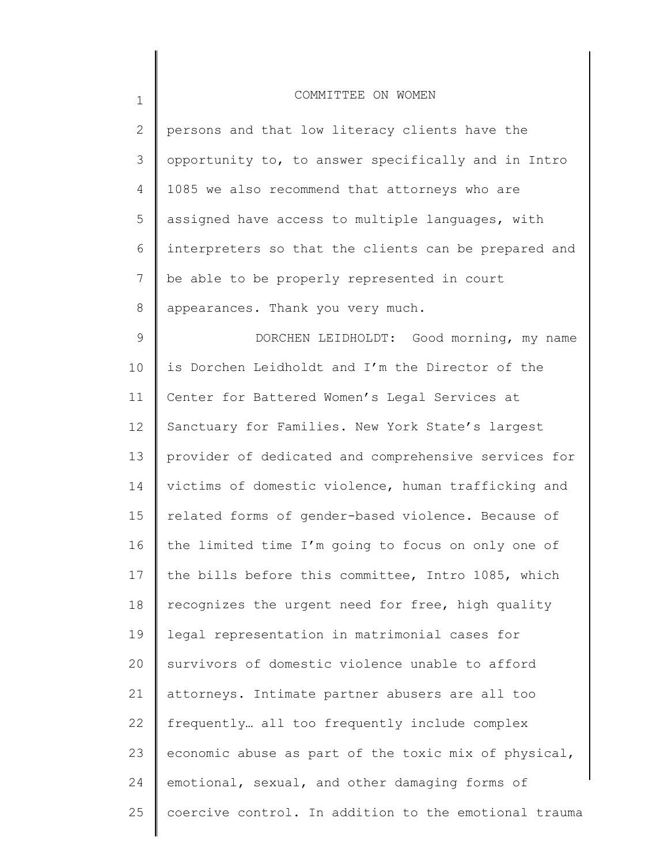| $\mathbf 1$     | COMMITTEE ON WOMEN                                    |
|-----------------|-------------------------------------------------------|
| 2               | persons and that low literacy clients have the        |
| 3               | opportunity to, to answer specifically and in Intro   |
| 4               | 1085 we also recommend that attorneys who are         |
| 5               | assigned have access to multiple languages, with      |
| 6               | interpreters so that the clients can be prepared and  |
| $7\phantom{.0}$ | be able to be properly represented in court           |
| 8               | appearances. Thank you very much.                     |
| 9               | DORCHEN LEIDHOLDT: Good morning, my name              |
| 10              | is Dorchen Leidholdt and I'm the Director of the      |
| 11              | Center for Battered Women's Legal Services at         |
| 12              | Sanctuary for Families. New York State's largest      |
| 13              | provider of dedicated and comprehensive services for  |
| 14              | victims of domestic violence, human trafficking and   |
| 15              | related forms of gender-based violence. Because of    |
| 16              | the limited time I'm going to focus on only one of    |
| 17 <sub>2</sub> | the bills before this committee, Intro 1085, which    |
| 18              | recognizes the urgent need for free, high quality     |
| 19              | legal representation in matrimonial cases for         |
| 20              | survivors of domestic violence unable to afford       |
| 21              | attorneys. Intimate partner abusers are all too       |
| 22              | frequently all too frequently include complex         |
| 23              | economic abuse as part of the toxic mix of physical,  |
| 24              | emotional, sexual, and other damaging forms of        |
| 25              | coercive control. In addition to the emotional trauma |
|                 |                                                       |

║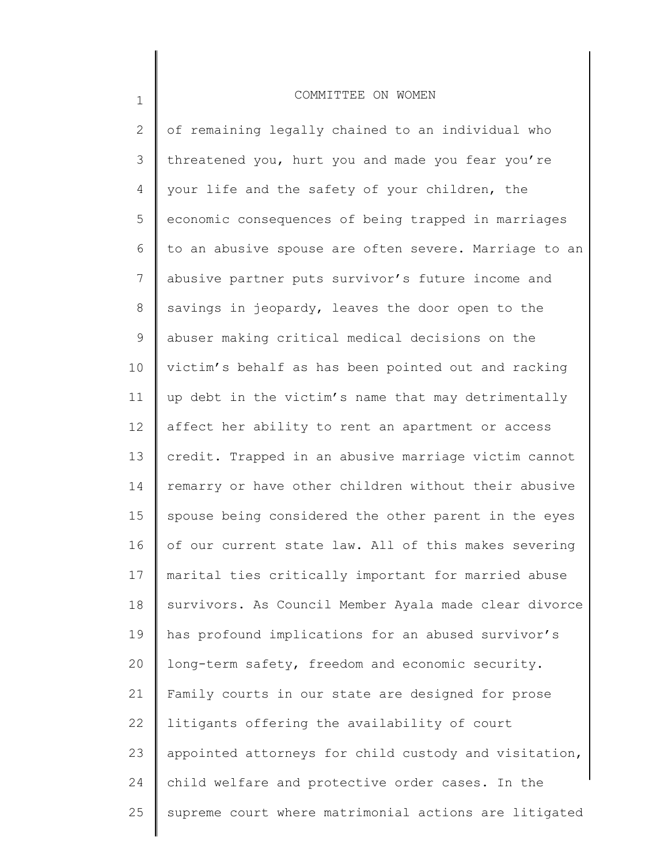1

2 3 4 5 6 7 8 9 10 11 12 13 14 15 16 17 18 19 20 21 22 23 24 25 of remaining legally chained to an individual who threatened you, hurt you and made you fear you're your life and the safety of your children, the economic consequences of being trapped in marriages to an abusive spouse are often severe. Marriage to an abusive partner puts survivor's future income and savings in jeopardy, leaves the door open to the abuser making critical medical decisions on the victim's behalf as has been pointed out and racking up debt in the victim's name that may detrimentally affect her ability to rent an apartment or access credit. Trapped in an abusive marriage victim cannot remarry or have other children without their abusive spouse being considered the other parent in the eyes of our current state law. All of this makes severing marital ties critically important for married abuse survivors. As Council Member Ayala made clear divorce has profound implications for an abused survivor's long-term safety, freedom and economic security. Family courts in our state are designed for prose litigants offering the availability of court appointed attorneys for child custody and visitation, child welfare and protective order cases. In the supreme court where matrimonial actions are litigated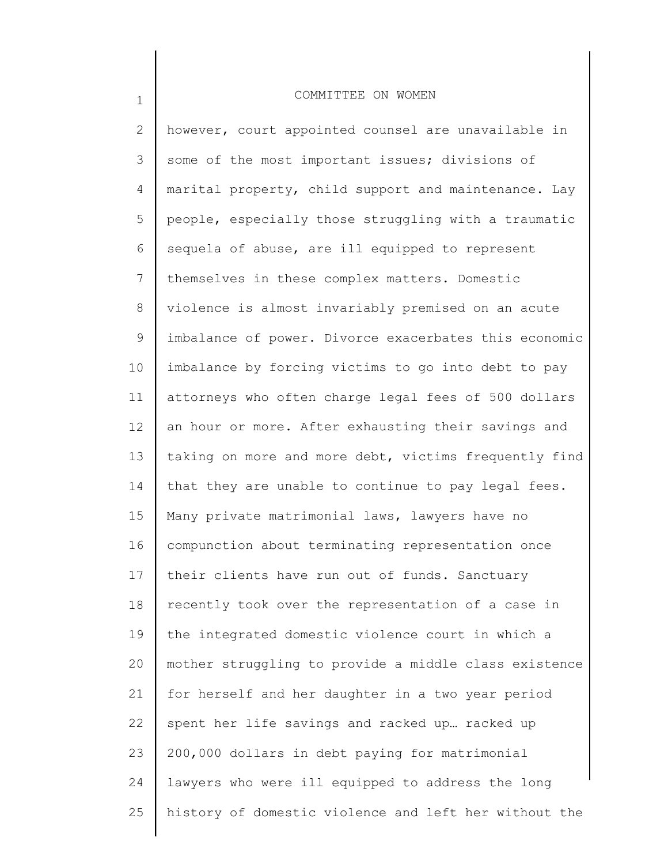| $\mathbf{2}$ | however, court appointed counsel are unavailable in   |
|--------------|-------------------------------------------------------|
| 3            | some of the most important issues; divisions of       |
| 4            | marital property, child support and maintenance. Lay  |
| 5            | people, especially those struggling with a traumatic  |
| 6            | sequela of abuse, are ill equipped to represent       |
| 7            | themselves in these complex matters. Domestic         |
| 8            | violence is almost invariably premised on an acute    |
| 9            | imbalance of power. Divorce exacerbates this economic |
| 10           | imbalance by forcing victims to go into debt to pay   |
| 11           | attorneys who often charge legal fees of 500 dollars  |
| 12           | an hour or more. After exhausting their savings and   |
| 13           | taking on more and more debt, victims frequently find |
| 14           | that they are unable to continue to pay legal fees.   |
| 15           | Many private matrimonial laws, lawyers have no        |
| 16           | compunction about terminating representation once     |
| 17           | their clients have run out of funds. Sanctuary        |
| 18           | recently took over the representation of a case in    |
| 19           | the integrated domestic violence court in which a     |
| 20           | mother struggling to provide a middle class existence |
| 21           | for herself and her daughter in a two year period     |
| 22           | spent her life savings and racked up racked up        |
| 23           | 200,000 dollars in debt paying for matrimonial        |
| 24           | lawyers who were ill equipped to address the long     |
| 25           | history of domestic violence and left her without the |
|              |                                                       |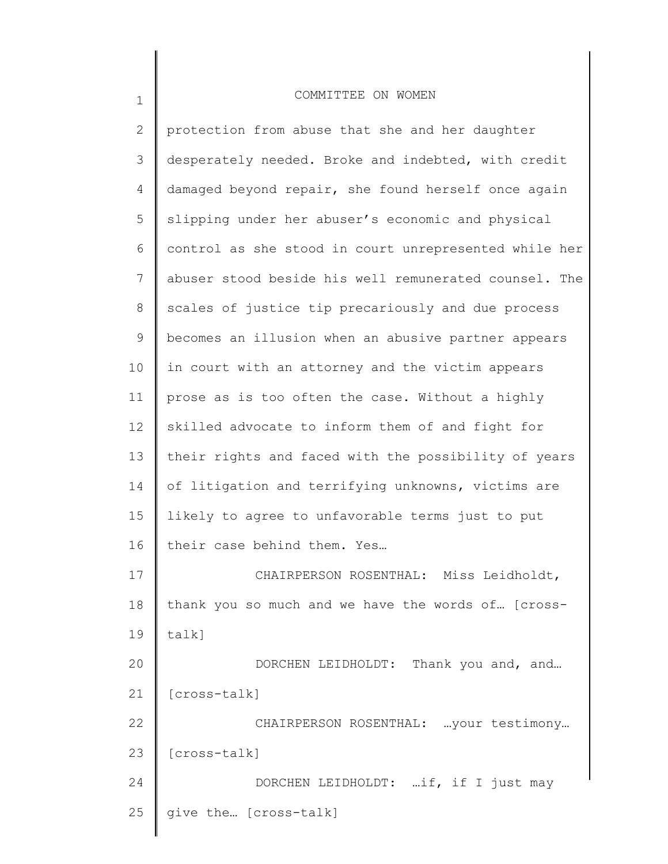| desperately needed. Broke and indebted, with credit   |
|-------------------------------------------------------|
| damaged beyond repair, she found herself once again   |
| slipping under her abuser's economic and physical     |
| control as she stood in court unrepresented while her |
| abuser stood beside his well remunerated counsel. The |
| scales of justice tip precariously and due process    |
| becomes an illusion when an abusive partner appears   |
| in court with an attorney and the victim appears      |
| prose as is too often the case. Without a highly      |
| skilled advocate to inform them of and fight for      |
| their rights and faced with the possibility of years  |
| of litigation and terrifying unknowns, victims are    |
| likely to agree to unfavorable terms just to put      |
|                                                       |
| their case behind them. Yes                           |
| CHAIRPERSON ROSENTHAL: Miss Leidholdt,                |
| thank you so much and we have the words of [cross-    |
| $talk$ ]                                              |
| DORCHEN LEIDHOLDT: Thank you and, and                 |
| [cross-talk]                                          |
| CHAIRPERSON ROSENTHAL:  your testimony                |
| [cross-talk]                                          |
| DORCHEN LEIDHOLDT: if, if I just may                  |
|                                                       |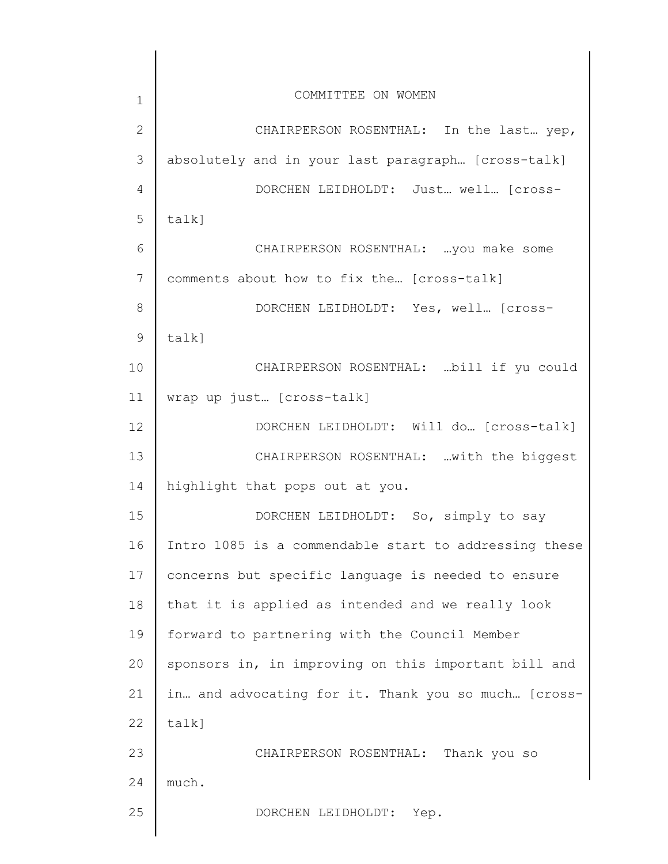| $\mathbf 1$  | COMMITTEE ON WOMEN                                    |
|--------------|-------------------------------------------------------|
| $\mathbf{2}$ | CHAIRPERSON ROSENTHAL: In the last yep,               |
| 3            | absolutely and in your last paragraph [cross-talk]    |
| 4            | DORCHEN LEIDHOLDT: Just well [cross-                  |
| 5            | talk]                                                 |
| 6            | CHAIRPERSON ROSENTHAL:  you make some                 |
| 7            | comments about how to fix the [cross-talk]            |
| 8            | DORCHEN LEIDHOLDT: Yes, well [cross-                  |
| 9            | talk]                                                 |
| 10           | CHAIRPERSON ROSENTHAL:  bill if yu could              |
| 11           | wrap up just [cross-talk]                             |
| 12           | DORCHEN LEIDHOLDT: Will do [cross-talk]               |
| 13           | CHAIRPERSON ROSENTHAL:  with the biggest              |
| 14           | highlight that pops out at you.                       |
| 15           | DORCHEN LEIDHOLDT: So, simply to say                  |
| 16           | Intro 1085 is a commendable start to addressing these |
| 17           | concerns but specific language is needed to ensure    |
| 18           | that it is applied as intended and we really look     |
| 19           | forward to partnering with the Council Member         |
| 20           | sponsors in, in improving on this important bill and  |
| 21           | in and advocating for it. Thank you so much [cross-   |
| 22           | talk]                                                 |
| 23           | CHAIRPERSON ROSENTHAL: Thank you so                   |
| 24           | much.                                                 |
| 25           | DORCHEN LEIDHOLDT: Yep.                               |
|              |                                                       |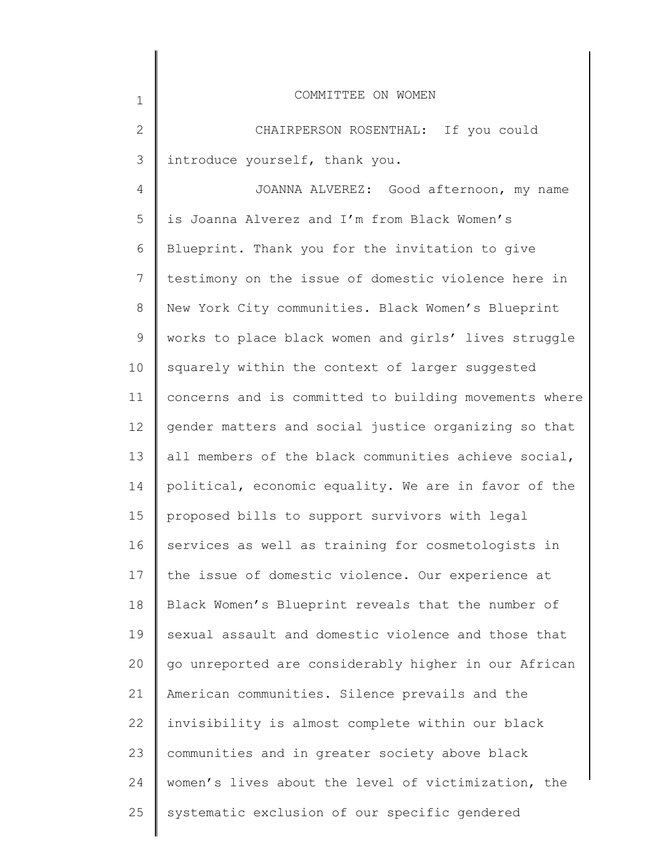| $\mathbf 1$ | COMMITTEE ON WOMEN                                    |
|-------------|-------------------------------------------------------|
| 2           | CHAIRPERSON ROSENTHAL: If you could                   |
| 3           | introduce yourself, thank you.                        |
| 4           | JOANNA ALVEREZ: Good afternoon, my name               |
| 5           | is Joanna Alverez and I'm from Black Women's          |
| 6           | Blueprint. Thank you for the invitation to give       |
| 7           | testimony on the issue of domestic violence here in   |
| 8           | New York City communities. Black Women's Blueprint    |
| $\mathsf 9$ | works to place black women and girls' lives struggle  |
| 10          | squarely within the context of larger suggested       |
| 11          | concerns and is committed to building movements where |
| 12          | gender matters and social justice organizing so that  |
| 13          | all members of the black communities achieve social,  |
| 14          | political, economic equality. We are in favor of the  |
| 15          | proposed bills to support survivors with legal        |
| 16          | services as well as training for cosmetologists in    |
| 17          | the issue of domestic violence. Our experience at     |
| 18          | Black Women's Blueprint reveals that the number of    |
| 19          | sexual assault and domestic violence and those that   |
| 20          | go unreported are considerably higher in our African  |
| 21          | American communities. Silence prevails and the        |
| 22          | invisibility is almost complete within our black      |
| 23          | communities and in greater society above black        |
| 24          | women's lives about the level of victimization, the   |
| 25          | systematic exclusion of our specific gendered         |
|             |                                                       |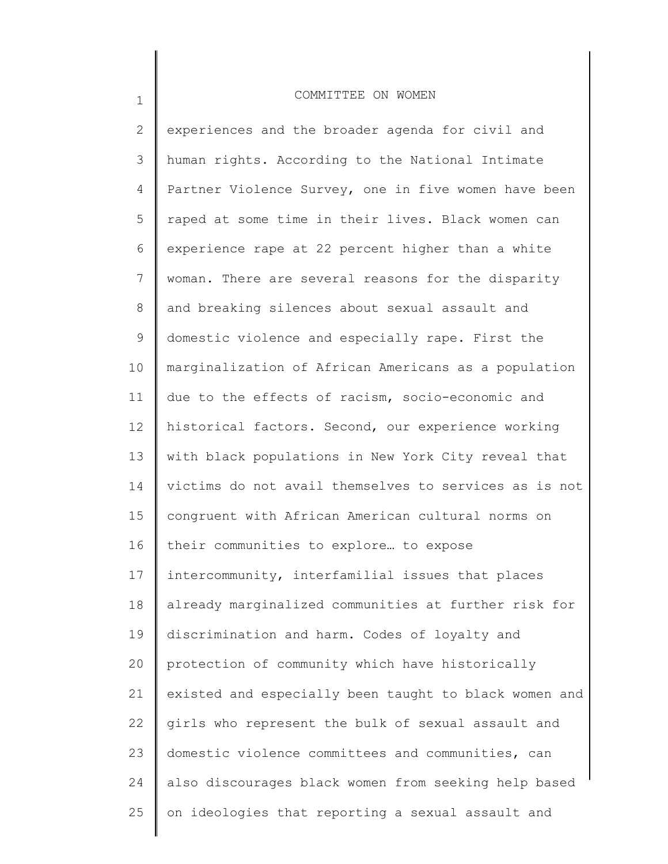1

2 3 4 5 6 7 8 9 10 11 12 13 14 15 16 17 18 19 20 21 22 23 24 25 experiences and the broader agenda for civil and human rights. According to the National Intimate Partner Violence Survey, one in five women have been raped at some time in their lives. Black women can experience rape at 22 percent higher than a white woman. There are several reasons for the disparity and breaking silences about sexual assault and domestic violence and especially rape. First the marginalization of African Americans as a population due to the effects of racism, socio-economic and historical factors. Second, our experience working with black populations in New York City reveal that victims do not avail themselves to services as is not congruent with African American cultural norms on their communities to explore… to expose intercommunity, interfamilial issues that places already marginalized communities at further risk for discrimination and harm. Codes of loyalty and protection of community which have historically existed and especially been taught to black women and girls who represent the bulk of sexual assault and domestic violence committees and communities, can also discourages black women from seeking help based on ideologies that reporting a sexual assault and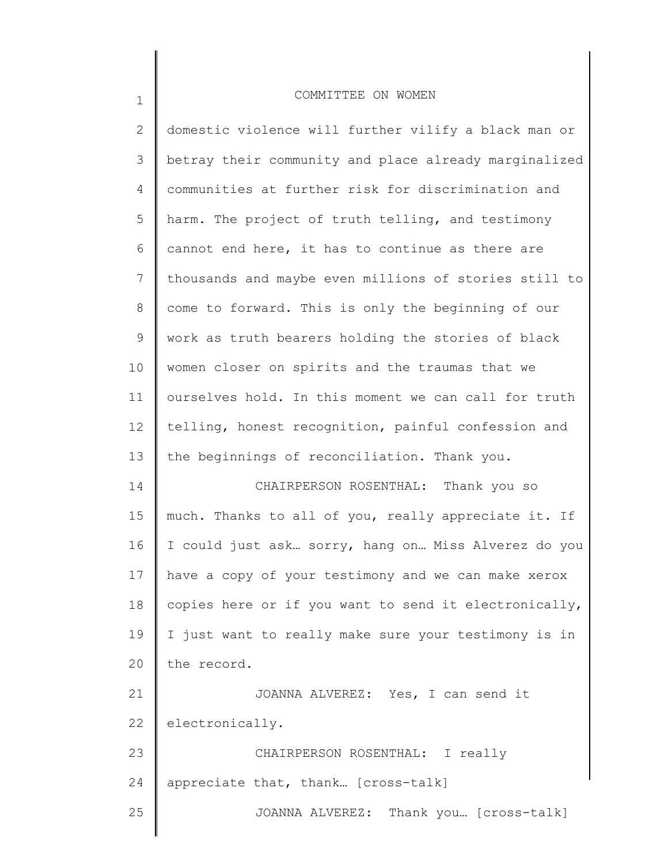| $\mathbf{2}$    | domestic violence will further vilify a black man or  |
|-----------------|-------------------------------------------------------|
| 3               | betray their community and place already marginalized |
| 4               | communities at further risk for discrimination and    |
| 5               | harm. The project of truth telling, and testimony     |
| 6               | cannot end here, it has to continue as there are      |
| 7               | thousands and maybe even millions of stories still to |
| 8               | come to forward. This is only the beginning of our    |
| 9               | work as truth bearers holding the stories of black    |
| 10              | women closer on spirits and the traumas that we       |
| 11              | ourselves hold. In this moment we can call for truth  |
| 12 <sup>°</sup> | telling, honest recognition, painful confession and   |
| 13              | the beginnings of reconciliation. Thank you.          |
| 14              | CHAIRPERSON ROSENTHAL: Thank you so                   |
| 15              | much. Thanks to all of you, really appreciate it. If  |
| 16              | I could just ask sorry, hang on Miss Alverez do you   |
| 17              | have a copy of your testimony and we can make xerox   |
| 18              | copies here or if you want to send it electronically, |
| 19              | I just want to really make sure your testimony is in  |
| 20              | the record.                                           |
| 21              | JOANNA ALVEREZ: Yes, I can send it                    |
| 22              | electronically.                                       |
| 23              | CHAIRPERSON ROSENTHAL: I really                       |
| 24              | appreciate that, thank [cross-talk]                   |
| 25              | JOANNA ALVEREZ: Thank you [Cross-talk]                |
|                 |                                                       |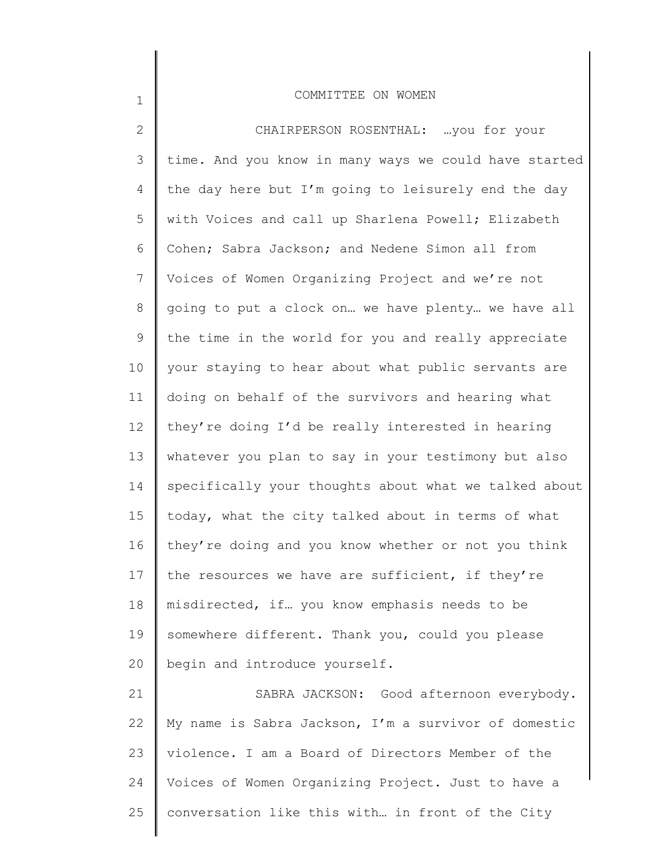2 3 4 5 6 7 8 9 10 11 12 13 14 15 16 17 18 19 20 21 22 23 24 CHAIRPERSON ROSENTHAL: …you for your time. And you know in many ways we could have started the day here but I'm going to leisurely end the day with Voices and call up Sharlena Powell; Elizabeth Cohen; Sabra Jackson; and Nedene Simon all from Voices of Women Organizing Project and we're not going to put a clock on… we have plenty… we have all the time in the world for you and really appreciate your staying to hear about what public servants are doing on behalf of the survivors and hearing what they're doing I'd be really interested in hearing whatever you plan to say in your testimony but also specifically your thoughts about what we talked about today, what the city talked about in terms of what they're doing and you know whether or not you think the resources we have are sufficient, if they're misdirected, if… you know emphasis needs to be somewhere different. Thank you, could you please begin and introduce yourself. SABRA JACKSON: Good afternoon everybody. My name is Sabra Jackson, I'm a survivor of domestic violence. I am a Board of Directors Member of the Voices of Women Organizing Project. Just to have a

1

25 conversation like this with… in front of the City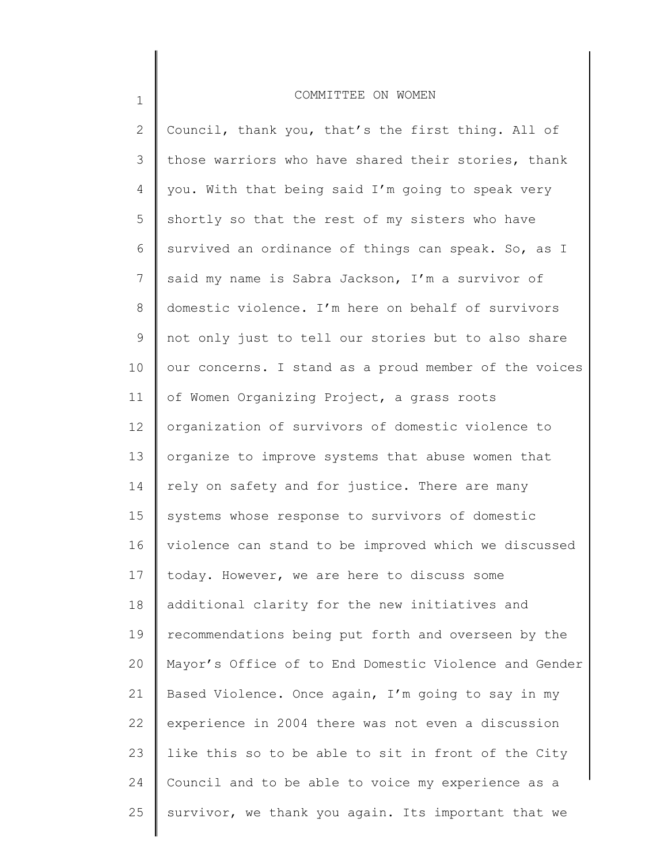# 1 2 3 4 5 6 7 8 9 10 11 12 13 14 15 16 17 18 19 20 21 22 23 24 25 COMMITTEE ON WOMEN Council, thank you, that's the first thing. All of those warriors who have shared their stories, thank you. With that being said I'm going to speak very shortly so that the rest of my sisters who have survived an ordinance of things can speak. So, as I said my name is Sabra Jackson, I'm a survivor of domestic violence. I'm here on behalf of survivors not only just to tell our stories but to also share our concerns. I stand as a proud member of the voices of Women Organizing Project, a grass roots organization of survivors of domestic violence to organize to improve systems that abuse women that rely on safety and for justice. There are many systems whose response to survivors of domestic violence can stand to be improved which we discussed today. However, we are here to discuss some additional clarity for the new initiatives and recommendations being put forth and overseen by the Mayor's Office of to End Domestic Violence and Gender Based Violence. Once again, I'm going to say in my experience in 2004 there was not even a discussion like this so to be able to sit in front of the City Council and to be able to voice my experience as a survivor, we thank you again. Its important that we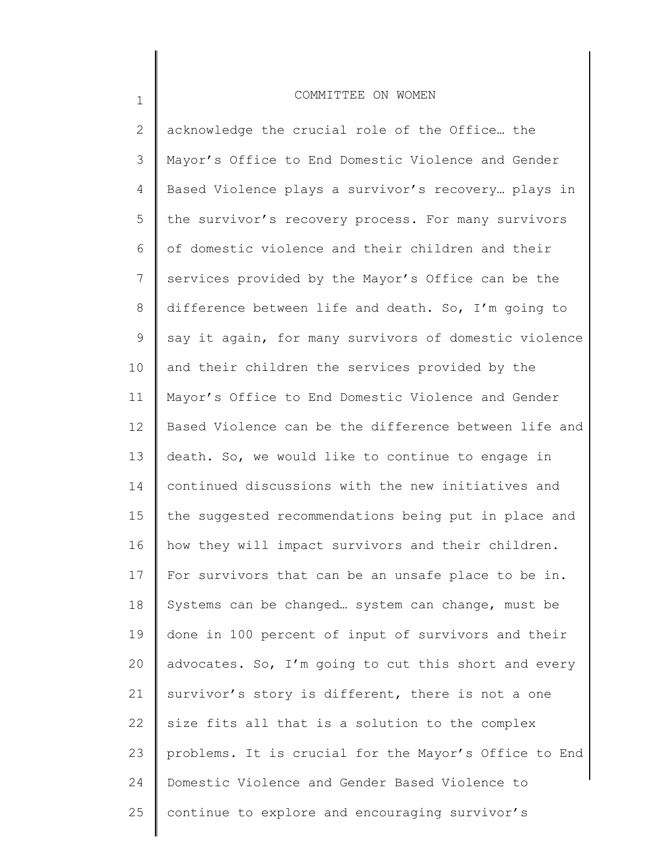1

2 3 4 5 6 7 8 9 10 11 12 13 14 15 16 17 18 19 20 21 22 23 24 25 acknowledge the crucial role of the Office... the Mayor's Office to End Domestic Violence and Gender Based Violence plays a survivor's recovery… plays in the survivor's recovery process. For many survivors of domestic violence and their children and their services provided by the Mayor's Office can be the difference between life and death. So, I'm going to say it again, for many survivors of domestic violence and their children the services provided by the Mayor's Office to End Domestic Violence and Gender Based Violence can be the difference between life and death. So, we would like to continue to engage in continued discussions with the new initiatives and the suggested recommendations being put in place and how they will impact survivors and their children. For survivors that can be an unsafe place to be in. Systems can be changed… system can change, must be done in 100 percent of input of survivors and their advocates. So, I'm going to cut this short and every survivor's story is different, there is not a one size fits all that is a solution to the complex problems. It is crucial for the Mayor's Office to End Domestic Violence and Gender Based Violence to continue to explore and encouraging survivor's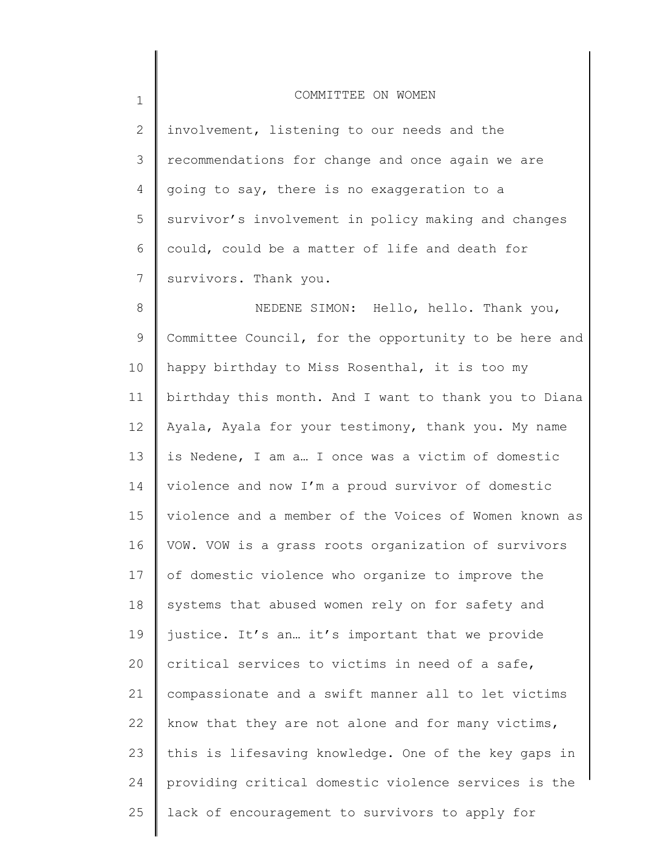1

2 3 4 5 6 7 involvement, listening to our needs and the recommendations for change and once again we are going to say, there is no exaggeration to a survivor's involvement in policy making and changes could, could be a matter of life and death for survivors. Thank you.

8 9 10 11 12 13 14 15 16 17 18 19 20 21 22 23 24 25 NEDENE SIMON: Hello, hello. Thank you, Committee Council, for the opportunity to be here and happy birthday to Miss Rosenthal, it is too my birthday this month. And I want to thank you to Diana Ayala, Ayala for your testimony, thank you. My name is Nedene, I am a… I once was a victim of domestic violence and now I'm a proud survivor of domestic violence and a member of the Voices of Women known as VOW. VOW is a grass roots organization of survivors of domestic violence who organize to improve the systems that abused women rely on for safety and justice. It's an… it's important that we provide critical services to victims in need of a safe, compassionate and a swift manner all to let victims know that they are not alone and for many victims, this is lifesaving knowledge. One of the key gaps in providing critical domestic violence services is the lack of encouragement to survivors to apply for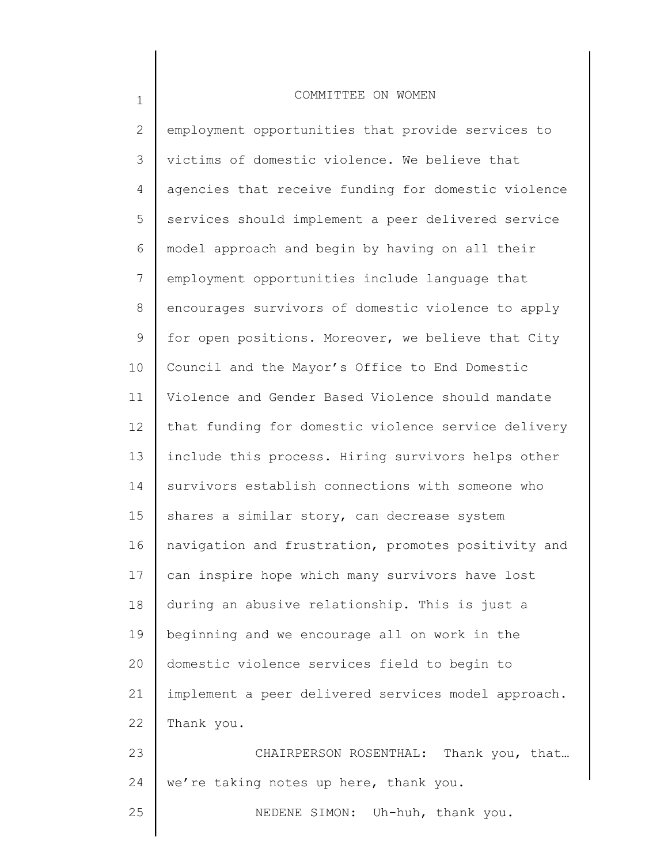1

2 3 4 5 6 7 8 9 10 11 12 13 14 15 16 17 18 19 20 21 22 23 24 25 employment opportunities that provide services to victims of domestic violence. We believe that agencies that receive funding for domestic violence services should implement a peer delivered service model approach and begin by having on all their employment opportunities include language that encourages survivors of domestic violence to apply for open positions. Moreover, we believe that City Council and the Mayor's Office to End Domestic Violence and Gender Based Violence should mandate that funding for domestic violence service delivery include this process. Hiring survivors helps other survivors establish connections with someone who shares a similar story, can decrease system navigation and frustration, promotes positivity and can inspire hope which many survivors have lost during an abusive relationship. This is just a beginning and we encourage all on work in the domestic violence services field to begin to implement a peer delivered services model approach. Thank you. CHAIRPERSON ROSENTHAL: Thank you, that… we're taking notes up here, thank you. NEDENE SIMON: Uh-huh, thank you.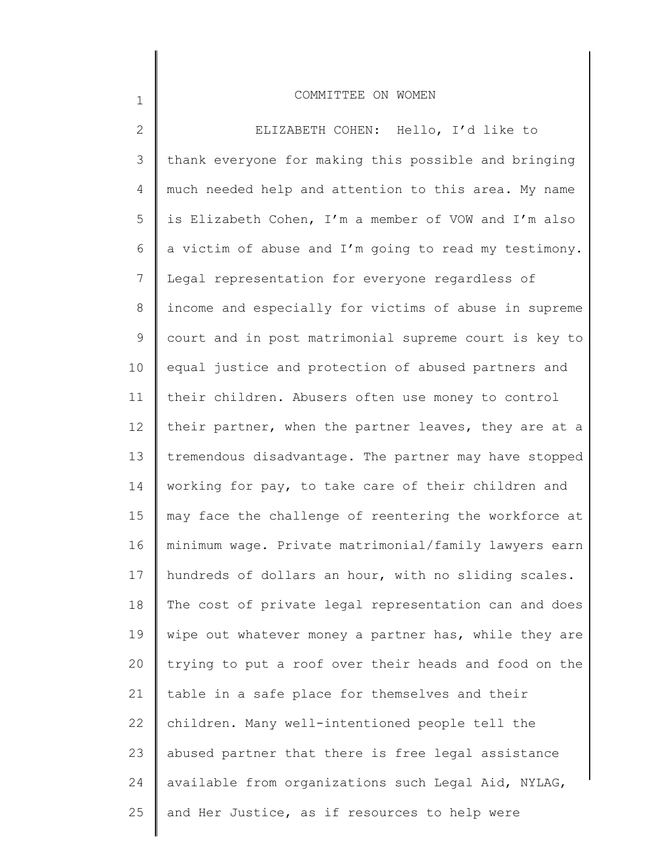1

2 3 4 5 6 7 8 9 10 11 12 13 14 15 16 17 18 19 20 21 22 23 24 25 <sup>111</sup> ELIZABETH COHEN: Hello, I'd like to thank everyone for making this possible and bringing much needed help and attention to this area. My name is Elizabeth Cohen, I'm a member of VOW and I'm also a victim of abuse and I'm going to read my testimony. Legal representation for everyone regardless of income and especially for victims of abuse in supreme court and in post matrimonial supreme court is key to equal justice and protection of abused partners and their children. Abusers often use money to control their partner, when the partner leaves, they are at a tremendous disadvantage. The partner may have stopped working for pay, to take care of their children and may face the challenge of reentering the workforce at minimum wage. Private matrimonial/family lawyers earn hundreds of dollars an hour, with no sliding scales. The cost of private legal representation can and does wipe out whatever money a partner has, while they are trying to put a roof over their heads and food on the table in a safe place for themselves and their children. Many well-intentioned people tell the abused partner that there is free legal assistance available from organizations such Legal Aid, NYLAG, and Her Justice, as if resources to help were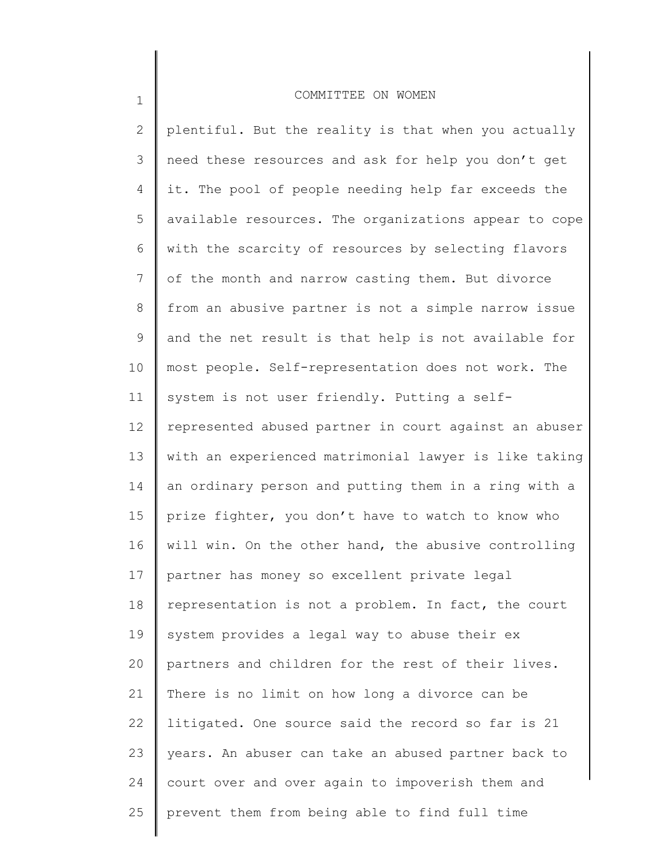1

| $\mathbf{2}$ | plentiful. But the reality is that when you actually  |
|--------------|-------------------------------------------------------|
| 3            | need these resources and ask for help you don't get   |
| 4            | it. The pool of people needing help far exceeds the   |
| 5            | available resources. The organizations appear to cope |
| 6            | with the scarcity of resources by selecting flavors   |
| 7            | of the month and narrow casting them. But divorce     |
| 8            | from an abusive partner is not a simple narrow issue  |
| 9            | and the net result is that help is not available for  |
| 10           | most people. Self-representation does not work. The   |
| 11           | system is not user friendly. Putting a self-          |
| 12           | represented abused partner in court against an abuser |
| 13           | with an experienced matrimonial lawyer is like taking |
| 14           | an ordinary person and putting them in a ring with a  |
| 15           | prize fighter, you don't have to watch to know who    |
| 16           | will win. On the other hand, the abusive controlling  |
| 17           | partner has money so excellent private legal          |
| 18           | representation is not a problem. In fact, the court   |
| 19           | system provides a legal way to abuse their ex         |
| 20           | partners and children for the rest of their lives.    |
| 21           | There is no limit on how long a divorce can be        |
| 22           | litigated. One source said the record so far is 21    |
| 23           | years. An abuser can take an abused partner back to   |
| 24           | court over and over again to impoverish them and      |
| 25           | prevent them from being able to find full time        |
|              |                                                       |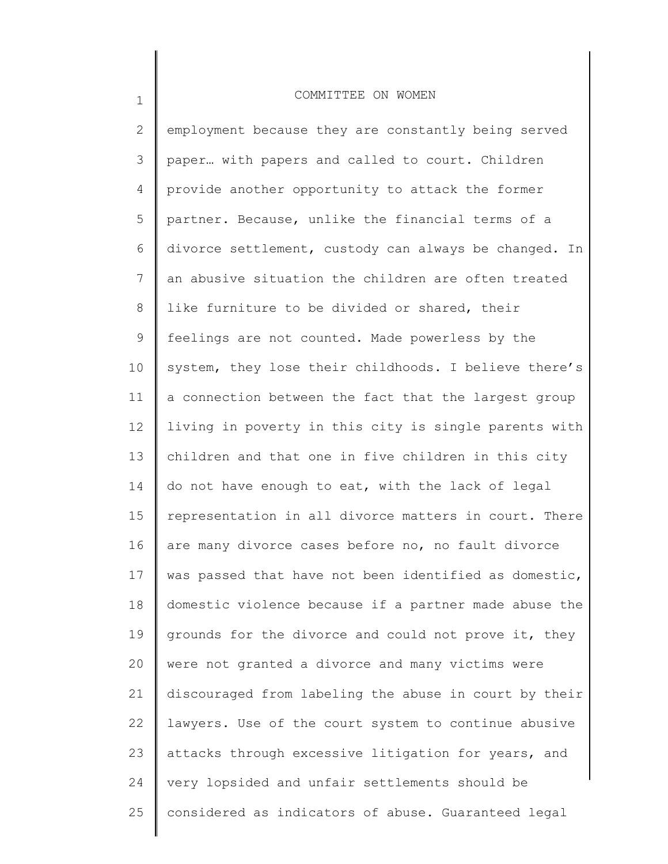1

2 3 4 5 6 7 8 9 10 11 12 13 14 15 16 17 18 19 20 21 22 23 24 25 employment because they are constantly being served paper… with papers and called to court. Children provide another opportunity to attack the former partner. Because, unlike the financial terms of a divorce settlement, custody can always be changed. In an abusive situation the children are often treated like furniture to be divided or shared, their feelings are not counted. Made powerless by the system, they lose their childhoods. I believe there's a connection between the fact that the largest group living in poverty in this city is single parents with children and that one in five children in this city do not have enough to eat, with the lack of legal representation in all divorce matters in court. There are many divorce cases before no, no fault divorce was passed that have not been identified as domestic, domestic violence because if a partner made abuse the grounds for the divorce and could not prove it, they were not granted a divorce and many victims were discouraged from labeling the abuse in court by their lawyers. Use of the court system to continue abusive attacks through excessive litigation for years, and very lopsided and unfair settlements should be considered as indicators of abuse. Guaranteed legal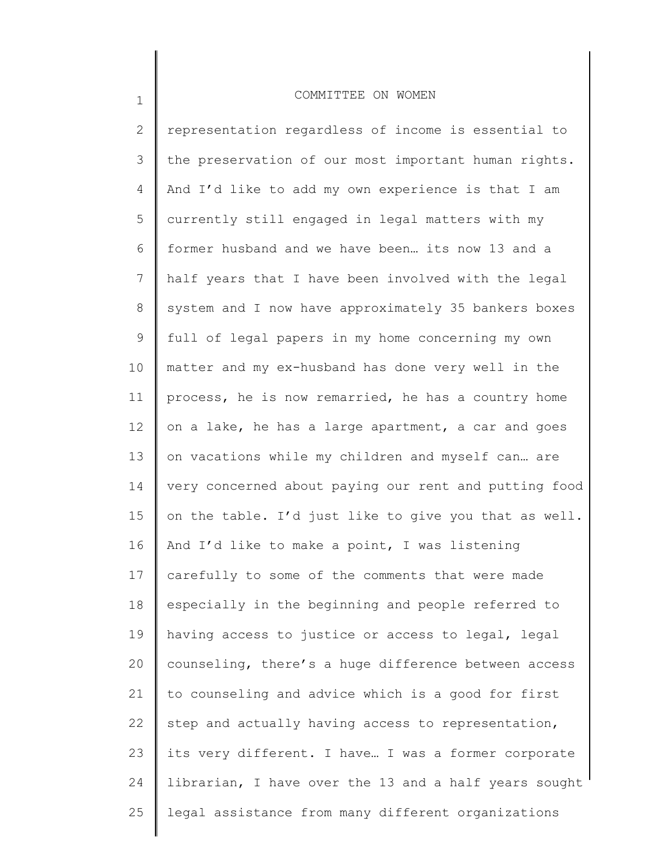1

2 3 4 5 6 7 8 9 10 11 12 13 14 15 16 17 18 19 20 21 22 23 24 25 representation regardless of income is essential to the preservation of our most important human rights. And I'd like to add my own experience is that I am currently still engaged in legal matters with my former husband and we have been… its now 13 and a half years that I have been involved with the legal system and I now have approximately 35 bankers boxes full of legal papers in my home concerning my own matter and my ex-husband has done very well in the process, he is now remarried, he has a country home on a lake, he has a large apartment, a car and goes on vacations while my children and myself can… are very concerned about paying our rent and putting food on the table. I'd just like to give you that as well. And I'd like to make a point, I was listening carefully to some of the comments that were made especially in the beginning and people referred to having access to justice or access to legal, legal counseling, there's a huge difference between access to counseling and advice which is a good for first step and actually having access to representation, its very different. I have… I was a former corporate librarian, I have over the 13 and a half years sought legal assistance from many different organizations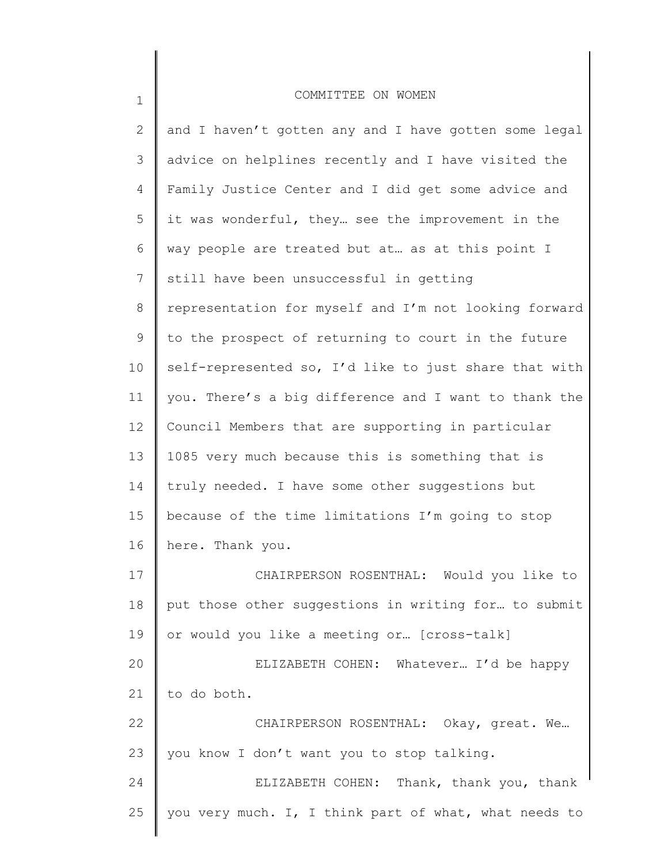| $\mathbf{2}^{\prime}$ | and I haven't gotten any and I have gotten some legal |
|-----------------------|-------------------------------------------------------|
| 3                     | advice on helplines recently and I have visited the   |
| 4                     | Family Justice Center and I did get some advice and   |
| 5                     | it was wonderful, they see the improvement in the     |
| 6                     | way people are treated but at as at this point I      |
| 7                     | still have been unsuccessful in getting               |
| 8                     | representation for myself and I'm not looking forward |
| 9                     | to the prospect of returning to court in the future   |
| 10                    | self-represented so, I'd like to just share that with |
| 11                    | you. There's a big difference and I want to thank the |
| 12                    | Council Members that are supporting in particular     |
| 13                    | 1085 very much because this is something that is      |
| 14                    | truly needed. I have some other suggestions but       |
| 15                    | because of the time limitations I'm going to stop     |
| 16                    | here. Thank you.                                      |
| 17                    | CHAIRPERSON ROSENTHAL: Would you like to              |
| 18                    | put those other suggestions in writing for to submit  |
| 19                    | or would you like a meeting or [cross-talk]           |
| 20                    | ELIZABETH COHEN: Whatever I'd be happy                |
| 21                    | to do both.                                           |
| 22                    | CHAIRPERSON ROSENTHAL: Okay, great. We                |
| 23                    | you know I don't want you to stop talking.            |
| 24                    | ELIZABETH COHEN: Thank, thank you, thank              |
| 25                    | you very much. I, I think part of what, what needs to |
|                       |                                                       |

1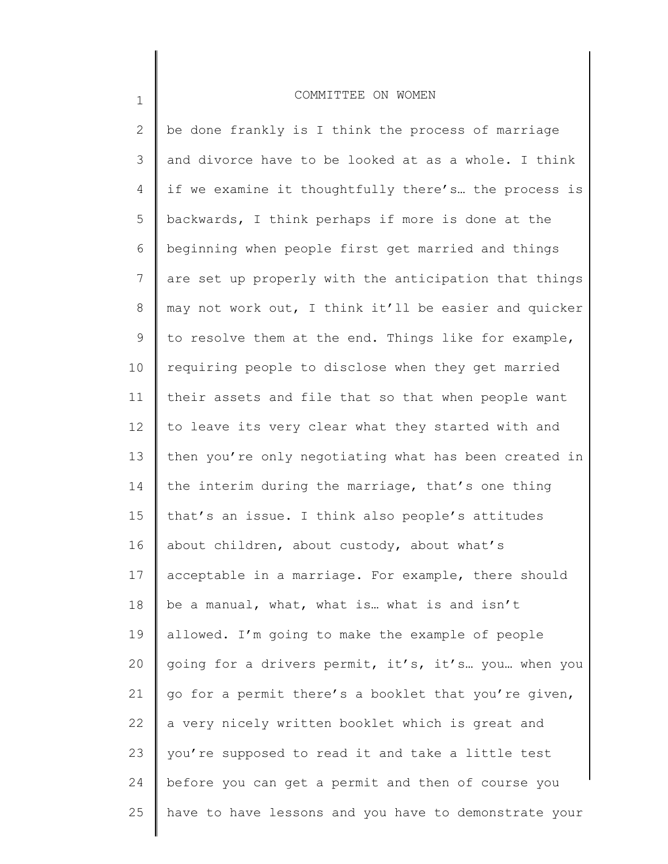1

2 3 4 5 6 7 8 9 10 11 12 13 14 15 16 17 18 19 20 21 22 23 24 25 be done frankly is I think the process of marriage and divorce have to be looked at as a whole. I think if we examine it thoughtfully there's… the process is backwards, I think perhaps if more is done at the beginning when people first get married and things are set up properly with the anticipation that things may not work out, I think it'll be easier and quicker to resolve them at the end. Things like for example, requiring people to disclose when they get married their assets and file that so that when people want to leave its very clear what they started with and then you're only negotiating what has been created in the interim during the marriage, that's one thing that's an issue. I think also people's attitudes about children, about custody, about what's acceptable in a marriage. For example, there should be a manual, what, what is… what is and isn't allowed. I'm going to make the example of people going for a drivers permit, it's, it's… you… when you go for a permit there's a booklet that you're given, a very nicely written booklet which is great and you're supposed to read it and take a little test before you can get a permit and then of course you have to have lessons and you have to demonstrate your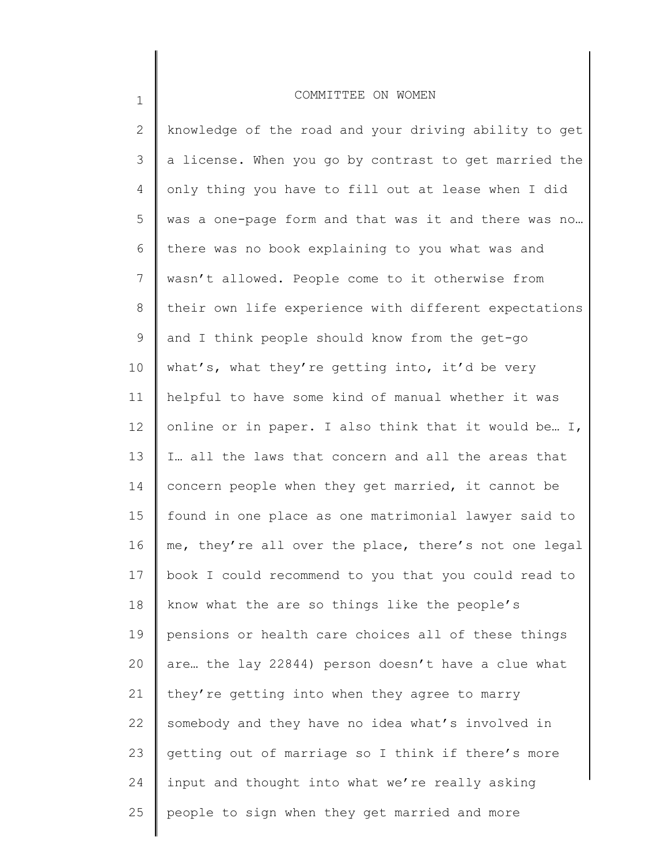1

| $\mathbf{2}$ | knowledge of the road and your driving ability to get |
|--------------|-------------------------------------------------------|
| 3            | a license. When you go by contrast to get married the |
| 4            | only thing you have to fill out at lease when I did   |
| 5            | was a one-page form and that was it and there was no  |
| 6            | there was no book explaining to you what was and      |
| 7            | wasn't allowed. People come to it otherwise from      |
| 8            | their own life experience with different expectations |
| 9            | and I think people should know from the get-go        |
| 10           | what's, what they're getting into, it'd be very       |
| 11           | helpful to have some kind of manual whether it was    |
| 12           | online or in paper. I also think that it would be I,  |
| 13           | I all the laws that concern and all the areas that    |
| 14           | concern people when they get married, it cannot be    |
| 15           | found in one place as one matrimonial lawyer said to  |
| 16           | me, they're all over the place, there's not one legal |
| 17           | book I could recommend to you that you could read to  |
| 18           | know what the are so things like the people's         |
| 19           | pensions or health care choices all of these things   |
| 20           | are the lay 22844) person doesn't have a clue what    |
| 21           | they're getting into when they agree to marry         |
| 22           | somebody and they have no idea what's involved in     |
| 23           | getting out of marriage so I think if there's more    |
| 24           | input and thought into what we're really asking       |
| 25           | people to sign when they get married and more         |
|              |                                                       |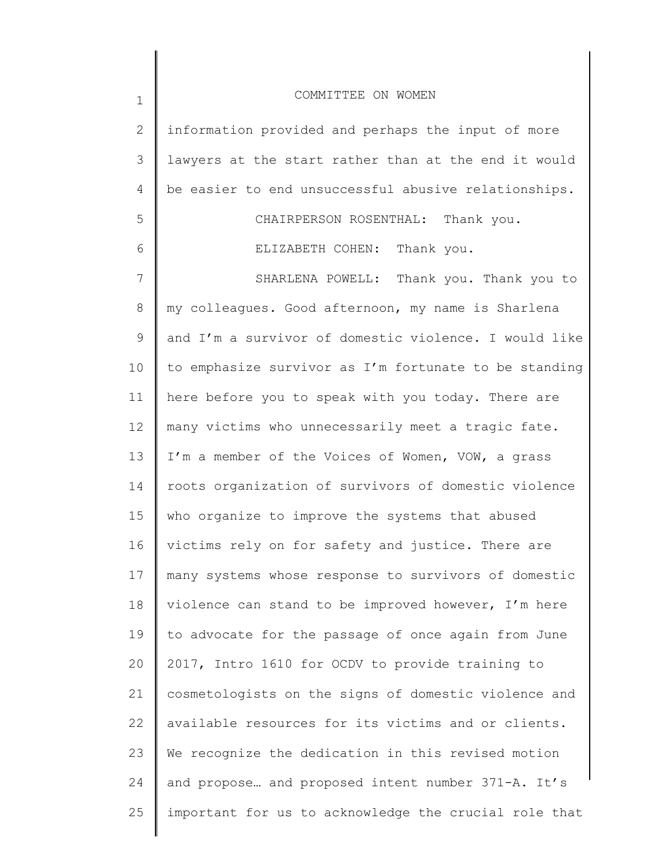| $\mathbf 1$    | COMMITTEE ON WOMEN                                    |
|----------------|-------------------------------------------------------|
| $\mathbf{2}$   | information provided and perhaps the input of more    |
| 3              | lawyers at the start rather than at the end it would  |
| $\overline{4}$ | be easier to end unsuccessful abusive relationships.  |
| 5              | CHAIRPERSON ROSENTHAL: Thank you.                     |
| 6              | Thank you.<br>ELIZABETH COHEN:                        |
| 7              | Thank you. Thank you to<br>SHARLENA POWELL:           |
| 8              | my colleagues. Good afternoon, my name is Sharlena    |
| 9              | and I'm a survivor of domestic violence. I would like |
| 10             | to emphasize survivor as I'm fortunate to be standing |
| 11             | here before you to speak with you today. There are    |
| 12             | many victims who unnecessarily meet a tragic fate.    |
| 13             | I'm a member of the Voices of Women, VOW, a grass     |
| 14             | roots organization of survivors of domestic violence  |
| 15             | who organize to improve the systems that abused       |
| 16             | victims rely on for safety and justice. There are     |
| 17             | many systems whose response to survivors of domestic  |
| 18             | violence can stand to be improved however, I'm here   |
| 19             | to advocate for the passage of once again from June   |
| 20             | 2017, Intro 1610 for OCDV to provide training to      |
| 21             | cosmetologists on the signs of domestic violence and  |
| 22             | available resources for its victims and or clients.   |
| 23             | We recognize the dedication in this revised motion    |
| 24             | and propose and proposed intent number 371-A. It's    |
| 25             | important for us to acknowledge the crucial role that |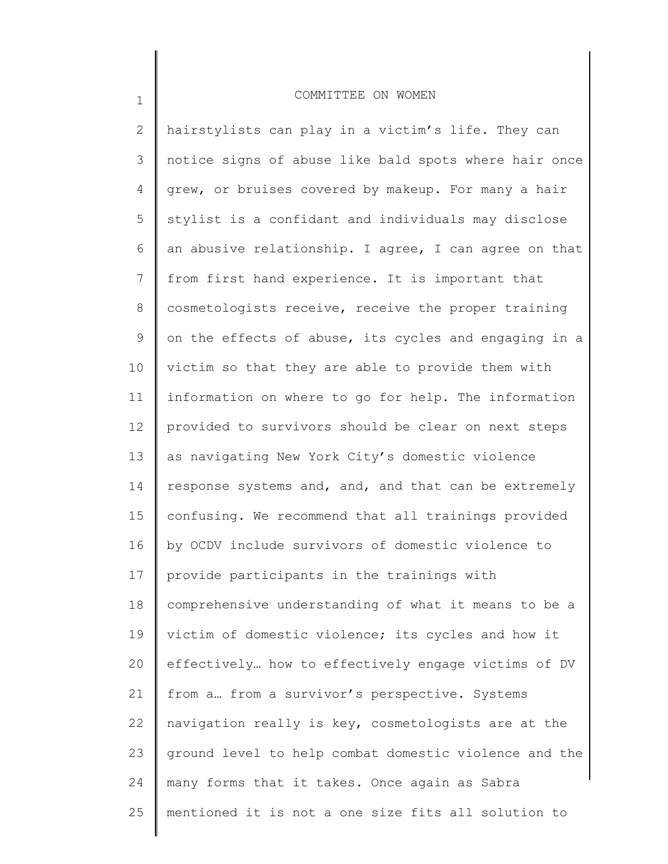1

2 3 4 5 6 7 8 9 10 11 12 13 14 15 16 17 18 19 20 21 22 23 24 25 hairstylists can play in a victim's life. They can notice signs of abuse like bald spots where hair once grew, or bruises covered by makeup. For many a hair stylist is a confidant and individuals may disclose an abusive relationship. I agree, I can agree on that from first hand experience. It is important that cosmetologists receive, receive the proper training on the effects of abuse, its cycles and engaging in a victim so that they are able to provide them with information on where to go for help. The information provided to survivors should be clear on next steps as navigating New York City's domestic violence response systems and, and, and that can be extremely confusing. We recommend that all trainings provided by OCDV include survivors of domestic violence to provide participants in the trainings with comprehensive understanding of what it means to be a victim of domestic violence; its cycles and how it effectively… how to effectively engage victims of DV from a… from a survivor's perspective. Systems navigation really is key, cosmetologists are at the ground level to help combat domestic violence and the many forms that it takes. Once again as Sabra mentioned it is not a one size fits all solution to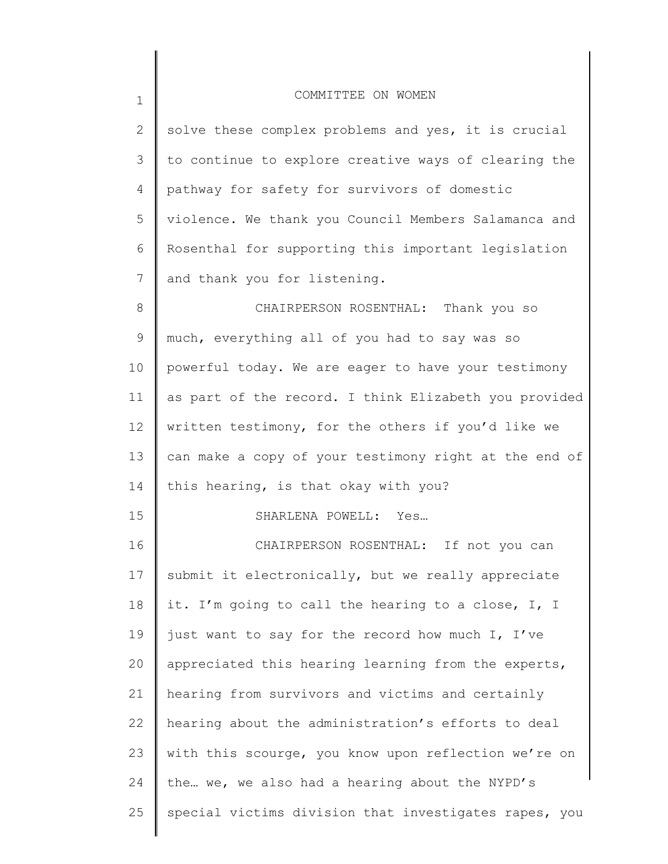| $\mathbf 1$  | COMMITTEE ON WOMEN                                    |
|--------------|-------------------------------------------------------|
| $\mathbf{2}$ | solve these complex problems and yes, it is crucial   |
| 3            | to continue to explore creative ways of clearing the  |
| 4            | pathway for safety for survivors of domestic          |
| 5            | violence. We thank you Council Members Salamanca and  |
| 6            | Rosenthal for supporting this important legislation   |
| 7            | and thank you for listening.                          |
| 8            | CHAIRPERSON ROSENTHAL: Thank you so                   |
| 9            | much, everything all of you had to say was so         |
| 10           | powerful today. We are eager to have your testimony   |
| 11           | as part of the record. I think Elizabeth you provided |
| 12           | written testimony, for the others if you'd like we    |
| 13           | can make a copy of your testimony right at the end of |
| 14           | this hearing, is that okay with you?                  |
| 15           | SHARLENA POWELL: Yes                                  |
| 16           | CHAIRPERSON ROSENTHAL: If not you can                 |
| 17           | submit it electronically, but we really appreciate    |
| 18           | it. I'm going to call the hearing to a close, I, I    |
| 19           | just want to say for the record how much I, I've      |
| 20           | appreciated this hearing learning from the experts,   |
| 21           | hearing from survivors and victims and certainly      |
| 22           | hearing about the administration's efforts to deal    |
| 23           | with this scourge, you know upon reflection we're on  |
| 24           | the we, we also had a hearing about the NYPD's        |
| 25           | special victims division that investigates rapes, you |
|              |                                                       |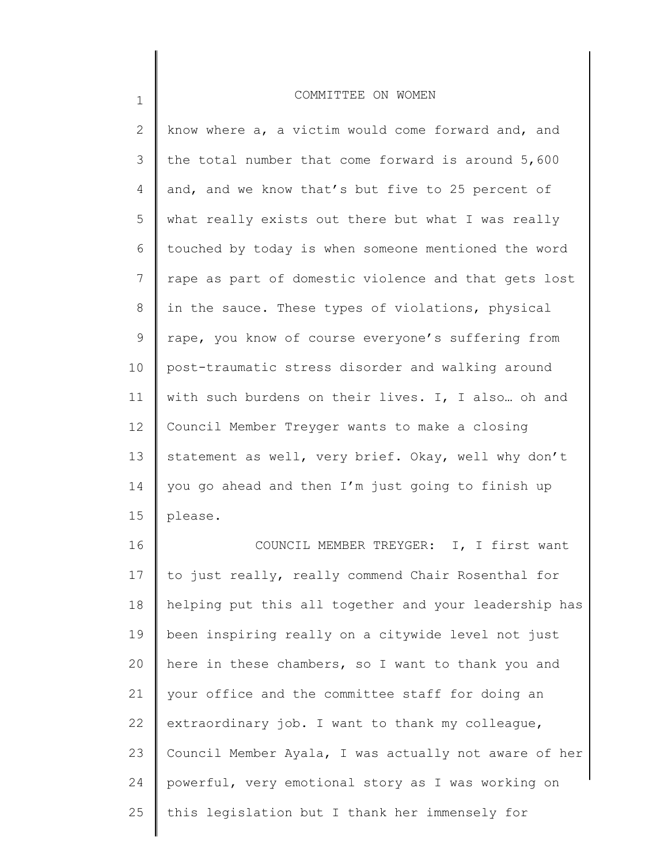1

2 3 4 5 6 7 8 9 10 11 12 13 14 15 know where  $a_i$ , a victim would come forward and, and the total number that come forward is around 5,600 and, and we know that's but five to 25 percent of what really exists out there but what I was really touched by today is when someone mentioned the word rape as part of domestic violence and that gets lost in the sauce. These types of violations, physical rape, you know of course everyone's suffering from post-traumatic stress disorder and walking around with such burdens on their lives. I, I also… oh and Council Member Treyger wants to make a closing statement as well, very brief. Okay, well why don't you go ahead and then I'm just going to finish up please.

16 17 18 19 20 21 22 23 24 25 COUNCIL MEMBER TREYGER: I, I first want to just really, really commend Chair Rosenthal for helping put this all together and your leadership has been inspiring really on a citywide level not just here in these chambers, so I want to thank you and your office and the committee staff for doing an extraordinary job. I want to thank my colleague, Council Member Ayala, I was actually not aware of her powerful, very emotional story as I was working on this legislation but I thank her immensely for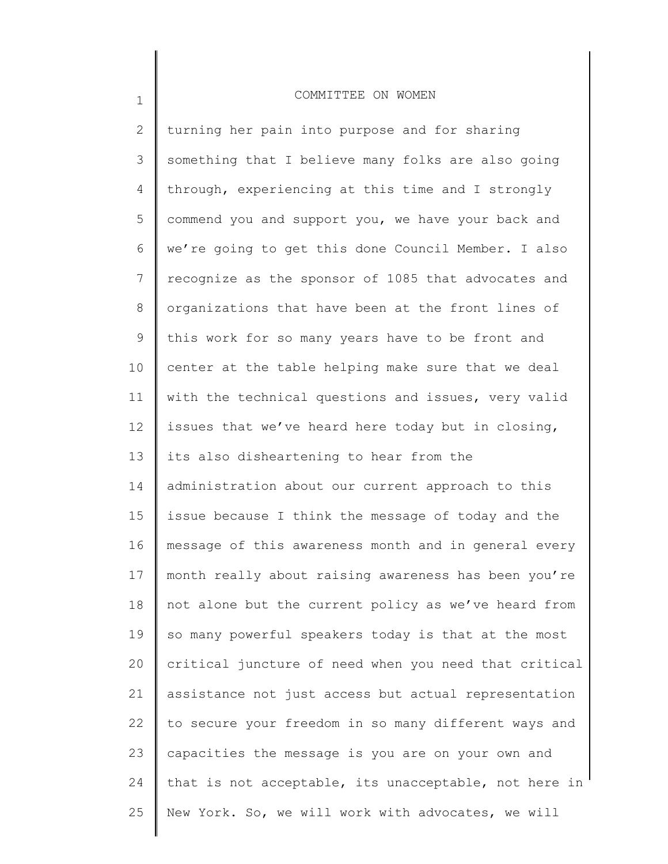1

2 3 4 5 6 7 8 9 10 11 12 13 14 15 16 17 18 19 20 21 22 23 24 25 turning her pain into purpose and for sharing something that I believe many folks are also going through, experiencing at this time and I strongly commend you and support you, we have your back and we're going to get this done Council Member. I also recognize as the sponsor of 1085 that advocates and organizations that have been at the front lines of this work for so many years have to be front and center at the table helping make sure that we deal with the technical questions and issues, very valid issues that we've heard here today but in closing, its also disheartening to hear from the administration about our current approach to this issue because I think the message of today and the message of this awareness month and in general every month really about raising awareness has been you're not alone but the current policy as we've heard from so many powerful speakers today is that at the most critical juncture of need when you need that critical assistance not just access but actual representation to secure your freedom in so many different ways and capacities the message is you are on your own and that is not acceptable, its unacceptable, not here in New York. So, we will work with advocates, we will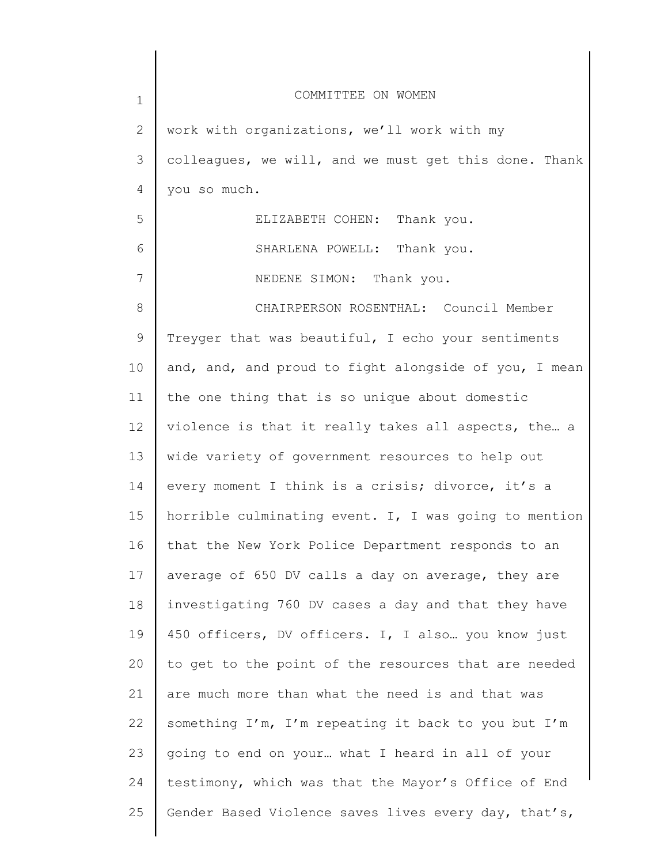| $\mathbf 1$ | COMMITTEE ON WOMEN                                    |
|-------------|-------------------------------------------------------|
| 2           | work with organizations, we'll work with my           |
| 3           | colleagues, we will, and we must get this done. Thank |
| 4           | you so much.                                          |
| 5           | ELIZABETH COHEN: Thank you.                           |
| 6           | SHARLENA POWELL: Thank you.                           |
| 7           | NEDENE SIMON: Thank you.                              |
| 8           | CHAIRPERSON ROSENTHAL: Council Member                 |
| $\mathsf 9$ | Treyger that was beautiful, I echo your sentiments    |
| 10          | and, and, and proud to fight alongside of you, I mean |
| 11          | the one thing that is so unique about domestic        |
| 12          | violence is that it really takes all aspects, the a   |
| 13          | wide variety of government resources to help out      |
| 14          | every moment I think is a crisis; divorce, it's a     |
| 15          | horrible culminating event. I, I was going to mention |
| 16          | that the New York Police Department responds to an    |
| 17          | average of 650 DV calls a day on average, they are    |
| 18          | investigating 760 DV cases a day and that they have   |
| 19          | 450 officers, DV officers. I, I also  you know just   |
| 20          | to get to the point of the resources that are needed  |
| 21          | are much more than what the need is and that was      |
| 22          | something I'm, I'm repeating it back to you but I'm   |
| 23          | going to end on your what I heard in all of your      |
| 24          | testimony, which was that the Mayor's Office of End   |
| 25          | Gender Based Violence saves lives every day, that's,  |
|             |                                                       |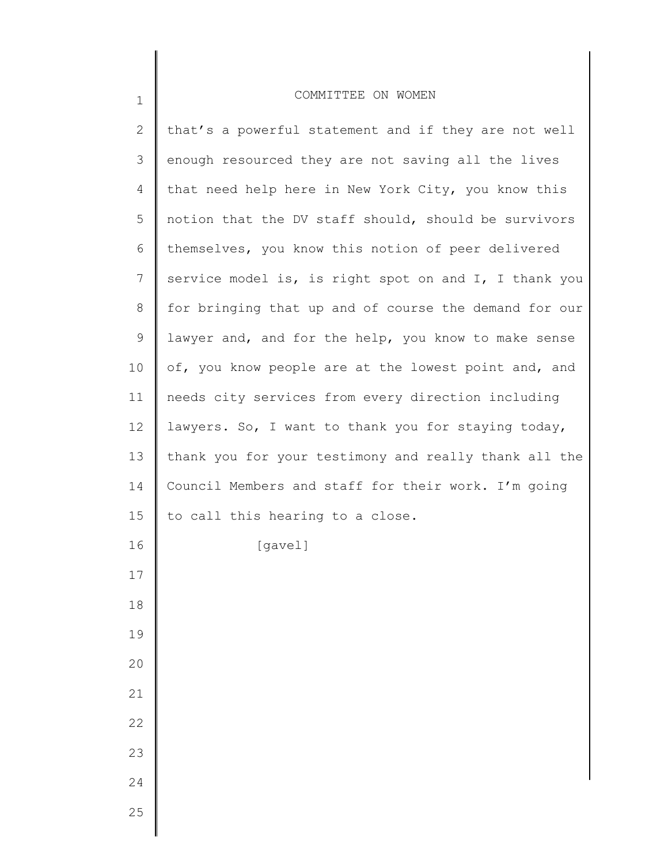| $\mathbf{2}$    | that's a powerful statement and if they are not well  |
|-----------------|-------------------------------------------------------|
| 3               | enough resourced they are not saving all the lives    |
| 4               | that need help here in New York City, you know this   |
| 5               | notion that the DV staff should, should be survivors  |
| 6               | themselves, you know this notion of peer delivered    |
| 7               | service model is, is right spot on and I, I thank you |
| 8               | for bringing that up and of course the demand for our |
| 9               | lawyer and, and for the help, you know to make sense  |
| 10 <sub>o</sub> | of, you know people are at the lowest point and, and  |
| 11              | needs city services from every direction including    |
| 12              | lawyers. So, I want to thank you for staying today,   |
| 13              | thank you for your testimony and really thank all the |
| 14              | Council Members and staff for their work. I'm going   |
| 15              | to call this hearing to a close.                      |
| 16              | [gavel]                                               |
| 17              |                                                       |
| 18              |                                                       |
| 19              |                                                       |
| 20              |                                                       |
| 21              |                                                       |
| 22              |                                                       |
| 23              |                                                       |
| 24              |                                                       |
| 25              |                                                       |
|                 |                                                       |